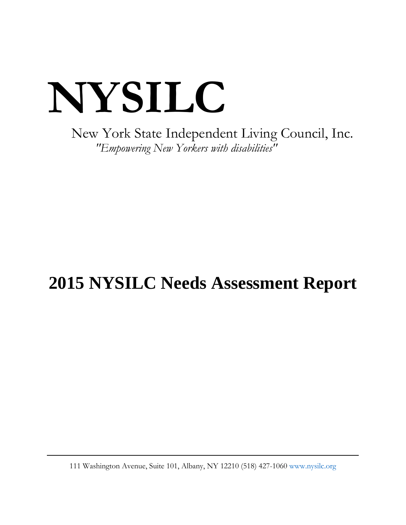# **NYSILC**

New York State Independent Living Council, Inc. *"Empowering New Yorkers with disabilities"*

# **2015 NYSILC Needs Assessment Report**

111 Washington Avenue, Suite 101, Albany, NY 12210 (518) 427-1060 [www.nysilc.org](http://www.nysilc.org/)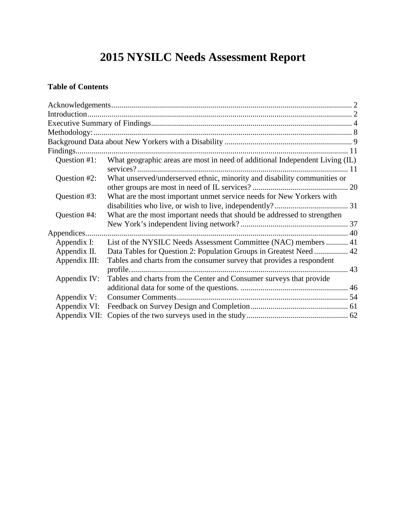# **2015 NYSILC Needs Assessment Report**

# **Table of Contents**

| Question #1:  | What geographic areas are most in need of additional Independent Living (IL) |  |
|---------------|------------------------------------------------------------------------------|--|
| Question #2:  | What unserved/underserved ethnic, minority and disability communities or     |  |
| Question #3:  | What are the most important unmet service needs for New Yorkers with         |  |
| Question #4:  | What are the most important needs that should be addressed to strengthen     |  |
|               |                                                                              |  |
| Appendix I:   | List of the NYSILC Needs Assessment Committee (NAC) members  41              |  |
| Appendix II.  | Data Tables for Question 2: Population Groups in Greatest Need  42           |  |
| Appendix III: | Tables and charts from the consumer survey that provides a respondent        |  |
| Appendix IV:  | Tables and charts from the Center and Consumer surveys that provide          |  |
| Appendix V:   |                                                                              |  |
| Appendix VI:  |                                                                              |  |
| Appendix VII: |                                                                              |  |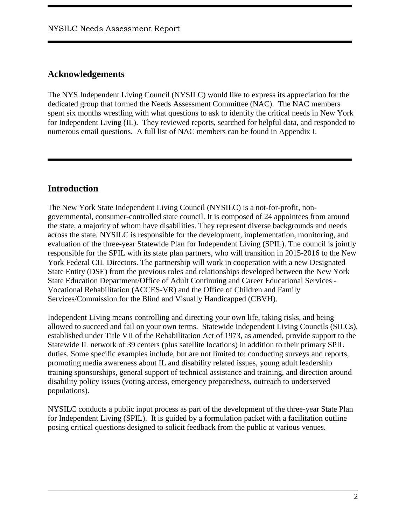# <span id="page-2-0"></span>**Acknowledgements**

The NYS Independent Living Council (NYSILC) would like to express its appreciation for the dedicated group that formed the Needs Assessment Committee (NAC). The NAC members spent six months wrestling with what questions to ask to identify the critical needs in New York for Independent Living (IL). They reviewed reports, searched for helpful data, and responded to numerous email questions. A full list of NAC members can be found in Appendix I.

# <span id="page-2-1"></span>**Introduction**

The New York State Independent Living Council (NYSILC) is a not-for-profit, nongovernmental, consumer-controlled state council. It is composed of 24 appointees from around the state, a majority of whom have disabilities. They represent diverse backgrounds and needs across the state. NYSILC is responsible for the development, implementation, monitoring, and evaluation of the three-year Statewide Plan for Independent Living (SPIL). The council is jointly responsible for the SPIL with its state plan partners, who will transition in 2015-2016 to the New York Federal CIL Directors. The partnership will work in cooperation with a new Designated State Entity (DSE) from the previous roles and relationships developed between the New York State Education Department/Office of Adult Continuing and Career Educational Services - Vocational Rehabilitation (ACCES-VR) and the Office of Children and Family Services/Commission for the Blind and Visually Handicapped (CBVH).

Independent Living means controlling and directing your own life, taking risks, and being allowed to succeed and fail on your own terms. Statewide Independent Living Councils (SILCs), established under Title VII of the Rehabilitation Act of 1973, as amended, provide support to the Statewide IL network of 39 centers (plus satellite locations) in addition to their primary SPIL duties. Some specific examples include, but are not limited to: conducting surveys and reports, promoting media awareness about IL and disability related issues, young adult leadership training sponsorships, general support of technical assistance and training, and direction around disability policy issues (voting access, emergency preparedness, outreach to underserved populations).

NYSILC conducts a public input process as part of the development of the three-year State Plan for Independent Living (SPIL). It is guided by a formulation packet with a facilitation outline posing critical questions designed to solicit feedback from the public at various venues.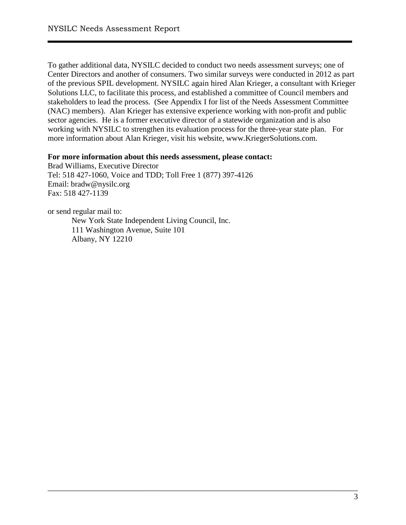To gather additional data, NYSILC decided to conduct two needs assessment surveys; one of Center Directors and another of consumers. Two similar surveys were conducted in 2012 as part of the previous SPIL development. NYSILC again hired Alan Krieger, a consultant with Krieger Solutions LLC, to facilitate this process, and established a committee of Council members and stakeholders to lead the process. (See Appendix I for list of the Needs Assessment Committee (NAC) members). Alan Krieger has extensive experience working with non-profit and public sector agencies. He is a former executive director of a statewide organization and is also working with NYSILC to strengthen its evaluation process for the three-year state plan. For more information about Alan Krieger, visit his website, [www.KriegerSolutions.com.](http://www.kriegersolutions.com/)

\_\_\_\_\_\_\_\_\_\_\_\_\_\_\_\_\_\_\_\_\_\_\_\_\_\_\_\_\_\_\_\_\_\_\_\_\_\_\_\_\_\_\_\_\_\_\_\_\_\_\_\_\_\_\_\_\_\_\_\_\_\_\_\_\_\_\_\_\_\_\_\_\_\_\_\_\_\_

#### **For more information about this needs assessment, please contact:**

Brad Williams, Executive Director Tel: 518 427-1060, Voice and TDD; Toll Free 1 (877) 397-4126 Email: [bradw@nysilc.org](mailto:bradw@nysilc.org) Fax: 518 427-1139

or send regular mail to: New York State Independent Living Council, Inc. 111 Washington Avenue, Suite 101 Albany, NY 12210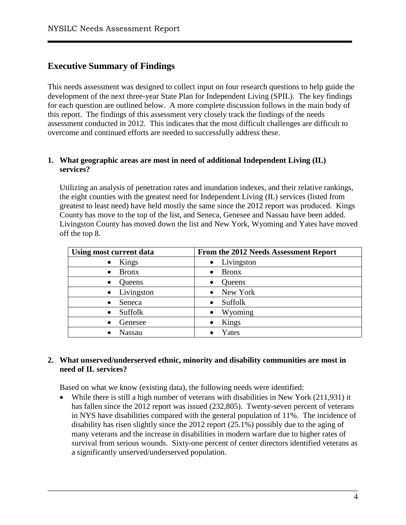# <span id="page-4-0"></span>**Executive Summary of Findings**

This needs assessment was designed to collect input on four research questions to help guide the development of the next three-year State Plan for Independent Living (SPIL). The key findings for each question are outlined below. A more complete discussion follows in the main body of this report. The findings of this assessment very closely track the findings of the needs assessment conducted in 2012. This indicates that the most difficult challenges are difficult to overcome and continued efforts are needed to successfully address these.

#### **1. What geographic areas are most in need of additional Independent Living (IL) services?**

Utilizing an analysis of penetration rates and inundation indexes, and their relative rankings, the eight counties with the greatest need for Independent Living (IL) services (listed from greatest to least need) have held mostly the same since the 2012 report was produced. Kings County has move to the top of the list, and Seneca, Genesee and Nassau have been added. Livingston County has moved down the list and New York, Wyoming and Yates have moved off the top 8.

| Using most current data    | From the 2012 Needs Assessment Report |  |  |  |
|----------------------------|---------------------------------------|--|--|--|
| Kings                      | Livingston                            |  |  |  |
| $\bullet$                  | $\bullet$                             |  |  |  |
| <b>Bronx</b>               | <b>Bronx</b>                          |  |  |  |
| $\bullet$                  | $\bullet$                             |  |  |  |
| Queens                     | <b>Queens</b>                         |  |  |  |
| $\bullet$                  | $\bullet$                             |  |  |  |
| Livingston                 | New York                              |  |  |  |
| $\bullet$                  | $\bullet$                             |  |  |  |
| Seneca                     | Suffolk                               |  |  |  |
| $\bullet$                  | $\bullet$                             |  |  |  |
| Suffolk                    | Wyoming                               |  |  |  |
| $\bullet$                  | $\bullet$                             |  |  |  |
| Genesee<br>$\bullet$       | Kings                                 |  |  |  |
| <b>Nassau</b><br>$\bullet$ | Yates                                 |  |  |  |

#### **2. What unserved/underserved ethnic, minority and disability communities are most in need of IL services?**

Based on what we know (existing data), the following needs were identified:

• While there is still a high number of veterans with disabilities in New York (211,931) it has fallen since the 2012 report was issued (232,805). Twenty-seven percent of veterans in NYS have disabilities compared with the general population of 11%. The incidence of disability has risen slightly since the 2012 report (25.1%) possibly due to the aging of many veterans and the increase in disabilities in modern warfare due to higher rates of survival from serious wounds. Sixty-one percent of center directors identified veterans as a significantly unserved/underserved population.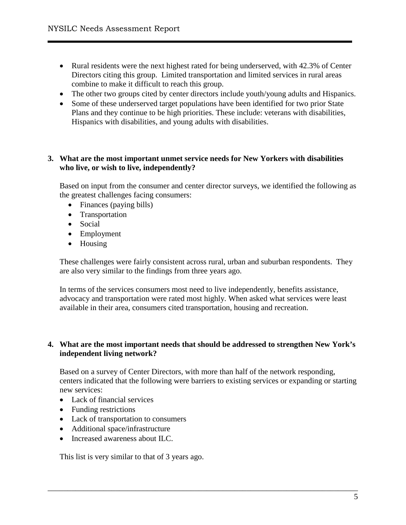- Rural residents were the next highest rated for being underserved, with 42.3% of Center Directors citing this group. Limited transportation and limited services in rural areas combine to make it difficult to reach this group.
- The other two groups cited by center directors include youth/young adults and Hispanics.
- Some of these underserved target populations have been identified for two prior State Plans and they continue to be high priorities. These include: veterans with disabilities, Hispanics with disabilities, and young adults with disabilities.

#### **3. What are the most important unmet service needs for New Yorkers with disabilities who live, or wish to live, independently?**

Based on input from the consumer and center director surveys, we identified the following as the greatest challenges facing consumers:

- Finances (paying bills)
- Transportation
- Social
- Employment
- Housing

These challenges were fairly consistent across rural, urban and suburban respondents. They are also very similar to the findings from three years ago.

In terms of the services consumers most need to live independently, benefits assistance, advocacy and transportation were rated most highly. When asked what services were least available in their area, consumers cited transportation, housing and recreation.

#### **4. What are the most important needs that should be addressed to strengthen New York's independent living network?**

Based on a survey of Center Directors, with more than half of the network responding, centers indicated that the following were barriers to existing services or expanding or starting new services:

\_\_\_\_\_\_\_\_\_\_\_\_\_\_\_\_\_\_\_\_\_\_\_\_\_\_\_\_\_\_\_\_\_\_\_\_\_\_\_\_\_\_\_\_\_\_\_\_\_\_\_\_\_\_\_\_\_\_\_\_\_\_\_\_\_\_\_\_\_\_\_\_\_\_\_\_\_\_

- Lack of financial services
- Funding restrictions
- Lack of transportation to consumers
- Additional space/infrastructure
- Increased awareness about ILC.

This list is very similar to that of 3 years ago.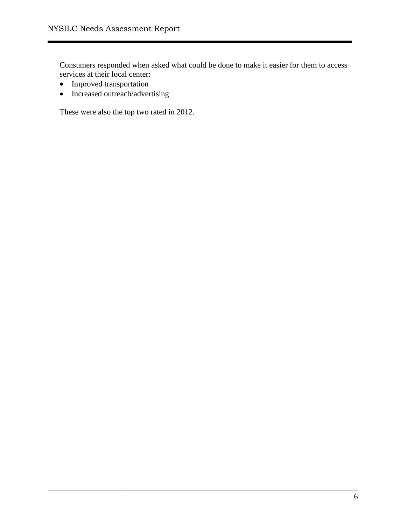Consumers responded when asked what could be done to make it easier for them to access services at their local center:

\_\_\_\_\_\_\_\_\_\_\_\_\_\_\_\_\_\_\_\_\_\_\_\_\_\_\_\_\_\_\_\_\_\_\_\_\_\_\_\_\_\_\_\_\_\_\_\_\_\_\_\_\_\_\_\_\_\_\_\_\_\_\_\_\_\_\_\_\_\_\_\_\_\_\_\_\_\_

- Improved transportation
- Increased outreach/advertising

These were also the top two rated in 2012.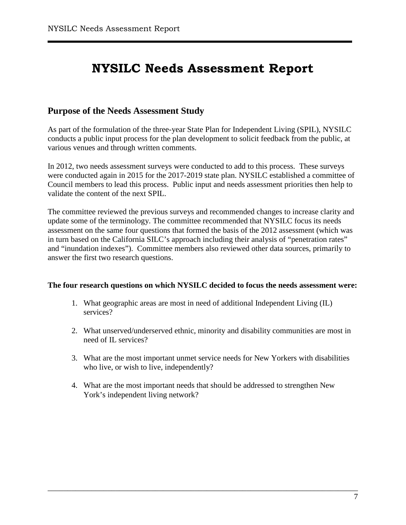# **NYSILC Needs Assessment Report**

## **Purpose of the Needs Assessment Study**

As part of the formulation of the three-year State Plan for Independent Living (SPIL), NYSILC conducts a public input process for the plan development to solicit feedback from the public, at various venues and through written comments.

In 2012, two needs assessment surveys were conducted to add to this process. These surveys were conducted again in 2015 for the 2017-2019 state plan. NYSILC established a committee of Council members to lead this process. Public input and needs assessment priorities then help to validate the content of the next SPIL.

The committee reviewed the previous surveys and recommended changes to increase clarity and update some of the terminology. The committee recommended that NYSILC focus its needs assessment on the same four questions that formed the basis of the 2012 assessment (which was in turn based on the California SILC's approach including their analysis of "penetration rates" and "inundation indexes"). Committee members also reviewed other data sources, primarily to answer the first two research questions.

#### **The four research questions on which NYSILC decided to focus the needs assessment were:**

- 1. What geographic areas are most in need of additional Independent Living (IL) services?
- 2. What unserved/underserved ethnic, minority and disability communities are most in need of IL services?
- 3. What are the most important unmet service needs for New Yorkers with disabilities who live, or wish to live, independently?
- 4. What are the most important needs that should be addressed to strengthen New York's independent living network?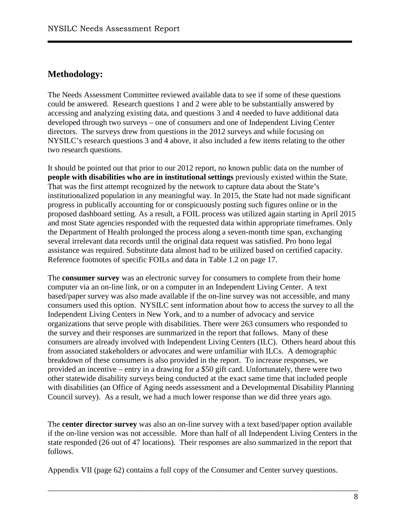# <span id="page-8-0"></span>**Methodology:**

The Needs Assessment Committee reviewed available data to see if some of these questions could be answered. Research questions 1 and 2 were able to be substantially answered by accessing and analyzing existing data, and questions 3 and 4 needed to have additional data developed through two surveys – one of consumers and one of Independent Living Center directors. The surveys drew from questions in the 2012 surveys and while focusing on NYSILC's research questions 3 and 4 above, it also included a few items relating to the other two research questions.

It should be pointed out that prior to our 2012 report, no known public data on the number of **people with disabilities who are in institutional settings** previously existed within the State. That was the first attempt recognized by the network to capture data about the State's institutionalized population in any meaningful way. In 2015, the State had not made significant progress in publically accounting for or conspicuously posting such figures online or in the proposed dashboard setting. As a result, a FOIL process was utilized again starting in April 2015 and most State agencies responded with the requested data within appropriate timeframes. Only the Department of Health prolonged the process along a seven-month time span, exchanging several irrelevant data records until the original data request was satisfied. Pro bono legal assistance was required. Substitute data almost had to be utilized based on certified capacity. Reference footnotes of specific FOILs and data in Table 1.2 on page 17.

The **consumer survey** was an electronic survey for consumers to complete from their home computer via an on-line link, or on a computer in an Independent Living Center. A text based/paper survey was also made available if the on-line survey was not accessible, and many consumers used this option. NYSILC sent information about how to access the survey to all the Independent Living Centers in New York, and to a number of advocacy and service organizations that serve people with disabilities. There were 263 consumers who responded to the survey and their responses are summarized in the report that follows. Many of these consumers are already involved with Independent Living Centers (ILC). Others heard about this from associated stakeholders or advocates and were unfamiliar with ILCs. A demographic breakdown of these consumers is also provided in the report. To increase responses, we provided an incentive – entry in a drawing for a \$50 gift card. Unfortunately, there were two other statewide disability surveys being conducted at the exact same time that included people with disabilities (an Office of Aging needs assessment and a Developmental Disability Planning Council survey). As a result, we had a much lower response than we did three years ago.

The **center director survey** was also an on-line survey with a text based/paper option available if the on-line version was not accessible. More than half of all Independent Living Centers in the state responded (26 out of 47 locations). Their responses are also summarized in the report that follows.

\_\_\_\_\_\_\_\_\_\_\_\_\_\_\_\_\_\_\_\_\_\_\_\_\_\_\_\_\_\_\_\_\_\_\_\_\_\_\_\_\_\_\_\_\_\_\_\_\_\_\_\_\_\_\_\_\_\_\_\_\_\_\_\_\_\_\_\_\_\_\_\_\_\_\_\_\_\_

Appendix VII (page 62) contains a full copy of the Consumer and Center survey questions.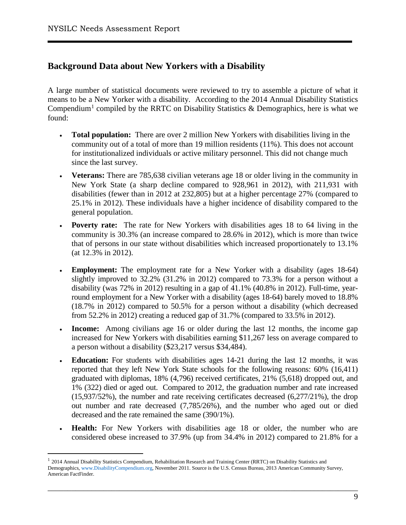# <span id="page-9-0"></span>**Background Data about New Yorkers with a Disability**

A large number of statistical documents were reviewed to try to assemble a picture of what it means to be a New Yorker with a disability. According to the 2014 Annual Disability Statistics Compendium<sup>[1](#page-9-1)</sup> compiled by the RRTC on Disability Statistics & Demographics, here is what we found:

- **Total population:** There are over 2 million New Yorkers with disabilities living in the community out of a total of more than 19 million residents (11%). This does not account for institutionalized individuals or active military personnel. This did not change much since the last survey.
- **Veterans:** There are 785,638 civilian veterans age 18 or older living in the community in New York State (a sharp decline compared to 928,961 in 2012), with 211,931 with disabilities (fewer than in 2012 at 232,805) but at a higher percentage 27% (compared to 25.1% in 2012). These individuals have a higher incidence of disability compared to the general population.
- **Poverty rate:** The rate for New Yorkers with disabilities ages 18 to 64 living in the community is 30.3% (an increase compared to 28.6% in 2012), which is more than twice that of persons in our state without disabilities which increased proportionately to 13.1% (at 12.3% in 2012).
- **Employment:** The employment rate for a New Yorker with a disability (ages 18-64) slightly improved to 32.2% (31.2% in 2012) compared to 73.3% for a person without a disability (was 72% in 2012) resulting in a gap of 41.1% (40.8% in 2012). Full-time, yearround employment for a New Yorker with a disability (ages 18-64) barely moved to 18.8% (18.7% in 2012) compared to 50.5% for a person without a disability (which decreased from 52.2% in 2012) creating a reduced gap of 31.7% (compared to 33.5% in 2012).
- **Income:** Among civilians age 16 or older during the last 12 months, the income gap increased for New Yorkers with disabilities earning \$11,267 less on average compared to a person without a disability (\$23,217 versus \$34,484).
- **Education:** For students with disabilities ages 14-21 during the last 12 months, it was reported that they left New York State schools for the following reasons: 60% (16,411) graduated with diplomas, 18% (4,796) received certificates, 21% (5,618) dropped out, and 1% (322) died or aged out. Compared to 2012, the graduation number and rate increased (15,937/52%), the number and rate receiving certificates decreased (6,277/21%), the drop out number and rate decreased (7,785/26%), and the number who aged out or died decreased and the rate remained the same (390/1%).
- **Health:** For New Yorkers with disabilities age 18 or older, the number who are considered obese increased to 37.9% (up from 34.4% in 2012) compared to 21.8% for a

<span id="page-9-1"></span><sup>&</sup>lt;sup>1</sup> 2014 Annual Disability Statistics Compendium, Rehabilitation Research and Training Center (RRTC) on Disability Statistics and Demographics[, www.DisabilityCompendium.org,](http://www.disabilitycompendium.org/) November 2011. Source is the U.S. Census Bureau, 2013 American Community Survey, American FactFinder.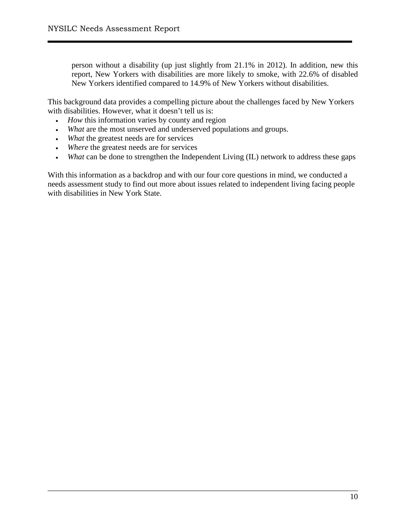person without a disability (up just slightly from 21.1% in 2012). In addition, new this report, New Yorkers with disabilities are more likely to smoke, with 22.6% of disabled New Yorkers identified compared to 14.9% of New Yorkers without disabilities.

This background data provides a compelling picture about the challenges faced by New Yorkers with disabilities. However, what it doesn't tell us is:

- *How* this information varies by county and region
- *What* are the most unserved and underserved populations and groups.
- *What* the greatest needs are for services
- *Where* the greatest needs are for services
- *What* can be done to strengthen the Independent Living (IL) network to address these gaps

With this information as a backdrop and with our four core questions in mind, we conducted a needs assessment study to find out more about issues related to independent living facing people with disabilities in New York State.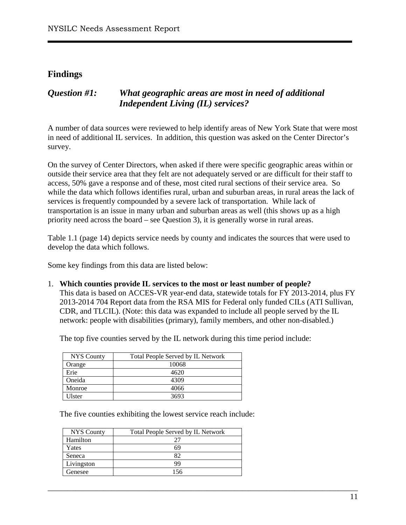## <span id="page-11-0"></span>**Findings**

# <span id="page-11-1"></span>*Question #1: What geographic areas are most in need of additional Independent Living (IL) services?*

A number of data sources were reviewed to help identify areas of New York State that were most in need of additional IL services. In addition, this question was asked on the Center Director's survey.

On the survey of Center Directors, when asked if there were specific geographic areas within or outside their service area that they felt are not adequately served or are difficult for their staff to access, 50% gave a response and of these, most cited rural sections of their service area. So while the data which follows identifies rural, urban and suburban areas, in rural areas the lack of services is frequently compounded by a severe lack of transportation. While lack of transportation is an issue in many urban and suburban areas as well (this shows up as a high priority need across the board – see Question 3), it is generally worse in rural areas.

Table 1.1 (page 14) depicts service needs by county and indicates the sources that were used to develop the data which follows.

Some key findings from this data are listed below:

#### 1. **Which counties provide IL services to the most or least number of people?**

This data is based on ACCES-VR year-end data, statewide totals for FY 2013-2014, plus FY 2013-2014 704 Report data from the RSA MIS for Federal only funded CILs (ATI Sullivan, CDR, and TLCIL). (Note: this data was expanded to include all people served by the IL network: people with disabilities (primary), family members, and other non-disabled.)

\_\_\_\_\_\_\_\_\_\_\_\_\_\_\_\_\_\_\_\_\_\_\_\_\_\_\_\_\_\_\_\_\_\_\_\_\_\_\_\_\_\_\_\_\_\_\_\_\_\_\_\_\_\_\_\_\_\_\_\_\_\_\_\_\_\_\_\_\_\_\_\_\_\_\_\_\_\_

The top five counties served by the IL network during this time period include:

| <b>NYS</b> County | Total People Served by IL Network |
|-------------------|-----------------------------------|
| Orange            | 10068                             |
| Erie              | 4620                              |
| Oneida            | 4309                              |
| Monroe            | 4066                              |
| J1ster            | 3693                              |

The five counties exhibiting the lowest service reach include:

| <b>NYS</b> County | Total People Served by IL Network |
|-------------------|-----------------------------------|
| Hamilton          |                                   |
| Yates             | 69                                |
| Seneca            | 87                                |
| Livingston        | QQ                                |
| Genesee           | 156                               |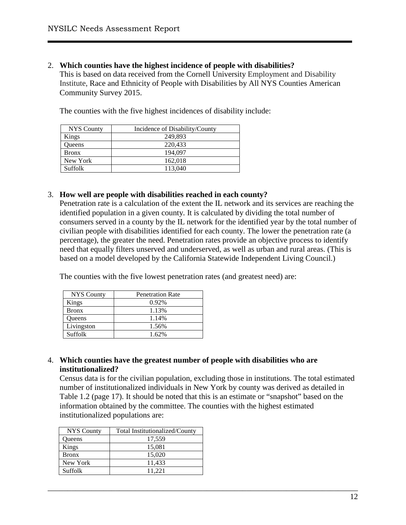2. **Which counties have the highest incidence of people with disabilities?**

This is based on data received from the Cornell University Employment and Disability Institute, Race and Ethnicity of People with Disabilities by All NYS Counties American Community Survey 2015.

The counties with the five highest incidences of disability include:

| <b>NYS</b> County | Incidence of Disability/County |
|-------------------|--------------------------------|
| Kings             | 249,893                        |
| Oueens            | 220,433                        |
| <b>Bronx</b>      | 194.097                        |
| New York          | 162,018                        |
| <b>Suffolk</b>    | 113,040                        |

#### 3. **How well are people with disabilities reached in each county?**

Penetration rate is a calculation of the extent the IL network and its services are reaching the identified population in a given county. It is calculated by dividing the total number of consumers served in a county by the IL network for the identified year by the total number of civilian people with disabilities identified for each county. The lower the penetration rate (a percentage), the greater the need. Penetration rates provide an objective process to identify need that equally filters unserved and underserved, as well as urban and rural areas. (This is based on a model developed by the California Statewide Independent Living Council.)

The counties with the five lowest penetration rates (and greatest need) are:

| <b>NYS County</b> | <b>Penetration Rate</b> |
|-------------------|-------------------------|
| Kings             | 0.92%                   |
| <b>Bronx</b>      | 1.13%                   |
| Queens            | 1.14%                   |
| Livingston        | 1.56%                   |
| Suffolk           | 1.62%                   |

#### 4. **Which counties have the greatest number of people with disabilities who are institutionalized?**

Census data is for the civilian population, excluding those in institutions. The total estimated number of institutionalized individuals in New York by county was derived as detailed in Table 1.2 (page 17). It should be noted that this is an estimate or "snapshot" based on the information obtained by the committee. The counties with the highest estimated institutionalized populations are:

| <b>NYS</b> County | Total Institutionalized/County |
|-------------------|--------------------------------|
| Queens            | 17,559                         |
| Kings             | 15,081                         |
| <b>Bronx</b>      | 15,020                         |
| New York          | 11,433                         |
| Suffolk           | 11.221                         |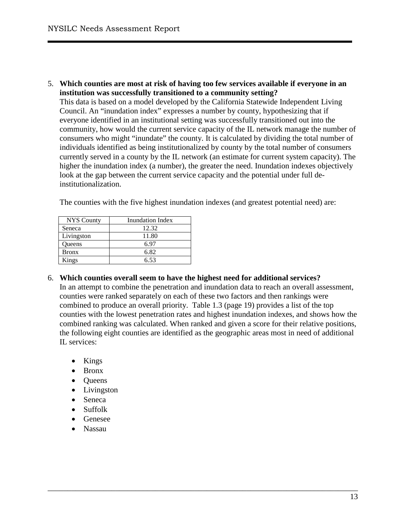Livingston 11.80 Queens 6.97<br>Bronx 6.82

Kings 6.53

5. **Which counties are most at risk of having too few services available if everyone in an institution was successfully transitioned to a community setting?**

This data is based on a model developed by the California Statewide Independent Living Council. An "inundation index" expresses a number by county, hypothesizing that if everyone identified in an institutional setting was successfully transitioned out into the community, how would the current service capacity of the IL network manage the number of consumers who might "inundate" the county. It is calculated by dividing the total number of individuals identified as being institutionalized by county by the total number of consumers currently served in a county by the IL network (an estimate for current system capacity). The higher the inundation index (a number), the greater the need. Inundation indexes objectively look at the gap between the current service capacity and the potential under full deinstitutionalization.

| NYS County | Inundation Index |
|------------|------------------|
| Seneca     | كەنگ             |

The counties with the five highest inundation indexes (and greatest potential need) are:

| 6. Which counties overall seem to have the highest need for additional services?               |
|------------------------------------------------------------------------------------------------|
| In an attempt to combine the penetration and inundation data to reach an overall assessment,   |
| counties were ranked separately on each of these two factors and then rankings were            |
| combined to produce an overall priority. Table 1.3 (page 19) provides a list of the top        |
| counties with the lowest penetration rates and highest inundation indexes, and shows how the   |
| combined ranking was calculated. When ranked and given a score for their relative positions,   |
| the following eight counties are identified as the geographic areas most in need of additional |
| IL services:                                                                                   |

\_\_\_\_\_\_\_\_\_\_\_\_\_\_\_\_\_\_\_\_\_\_\_\_\_\_\_\_\_\_\_\_\_\_\_\_\_\_\_\_\_\_\_\_\_\_\_\_\_\_\_\_\_\_\_\_\_\_\_\_\_\_\_\_\_\_\_\_\_\_\_\_\_\_\_\_\_\_

• Kings

Bronx

- Bronx
- Queens
- Livingston
- Seneca
- Suffolk
- Genesee
- Nassau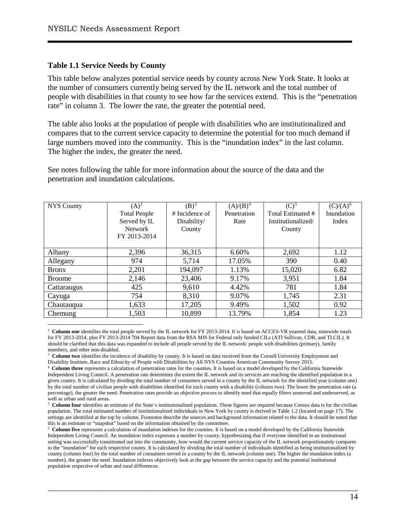#### **Table 1.1 Service Needs by County**

This table below analyzes potential service needs by county across New York State. It looks at the number of consumers currently being served by the IL network and the total number of people with disabilities in that county to see how far the services extend. This is the "penetration rate" in column 3. The lower the rate, the greater the potential need.

The table also looks at the population of people with disabilities who are institutionalized and compares that to the current service capacity to determine the potential for too much demand if large numbers moved into the community. This is the "inundation index" in the last column. The higher the index, the greater the need.

See notes following the table for more information about the source of the data and the penetration and inundation calculations.

| <b>NYS County</b> | $(A)^2$             | (B) <sup>3</sup> | $(A)/(B)^4$ | $(C)^5$            | $(C)/(A)^6$ |
|-------------------|---------------------|------------------|-------------|--------------------|-------------|
|                   | <b>Total People</b> | # Incidence of   | Penetration | Total Estimated #  | Inundation  |
|                   | Served by IL        | Disability/      | Rate        | Institutionalized/ | Index       |
|                   | <b>Network</b>      | County           |             | County             |             |
|                   | FY 2013-2014        |                  |             |                    |             |
|                   |                     |                  |             |                    |             |
| Albany            | 2,396               | 36,315           | 6.60%       | 2,692              | 1.12        |
| Allegany          | 974                 | 5,714            | 17.05%      | 390                | 0.40        |
| <b>Bronx</b>      | 2,201               | 194,097          | 1.13%       | 15,020             | 6.82        |
| <b>Broome</b>     | 2,146               | 23,406           | 9.17%       | 3,951              | 1.84        |
| Cattaraugus       | 425                 | 9,610            | 4.42%       | 781                | 1.84        |
| Cayuga            | 754                 | 8,310            | 9.07%       | 1,745              | 2.31        |
| Chautauqua        | 1,633               | 17,205           | 9.49%       | 1,502              | 0.92        |
| Chemung           | 1,503               | 10,899           | 13.79%      | 1,854              | 1.23        |

<span id="page-14-0"></span> $\frac{1}{2}$ <sup>2</sup> Column one identifies the total people served by the IL network for FY 2013-2014. It is based on ACCES-VR yearend data, statewide totals for FY 2013-2014, plus FY 2013-2014 704 Report data from the RSA MIS for Federal only funded CILs (ATI Sullivan, CDR, and TLCIL). It should be clarified that this data was expanded to include all people served by the IL network: people with disabilities (primary), family members, and other non-disabled.

<span id="page-14-1"></span><sup>3</sup> Column two identifies the incidence of disability by county. It is based on data received from the Cornell University Employment and Disability Institute, Race and Ethnicity of People with Disabilities by All NYS Counties American Community Survey 2015.

<span id="page-14-3"></span><sup>5</sup> **Column four** identifies an estimate of the State's institutionalized population. These figures are required because Census data is for the civilian population. The total estimated number of institutionalized individuals in New York by county is derived in Table 1.2 (located on page 17). The settings are identified at the top by column. Footnotes describe the sources and background information related to the data. It should be noted that this is an estimate or "snapshot" based on the information obtained by th

<span id="page-14-4"></span><sup>6</sup> Column five represents a calculation of inundation indexes for the counties. It is based on a model developed by the California Statewide Independent Living Council. An inundation index expresses a number by county, hypothesizing that if everyone identified in an institutional setting was successfully transitioned out into the community, how would the current service capacity of the IL network proportionately compares to the "inundation" for each respective county. It is calculated by dividing the total number of individuals identified as being institutionalized by county (column four) by the total number of consumers served in a county by the IL network (column one). The higher the inundation index (a number), the greater the need. Inundation indexes objectively look at the gap between the service capacity and the potential institutional population respective of urban and rural differences.

<span id="page-14-2"></span><sup>4</sup> **Column three** represents a calculation of penetration rates for the counties. It is based on a model developed by the California Statewide Independent Living Council. A penetration rate determines the extent the IL network and its services are reaching the identified population in a given county. It is calculated by dividing the total number of consumers served in a county by the IL network for the identified year (column one) by the total number of civilian people with disabilities identified for each county with a disability (column two). The lower the penetration rate (a percentage), the greater the need. Penetration rates provide an objective process to identify need that equally filters unserved and underserved, as well as urban and rural areas.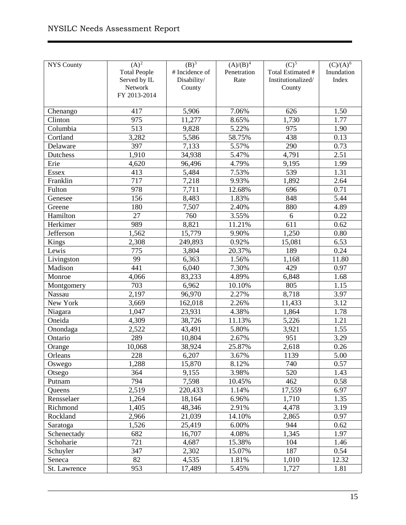| <b>NYS County</b> | $(A)^2$             | (B) <sup>3</sup> | $(A)/(B)^4$ | $\overline{(C)^5}$ | $(C)/(A)^6$ |
|-------------------|---------------------|------------------|-------------|--------------------|-------------|
|                   | <b>Total People</b> | # Incidence of   | Penetration | Total Estimated #  | Inundation  |
|                   | Served by IL        | Disability/      | Rate        | Institutionalized/ | Index       |
|                   | Network             | County           |             | County             |             |
|                   | FY 2013-2014        |                  |             |                    |             |
|                   |                     |                  |             |                    |             |
| Chenango          | 417                 | 5,906            | 7.06%       | 626                | 1.50        |
| Clinton           | 975                 | 11,277           | 8.65%       | 1,730              | 1.77        |
| Columbia          | $\overline{513}$    | 9,828            | 5.22%       | 975                | 1.90        |
| Cortland          | 3,282               | 5,586            | 58.75%      | 438                | 0.13        |
| Delaware          | 397                 | 7,133            | 5.57%       | 290                | 0.73        |
| Dutchess          | 1,910               | 34,938           | 5.47%       | 4,791              | 2.51        |
| Erie              | 4,620               | 96,496           | 4.79%       | 9,195              | 1.99        |
| <b>Essex</b>      | 413                 | 5,484            | 7.53%       | 539                | 1.31        |
| Franklin          | $\overline{717}$    | 7,218            | 9.93%       | 1,892              | 2.64        |
| Fulton            | 978                 | 7,711            | 12.68%      | 696                | 0.71        |
| Genesee           | 156                 | 8,483            | 1.83%       | 848                | 5.44        |
| Greene            | 180                 | 7,507            | 2.40%       | 880                | 4.89        |
| Hamilton          | 27                  | 760              | 3.55%       | 6                  | 0.22        |
| Herkimer          | 989                 | 8,821            | 11.21%      | 611                | 0.62        |
| Jefferson         | 1,562               | 15,779           | 9.90%       | 1,250              | 0.80        |
| Kings             | 2,308               | 249,893          | 0.92%       | 15,081             | 6.53        |
| Lewis             | 775                 | 3,804            | 20.37%      | 189                | 0.24        |
| Livingston        | 99                  | 6,363            | 1.56%       | 1,168              | 11.80       |
| Madison           | 441                 | 6,040            | 7.30%       | 429                | 0.97        |
| Monroe            | 4,066               | 83,233           | 4.89%       | 6,848              | 1.68        |
| Montgomery        | 703                 | 6,962            | 10.10%      | 805                | 1.15        |
| Nassau            | 2,197               | 96,970           | 2.27%       | 8,718              | 3.97        |
| New York          | 3,669               | 162,018          | 2.26%       | 11,433             | 3.12        |
| Niagara           | 1,047               | 23,931           | 4.38%       | 1,864              | 1.78        |
| Oneida            | 4,309               | 38,726           | 11.13%      | 5,226              | 1.21        |
| Onondaga          | 2,522               | 43,491           | 5.80%       | 3,921              | 1.55        |
| Ontario           | 289                 | 10,804           | 2.67%       | 951                | 3.29        |
| Orange            | 10,068              | 38,924           | 25.87%      | 2,618              | 0.26        |
| Orleans           | 228                 | 6,207            | 3.67%       | 1139               | 5.00        |
| Oswego            | 1,288               | 15,870           | 8.12%       | 740                | 0.57        |
| Otsego            | 364                 | 9,155            | 3.98%       | 520                | 1.43        |
| Putnam            | 794                 | 7,598            | 10.45%      | 462                | 0.58        |
| Queens            | 2,519               | 220,433          | 1.14%       | 17,559             | 6.97        |
| Rensselaer        | 1,264               | 18,164           | 6.96%       | 1,710              | 1.35        |
| Richmond          | 1,405               | 48,346           | 2.91%       | 4,478              | 3.19        |
| Rockland          | 2,966               | 21,039           | 14.10%      | 2,865              | 0.97        |
| Saratoga          | 1,526               | 25,419           | 6.00%       | 944                | 0.62        |
| Schenectady       | 682                 | 16,707           | 4.08%       | 1,345              | 1.97        |
| Schoharie         | 721                 | 4,687            | 15.38%      | 104                | 1.46        |
| Schuyler          | 347                 | 2,302            | 15.07%      | 187                | 0.54        |
| Seneca            | 82                  | 4,535            | 1.81%       | 1,010              | 12.32       |
| St. Lawrence      | 953                 | 17,489           | 5.45%       | 1,727              | 1.81        |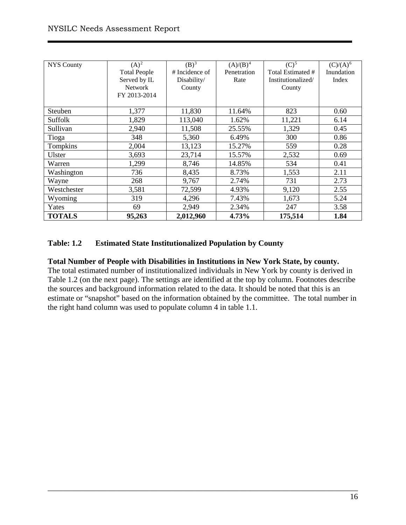| <b>NYS County</b> | $(A)^2$             | $(B)^{\overline{3}}$ | $(A)/(B)^4$ | (C) <sup>5</sup>   | $(C)/(A)^6$ |
|-------------------|---------------------|----------------------|-------------|--------------------|-------------|
|                   | <b>Total People</b> | # Incidence of       | Penetration | Total Estimated #  | Inundation  |
|                   | Served by IL        | Disability/          | Rate        | Institutionalized/ | Index       |
|                   | <b>Network</b>      | County               |             | County             |             |
|                   | FY 2013-2014        |                      |             |                    |             |
|                   |                     |                      |             |                    |             |
| Steuben           | 1,377               | 11,830               | 11.64%      | 823                | 0.60        |
| Suffolk           | 1,829               | 113,040              | 1.62%       | 11,221             | 6.14        |
| Sullivan          | 2,940               | 11,508               | 25.55%      | 1,329              | 0.45        |
| Tioga             | 348                 | 5,360                | 6.49%       | 300                | 0.86        |
| Tompkins          | 2,004               | 13,123               | 15.27%      | 559                | 0.28        |
| Ulster            | 3,693               | 23,714               | 15.57%      | 2,532              | 0.69        |
| Warren            | 1,299               | 8,746                | 14.85%      | 534                | 0.41        |
| Washington        | 736                 | 8,435                | 8.73%       | 1,553              | 2.11        |
| Wayne             | 268                 | 9,767                | 2.74%       | 731                | 2.73        |
| Westchester       | 3,581               | 72,599               | 4.93%       | 9,120              | 2.55        |
| Wyoming           | 319                 | 4,296                | 7.43%       | 1,673              | 5.24        |
| Yates             | 69                  | 2,949                | 2.34%       | 247                | 3.58        |
| <b>TOTALS</b>     | 95,263              | 2,012,960            | 4.73%       | 175,514            | 1.84        |

#### **Table: 1.2 Estimated State Institutionalized Population by County**

#### **Total Number of People with Disabilities in Institutions in New York State, by county.**

The total estimated number of institutionalized individuals in New York by county is derived in Table 1.2 (on the next page). The settings are identified at the top by column. Footnotes describe the sources and background information related to the data. It should be noted that this is an estimate or "snapshot" based on the information obtained by the committee. The total number in the right hand column was used to populate column 4 in table 1.1.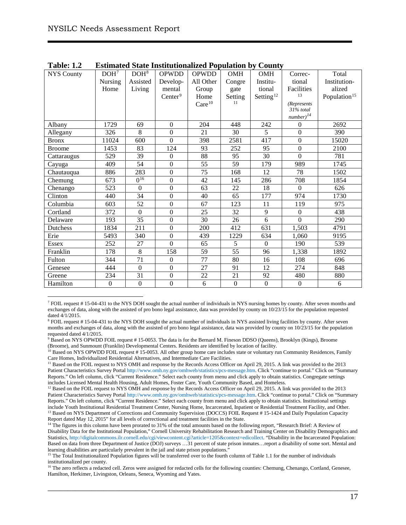| <b>NYS County</b> | DOH <sup>7</sup> | DOH <sup>8</sup> | <b>OPWDD</b>        | <b>OPWDD</b>       | OMH              | OMH                   | Correc-          | Total                    |
|-------------------|------------------|------------------|---------------------|--------------------|------------------|-----------------------|------------------|--------------------------|
|                   | Nursing          | Assisted         | Develop-            | All Other          | Congre           | Institu-              | tional           | Institution-             |
|                   | Home             | Living           | mental              | Group              | gate             | tional                | Facilities       | alized                   |
|                   |                  |                  | Center <sup>9</sup> | Home               | Setting          | Setting <sup>12</sup> | 13               | Population <sup>15</sup> |
|                   |                  |                  |                     | Care <sup>10</sup> | 11               |                       | (Represents      |                          |
|                   |                  |                  |                     |                    |                  |                       | 31% total        |                          |
|                   |                  |                  |                     |                    |                  |                       | $number)^{14}$   |                          |
| Albany            | 1729             | 69               | $\boldsymbol{0}$    | 204                | 448              | 242                   | $\boldsymbol{0}$ | 2692                     |
| Allegany          | 326              | 8                | $\mathbf{0}$        | 21                 | 30               | 5                     | $\boldsymbol{0}$ | 390                      |
| <b>Bronx</b>      | 11024            | 600              | $\Omega$            | 398                | 2581             | 417                   | $\boldsymbol{0}$ | 15020                    |
| <b>Broome</b>     | 1453             | 83               | 124                 | 93                 | 252              | 95                    | $\overline{0}$   | 2100                     |
| Cattaraugus       | 529              | 39               | $\boldsymbol{0}$    | 88                 | 95               | 30                    | $\overline{0}$   | 781                      |
| Cayuga            | 409              | 54               | $\mathbf{0}$        | 55                 | 59               | 179                   | 989              | 1745                     |
| Chautauqua        | 886              | 283              | $\mathbf{0}$        | 75                 | 168              | 12                    | 78               | 1502                     |
| Chemung           | 673              | $0^{16}$         | $\mathbf{0}$        | 42                 | 145              | 286                   | 708              | 1854                     |
| Chenango          | 523              | $\Omega$         | $\mathbf{0}$        | 63                 | 22               | 18                    | $\overline{0}$   | 626                      |
| Clinton           | 440              | 34               | $\boldsymbol{0}$    | 40                 | 65               | 177                   | 974              | 1730                     |
| Columbia          | 603              | 52               | $\mathbf{0}$        | 67                 | 123              | 11                    | 119              | 975                      |
| Cortland          | 372              | $\Omega$         | $\mathbf{0}$        | 25                 | 32               | 9                     | $\boldsymbol{0}$ | 438                      |
| Delaware          | 193              | 35               | $\boldsymbol{0}$    | 30                 | 26               | 6                     | $\overline{0}$   | 290                      |
| Dutchess          | 1834             | 211              | $\mathbf{0}$        | 200                | 412              | 631                   | 1,503            | 4791                     |
| Erie              | 5493             | 340              | $\boldsymbol{0}$    | 439                | 1229             | 634                   | 1.060            | 9195                     |
| Essex             | 252              | 27               | $\overline{0}$      | 65                 | 5                | $\boldsymbol{0}$      | 190              | 539                      |
| Franklin          | 178              | 8                | 158                 | 59                 | 55               | 96                    | 1,338            | 1892                     |
| Fulton            | 344              | 71               | $\boldsymbol{0}$    | 77                 | 80               | 16                    | 108              | 696                      |
| Genesee           | 444              | $\Omega$         | $\mathbf{0}$        | 27                 | 91               | 12                    | 274              | 848                      |
| Greene            | 234              | 31               | $\boldsymbol{0}$    | $22\,$             | 21               | 92                    | 480              | 880                      |
| Hamilton          | $\overline{0}$   | $\boldsymbol{0}$ | $\mathbf{0}$        | 6                  | $\boldsymbol{0}$ | $\boldsymbol{0}$      | $\boldsymbol{0}$ | 6                        |

| <b>Table: 1.2</b> | <b>Estimated State Institutionalized Population by County</b> |
|-------------------|---------------------------------------------------------------|
|-------------------|---------------------------------------------------------------|

<span id="page-17-0"></span> $<sup>7</sup>$  FOIL request # 15-04-431 to the NYS DOH sought the actual number of individuals in NYS nursing homes by county. After seven months and</sup> exchanges of data, along with the assisted of pro bono legal assistance, data was provided by county on 10/23/15 for the population requested dated 4/1/2015.

<span id="page-17-1"></span><sup>&</sup>lt;sup>8</sup> FOIL request # 15-04-431 to the NYS DOH sought the actual number of individuals in NYS assisted living facilities by county. After seven months and exchanges of data, along with the assisted of pro bono legal assistance, data was provided by county on 10/23/15 for the population requested dated 4/1/2015.

<span id="page-17-2"></span><sup>&</sup>lt;sup>9</sup> Based on NYS OPWDD FOIL request #15-0053. The data is for the Bernard M. Fineson DDSO (Queens), Brooklyn (Kings), Broome (Broome), and Sunmount (Franklin) Developmental Centers. Residents are identified by location of facility.

<span id="page-17-3"></span><sup>&</sup>lt;sup>10</sup> Based on NYS OPWDD FOIL request #15-0053. All other group home care includes state or voluntary run Community Residences, Family Care Homes, Individualized Residential Alternatives, and Intermediate Care Facilities.

<span id="page-17-4"></span><sup>&</sup>lt;sup>11</sup> Based on the FOIL request to NYS OMH and response by the Records Access Officer on April 29, 2015. A link was provided to the 2013 Patient Characteristics Survey Porta[l http://www.omh.ny.gov/omhweb/statistics/pcs-message.htm.](http://www.omh.ny.gov/omhweb/statistics/pcs-message.htm) Click "continue to portal." Click on "Summary Reports." On left column, click "Current Residence." Select each county from menu and click apply to obtain statistics. Congregate settings includes Licensed Mental Health Housing, Adult Homes, Foster Care, Youth Community Based, and Homeless.

<span id="page-17-5"></span><sup>&</sup>lt;sup>12</sup> Based on the FOIL request to NYS OMH and response by the Records Access Officer on April 29, 2015. A link was provided to the 2013 Patient Characteristics Survey Porta[l http://www.omh.ny.gov/omhweb/statistics/pcs-message.htm.](http://www.omh.ny.gov/omhweb/statistics/pcs-message.htm) Click "continue to portal." Click on "Summary Reports." On left column, click "Current Residence." Select each county from menu and click apply to obtain statistics. Institutional settings include Youth Institutional Residential Treatment Center, Nursing Home, Incarcerated, Inpatient or Residential Treatment Facility, and Other. <sup>13</sup> Based on NYS Department of Corrections and Community Supervision (DOCCS) FOIL Request # 15-1424 and Daily Population Capacity Report dated May 12, 2015" for all levels of correctional and treatment facilities in the State.

<span id="page-17-7"></span><span id="page-17-6"></span><sup>&</sup>lt;sup>14</sup> The figures in this column have been prorated to 31% of the total amounts based on the following report, "Research Brief: A Review of Disability Data for the Institutional Population," Cornell University Rehabilitation Research and Training Center on Disability Demographics and Statistics, [http://digitalcommons.ilr.cornell.edu/cgi/viewcontent.cgi?article=1205&context=edicollect.](http://digitalcommons.ilr.cornell.edu/cgi/viewcontent.cgi?article=1205&context=edicollect) "Disability in the Incarcerated Population: Based on data from three Department of Justice (DOJ) surveys …31 percent of state prison inmates…report a disability of some sort. Mental and learning disabilities are particularly prevalent in the jail and state prison populations."

<span id="page-17-8"></span><sup>&</sup>lt;sup>15</sup> The Total Institutionalized Population figures will be transferred over to the fourth column of Table 1.1 for the number of individuals institutionalized per county.

<span id="page-17-9"></span><sup>&</sup>lt;sup>16</sup> The zero reflects a redacted cell. Zeros were assigned for redacted cells for the following counties: Chemung, Chenango, Cortland, Genesee, Hamilton, Herkimer, Livingston, Orleans, Seneca, Wyoming and Yates.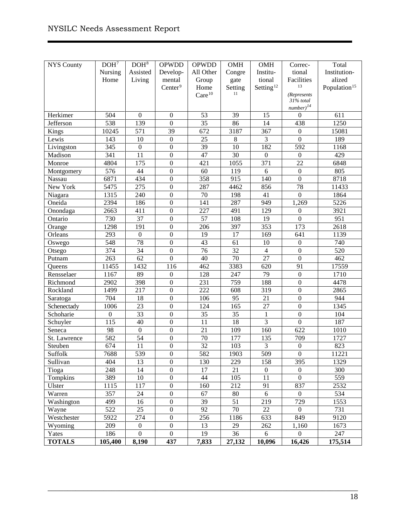| <b>NYS County</b> | DOH <sup>7</sup> | DOH <sup>8</sup> | <b>OPWDD</b>        | <b>OPWDD</b>       | OMH     | <b>OMH</b>            | Correc-                            | Total                    |
|-------------------|------------------|------------------|---------------------|--------------------|---------|-----------------------|------------------------------------|--------------------------|
|                   | Nursing          | Assisted         | Develop-            | All Other          | Congre  | Institu-              | tional                             | Institution-             |
|                   | Home             | Living           | mental              | Group              | gate    | tional                | Facilities                         | alized                   |
|                   |                  |                  | Center <sup>9</sup> | Home               | Setting | Setting <sup>12</sup> | 13                                 | Population <sup>15</sup> |
|                   |                  |                  |                     | Care <sup>10</sup> | 11      |                       | (Represents                        |                          |
|                   |                  |                  |                     |                    |         |                       | $31%$ total                        |                          |
| Herkimer          | 504              | $\boldsymbol{0}$ | $\boldsymbol{0}$    | 53                 | 39      | 15                    | $number)^{14}$<br>$\boldsymbol{0}$ | 611                      |
| Jefferson         | 538              | 139              | $\boldsymbol{0}$    | $\overline{35}$    | 86      | 14                    | 438                                | 1250                     |
| Kings             | 10245            | 571              | 39                  | 672                | 3187    | 367                   | $\boldsymbol{0}$                   | 15081                    |
| Lewis             | 143              | 10               | $\boldsymbol{0}$    | 25                 | $\,8$   | 3                     | $\boldsymbol{0}$                   | 189                      |
| Livingston        | 345              | $\boldsymbol{0}$ | $\boldsymbol{0}$    | 39                 | 10      | 182                   | 592                                | 1168                     |
| Madison           | 341              | 11               | $\boldsymbol{0}$    | 47                 | 30      | $\boldsymbol{0}$      | $\boldsymbol{0}$                   | 429                      |
| Monroe            | 4804             | 175              | $\boldsymbol{0}$    | 421                | 1055    | 371                   | 22                                 | 6848                     |
| Montgomery        | 576              | 44               | $\boldsymbol{0}$    | 60                 | 119     | 6                     | $\boldsymbol{0}$                   | 805                      |
| Nassau            | 6871             | 434              | $\boldsymbol{0}$    | 358                | 915     | 140                   | $\boldsymbol{0}$                   | 8718                     |
| New York          | 5475             | 275              | $\boldsymbol{0}$    | 287                | 4462    | 856                   | 78                                 | 11433                    |
| Niagara           | 1315             | 240              | $\boldsymbol{0}$    | 70                 | 198     | 41                    | $\boldsymbol{0}$                   | 1864                     |
| Oneida            | 2394             | 186              | $\boldsymbol{0}$    | 141                | 287     | 949                   | 1,269                              | 5226                     |
| Onondaga          | 2663             | 411              | $\boldsymbol{0}$    | 227                | 491     | 129                   | $\boldsymbol{0}$                   | 3921                     |
| Ontario           | 730              | 37               | $\boldsymbol{0}$    | 57                 | 108     | 19                    | $\boldsymbol{0}$                   | 951                      |
| Orange            | 1298             | 191              | $\boldsymbol{0}$    | 206                | 397     | 353                   | 173                                | 2618                     |
| Orleans           | 293              | $\boldsymbol{0}$ | $\boldsymbol{0}$    | 19                 | 17      | 169                   | 641                                | 1139                     |
| Oswego            | 548              | 78               | $\boldsymbol{0}$    | 43                 | 61      | 10                    | $\boldsymbol{0}$                   | 740                      |
| Otsego            | 374              | 34               | $\boldsymbol{0}$    | 76                 | 32      | $\overline{4}$        | $\boldsymbol{0}$                   | 520                      |
| Putnam            | 263              | 62               | $\boldsymbol{0}$    | 40                 | 70      | 27                    | $\boldsymbol{0}$                   | 462                      |
| <b>Oueens</b>     | 11455            | 1432             | 116                 | 462                | 3383    | 620                   | 91                                 | 17559                    |
| Rensselaer        | 1167             | 89               | $\boldsymbol{0}$    | 128                | 247     | 79                    | $\boldsymbol{0}$                   | 1710                     |
| Richmond          | 2902             | 398              | $\boldsymbol{0}$    | 231                | 759     | 188                   | $\boldsymbol{0}$                   | 4478                     |
| Rockland          | 1499             | 217              | $\boldsymbol{0}$    | 222                | 608     | 319                   | $\boldsymbol{0}$                   | 2865                     |
| Saratoga          | 704              | 18               | $\boldsymbol{0}$    | 106                | 95      | 21                    | $\boldsymbol{0}$                   | 944                      |
| Schenectady       | 1006             | 23               | $\boldsymbol{0}$    | 124                | 165     | 27                    | $\boldsymbol{0}$                   | 1345                     |
| Schoharie         | $\boldsymbol{0}$ | 33               | $\boldsymbol{0}$    | 35                 | 35      | $\mathbf{1}$          | $\boldsymbol{0}$                   | 104                      |
| Schuyler          | 115              | 40               | $\boldsymbol{0}$    | 11                 | 18      | $\overline{3}$        | $\boldsymbol{0}$                   | 187                      |
| Seneca            | 98               | $\boldsymbol{0}$ | $\boldsymbol{0}$    | 21                 | 109     | 160                   | 622                                | 1010                     |
| St. Lawrence      | 582              | 54               | $\boldsymbol{0}$    | 70                 | 177     | 135                   | 709                                | 1727                     |
| Steuben           | 674              | 11               | $\boldsymbol{0}$    | $\overline{32}$    | 103     | 3                     | $\boldsymbol{0}$                   | 823                      |
| Suffolk           | 7688             | 539              | $\overline{0}$      | 582                | 1903    | 509                   | $\overline{0}$                     | 11221                    |
| Sullivan          | 404              | 13               | $\boldsymbol{0}$    | 130                | 229     | 158                   | 395                                | 1329                     |
| Tioga             | 248              | 14               | $\boldsymbol{0}$    | 17                 | 21      | $\boldsymbol{0}$      | $\boldsymbol{0}$                   | 300                      |
| Tompkins          | 389              | $10\,$           | $\boldsymbol{0}$    | 44                 | 105     | 11                    | $\boldsymbol{0}$                   | 559                      |
| Ulster            | 1115             | 117              | $\boldsymbol{0}$    | 160                | 212     | 91                    | 837                                | 2532                     |
| Warren            | 357              | 24               | $\boldsymbol{0}$    | 67                 | 80      | 6                     | $\boldsymbol{0}$                   | 534                      |
| Washington        | 499              | 16               | $\boldsymbol{0}$    | 39                 | 51      | 219                   | 729                                | 1553                     |
| Wayne             | 522              | 25               | $\boldsymbol{0}$    | 92                 | 70      | 22                    | $\boldsymbol{0}$                   | 731                      |
| Westchester       | 5922             | 274              | $\boldsymbol{0}$    | 256                | 1186    | 633                   | 849                                | 9120                     |
| Wyoming           | 209              | $\boldsymbol{0}$ | $\boldsymbol{0}$    | 13                 | 29      | 262                   | 1,160                              | 1673                     |
| Yates             | 186              | $\boldsymbol{0}$ | $\boldsymbol{0}$    | 19                 | 36      | 6                     | $\overline{0}$                     | 247                      |
| <b>TOTALS</b>     | 105,400          | 8,190            | 437                 | 7,833              | 27,132  | 10,096                | 16,426                             | 175,514                  |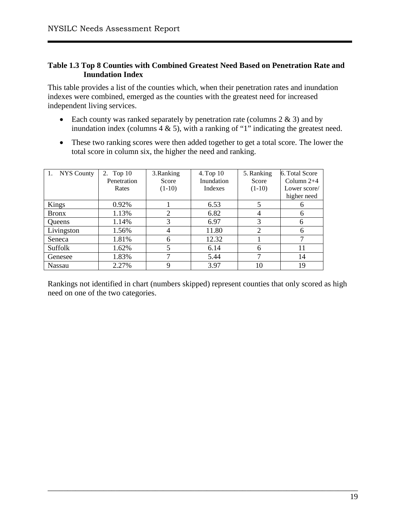#### **Table 1.3 Top 8 Counties with Combined Greatest Need Based on Penetration Rate and Inundation Index**

This table provides a list of the counties which, when their penetration rates and inundation indexes were combined, emerged as the counties with the greatest need for increased independent living services.

- Each county was ranked separately by penetration rate (columns  $2 \& 3$ ) and by inundation index (columns  $4 \& 5$ ), with a ranking of "1" indicating the greatest need.
- These two ranking scores were then added together to get a total score. The lower the total score in column six, the higher the need and ranking.

| 1. NYS County | 2. Top 10   | 3. Ranking | 4. Top 10  | 5. Ranking     | 6. Total Score |
|---------------|-------------|------------|------------|----------------|----------------|
|               | Penetration | Score      | Inundation | Score          | Column $2+4$   |
|               | Rates       | $(1-10)$   | Indexes    | $(1-10)$       | Lower score/   |
|               |             |            |            |                | higher need    |
| Kings         | 0.92%       |            | 6.53       |                |                |
| <b>Bronx</b>  | 1.13%       | 2          | 6.82       |                | 6              |
| <b>Oueens</b> | 1.14%       | 3          | 6.97       | 3              | 6              |
| Livingston    | 1.56%       | 4          | 11.80      | $\overline{2}$ | 6              |
| Seneca        | 1.81%       | 6          | 12.32      |                |                |
| Suffolk       | 1.62%       |            | 6.14       | 6              | 11             |
| Genesee       | 1.83%       | ⇁          | 5.44       | ⇁              | 14             |
| Nassau        | 2.27%       | Q          | 3.97       | 10             | 19             |

Rankings not identified in chart (numbers skipped) represent counties that only scored as high need on one of the two categories.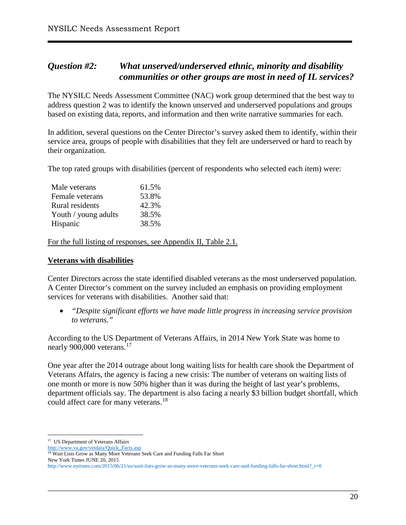# <span id="page-20-0"></span>*Question #2: What unserved/underserved ethnic, minority and disability communities or other groups are most in need of IL services?*

The NYSILC Needs Assessment Committee (NAC) work group determined that the best way to address question 2 was to identify the known unserved and underserved populations and groups based on existing data, reports, and information and then write narrative summaries for each.

In addition, several questions on the Center Director's survey asked them to identify, within their service area, groups of people with disabilities that they felt are underserved or hard to reach by their organization.

The top rated groups with disabilities (percent of respondents who selected each item) were:

| Male veterans        | 61.5% |
|----------------------|-------|
| Female veterans      | 53.8% |
| Rural residents      | 42.3% |
| Youth / young adults | 38.5% |
| Hispanic             | 38.5% |

For the full listing of responses, see Appendix II, Table 2.1.

#### **Veterans with disabilities**

Center Directors across the state identified disabled veterans as the most underserved population. A Center Director's comment on the survey included an emphasis on providing employment services for veterans with disabilities. Another said that:

• *"Despite significant efforts we have made little progress in increasing service provision to veterans."* 

According to the US Department of Veterans Affairs, in 2014 New York State was home to nearly 900,000 veterans.<sup>[17](#page-20-1)</sup>

One year after the 2014 outrage about long waiting lists for health care shook the Department of Veterans Affairs, the agency is facing a new crisis: The number of veterans on waiting lists of one month or more is now 50% higher than it was during the height of last year's problems, department officials say. The department is also facing a nearly \$3 billion budget shortfall, which could affect care for many veterans.<sup>[18](#page-20-2)</sup>

<span id="page-20-1"></span><sup>&</sup>lt;sup>17</sup> US Department of Veterans Affairs

[http://www.va.gov/vetdata/Quick\\_Facts.asp](http://www.va.gov/vetdata/Quick_Facts.asp)

<span id="page-20-2"></span><sup>&</sup>lt;sup>18</sup> Wait Lists Grow as Many More Veterans Seek Care and Funding Falls Far Short New York Times JUNE 20, 2015

[http://www.nytimes.com/2015/06/21/us/wait-lists-grow-as-many-more-veterans-seek-care-and-funding-falls-far-short.html?\\_r=0](http://www.nytimes.com/2015/06/21/us/wait-lists-grow-as-many-more-veterans-seek-care-and-funding-falls-far-short.html?_r=0)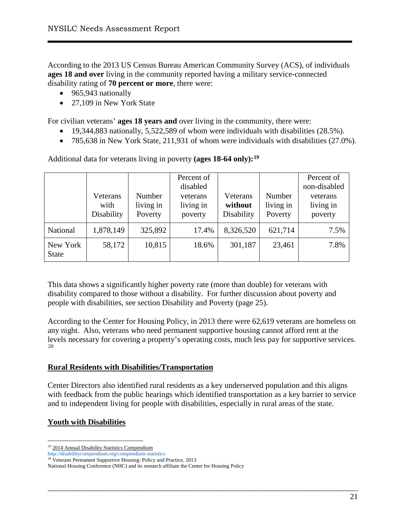According to the 2013 US Census Bureau American Community Survey (ACS), of individuals **ages 18 and over** living in the community reported having a military service-connected disability rating of **70 percent or more**, there were:

- 965,943 nationally
- 27,109 in New York State

For civilian veterans' **ages 18 years and** over living in the community, there were:

- 19,344,883 nationally, 5,522,589 of whom were individuals with disabilities (28.5%).
- 785,638 in New York State, 211,931 of whom were individuals with disabilities (27.0%).

Additional data for veterans living in poverty **(ages 18-64 only):[19](#page-21-0)**

|                          | Veterans<br>with<br>Disability | Number<br>living in<br>Poverty | Percent of<br>disabled<br>veterans<br>living in<br>poverty | Veterans<br>without<br>Disability | Number<br>living in<br>Poverty | Percent of<br>non-disabled<br>veterans<br>living in<br>poverty |
|--------------------------|--------------------------------|--------------------------------|------------------------------------------------------------|-----------------------------------|--------------------------------|----------------------------------------------------------------|
| National                 | 1,878,149                      | 325,892                        | 17.4%                                                      | 8,326,520                         | 621,714                        | 7.5%                                                           |
| New York<br><b>State</b> | 58,172                         | 10,815                         | 18.6%                                                      | 301,187                           | 23,461                         | 7.8%                                                           |

This data shows a significantly higher poverty rate (more than double) for veterans with disability compared to those without a disability. For further discussion about poverty and people with disabilities, see section Disability and Poverty (page 25).

According to the Center for Housing Policy, in 2013 there were 62,619 veterans are homeless on any night. Also, veterans who need permanent supportive housing cannot afford rent at the levels necessary for covering a property's operating costs, much less pay for supportive services. [20](#page-21-1)

#### **Rural Residents with Disabilities/Transportation**

Center Directors also identified rural residents as a key underserved population and this aligns with feedback from the public hearings which identified transportation as a key barrier to service and to independent living for people with disabilities, especially in rural areas of the state.

\_\_\_\_\_\_\_\_\_\_\_\_\_\_\_\_\_\_\_\_\_\_\_\_\_\_\_\_\_\_\_\_\_\_\_\_\_\_\_\_\_\_\_\_\_\_\_\_\_\_\_\_\_\_\_\_\_\_\_\_\_\_\_\_\_\_\_\_\_\_\_\_\_\_\_\_\_\_

#### **Youth with Disabilities**

<span id="page-21-0"></span><sup>&</sup>lt;sup>19</sup> 2014 Annual Disability Statistics Compendium

<http://disabilitycompendium.org/compendium-statistics> <sup>20</sup> Veterans Permanent Supportive Housing: Policy and Practice, 2013

<span id="page-21-1"></span>National Housing Conference (NHC) and its research affiliate the Center for Housing Policy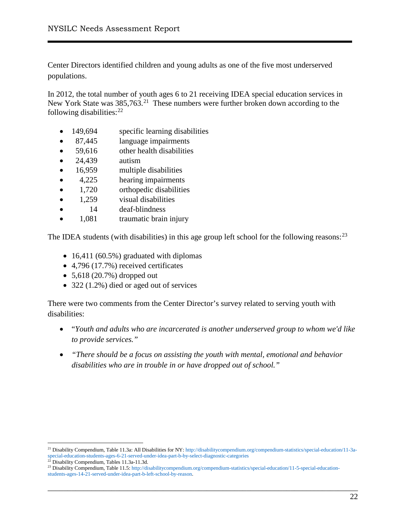Center Directors identified children and young adults as one of the five most underserved populations.

In 2012, the total number of youth ages 6 to 21 receiving IDEA special education services in New York State was 385,763.<sup>21</sup> These numbers were further broken down according to the following disabilities:<sup>[22](#page-22-1)</sup>

- 149,694 specific learning disabilities
- 87,445 language impairments
- 59,616 other health disabilities
- 24,439 autism
- 16,959 multiple disabilities
- 4,225 hearing impairments
- 1,720 orthopedic disabilities
- 1,259 visual disabilities
- 14 deaf-blindness
- 1,081 traumatic brain injury

The IDEA students (with disabilities) in this age group left school for the following reasons:  $23$ 

- 16,411 (60.5%) graduated with diplomas
- 4,796 (17.7%) received certificates
- $5,618$  (20.7%) dropped out
- 322 (1.2%) died or aged out of services

There were two comments from the Center Director's survey related to serving youth with disabilities:

- "*Youth and adults who are incarcerated is another underserved group to whom we'd like to provide services."*
- *"There should be a focus on assisting the youth with mental, emotional and behavior disabilities who are in trouble in or have dropped out of school."*

<span id="page-22-0"></span><sup>&</sup>lt;sup>21</sup> Disability Compendium, Table 11.3a: All Disabilities for NY: [http://disabilitycompendium.org/compendium-statistics/special-education/11-3a](http://disabilitycompendium.org/compendium-statistics/special-education/11-3a-special-education-students-ages-6-21-served-under-idea-part-b-by-select-diagnostic-categories)[special-education-students-ages-6-21-served-under-idea-part-b-by-select-diagnostic-categories](http://disabilitycompendium.org/compendium-statistics/special-education/11-3a-special-education-students-ages-6-21-served-under-idea-part-b-by-select-diagnostic-categories)

<span id="page-22-1"></span><sup>&</sup>lt;sup>22</sup> Disability Compendium, Tables 11.3a-11.3d.

<span id="page-22-2"></span><sup>&</sup>lt;sup>23</sup> Disability Compendium, Table 11.5[: http://disabilitycompendium.org/compendium-statistics/special-education/11-5-special-education](http://disabilitycompendium.org/compendium-statistics/special-education/11-5-special-education-students-ages-14-21-served-under-idea-part-b-left-school-by-reason)[students-ages-14-21-served-under-idea-part-b-left-school-by-reason.](http://disabilitycompendium.org/compendium-statistics/special-education/11-5-special-education-students-ages-14-21-served-under-idea-part-b-left-school-by-reason)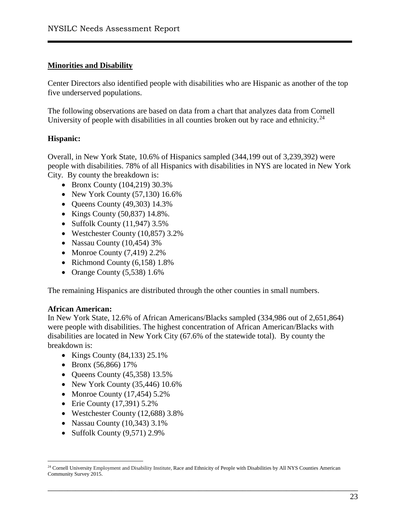#### **Minorities and Disability**

Center Directors also identified people with disabilities who are Hispanic as another of the top five underserved populations.

The following observations are based on data from a chart that analyzes data from Cornell University of people with disabilities in all counties broken out by race and ethnicity.<sup>24</sup>

#### **Hispanic:**

Overall, in New York State, 10.6% of Hispanics sampled (344,199 out of 3,239,392) were people with disabilities. 78% of all Hispanics with disabilities in NYS are located in New York City. By county the breakdown is:

- Bronx County (104,219) 30.3%
- New York County  $(57,130)$  16.6%
- Queens County (49,303) 14.3%
- Kings County (50,837) 14.8%.
- Suffolk County  $(11, 947)$  3.5%
- Westchester County (10,857) 3.2%
- Nassau County (10,454) 3%
- Monroe County  $(7,419)$  2.2%
- Richmond County (6,158) 1.8%
- Orange County  $(5,538)$  1.6%

The remaining Hispanics are distributed through the other counties in small numbers.

#### **African American:**

In New York State, 12.6% of African Americans/Blacks sampled (334,986 out of 2,651,864) were people with disabilities. The highest concentration of African American/Blacks with disabilities are located in New York City (67.6% of the statewide total). By county the breakdown is:

- Kings County (84,133) 25.1%
- Bronx (56,866) 17%
- Queens County  $(45,358)$  13.5%
- New York County (35,446) 10.6%
- Monroe County  $(17, 454)$  5.2%
- Erie County (17,391) 5.2%
- Westchester County (12,688) 3.8%
- Nassau County (10,343) 3.1%
- Suffolk County (9,571) 2.9%

<span id="page-23-0"></span><sup>&</sup>lt;sup>24</sup> Cornell University Employment and Disability Institute, Race and Ethnicity of People with Disabilities by All NYS Counties American Community Survey 2015.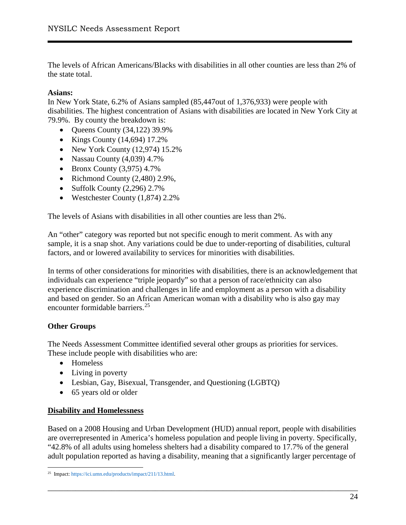The levels of African Americans/Blacks with disabilities in all other counties are less than 2% of the state total.

#### **Asians:**

In New York State, 6.2% of Asians sampled (85,447out of 1,376,933) were people with disabilities. The highest concentration of Asians with disabilities are located in New York City at 79.9%. By county the breakdown is:

- Oueens County  $(34,122)$  39.9%
- Kings County  $(14, 694)$  17.2%
- New York County (12,974) 15.2%
- Nassau County (4,039) 4.7%
- Bronx County  $(3,975)$  4.7%
- Richmond County (2,480) 2.9%,
- Suffolk County (2,296) 2.7%
- Westchester County (1,874) 2.2%

The levels of Asians with disabilities in all other counties are less than 2%.

An "other" category was reported but not specific enough to merit comment. As with any sample, it is a snap shot. Any variations could be due to under-reporting of disabilities, cultural factors, and or lowered availability to services for minorities with disabilities.

In terms of other considerations for minorities with disabilities, there is an acknowledgement that individuals can experience "triple jeopardy" so that a person of race/ethnicity can also experience discrimination and challenges in life and employment as a person with a disability and based on gender. So an African American woman with a disability who is also gay may encounter formidable barriers.[25](#page-24-0)

#### **Other Groups**

The Needs Assessment Committee identified several other groups as priorities for services. These include people with disabilities who are:

- Homeless
- Living in poverty
- Lesbian, Gay, Bisexual, Transgender, and Questioning (LGBTQ)
- 65 years old or older

#### **Disability and Homelessness**

Based on a 2008 Housing and Urban Development (HUD) annual report, people with disabilities are overrepresented in America's homeless population and people living in poverty. Specifically, "42.8% of all adults using homeless shelters had a disability compared to 17.7% of the general adult population reported as having a disability, meaning that a significantly larger percentage of

<span id="page-24-0"></span> <sup>25</sup> Impact[: https://ici.umn.edu/products/impact/211/13.html.](https://ici.umn.edu/products/impact/211/13.html)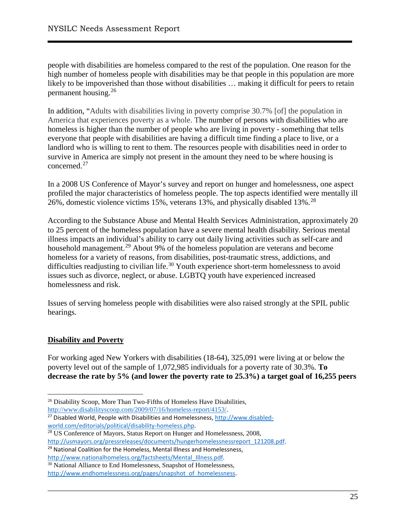people with disabilities are homeless compared to the rest of the population. One reason for the high number of homeless people with disabilities may be that people in this population are more likely to be impoverished than those without disabilities … making it difficult for peers to retain permanent housing.[26](#page-25-0)

In addition, "Adults with disabilities living in poverty comprise 30.7% [of] the population in America that experiences poverty as a whole. The number of persons with disabilities who are homeless is higher than the number of people who are living in poverty - something that tells everyone that people with disabilities are having a difficult time finding a place to live, or a landlord who is willing to rent to them. The resources people with disabilities need in order to survive in America are simply not present in the amount they need to be where housing is concerned.<sup>[27](#page-25-1)</sup>

In a 2008 US Conference of Mayor's survey and report on hunger and homelessness, one aspect profiled the major characteristics of homeless people. The top aspects identified were mentally ill 26%, domestic violence victims 15%, veterans 13%, and physically disabled 13%.<sup>[28](#page-25-2)</sup>

According to the Substance Abuse and Mental Health Services Administration, approximately 20 to 25 percent of the homeless population have a severe mental health disability. Serious mental illness impacts an individual's ability to carry out daily living activities such as self-care and household management.<sup>[29](#page-25-3)</sup> About 9% of the homeless population are veterans and become homeless for a variety of reasons, from disabilities, post-traumatic stress, addictions, and difficulties readjusting to civilian life.<sup>[30](#page-25-4)</sup> Youth experience short-term homelessness to avoid issues such as divorce, neglect, or abuse. LGBTQ youth have experienced increased homelessness and risk.

Issues of serving homeless people with disabilities were also raised strongly at the SPIL public hearings.

## **Disability and Poverty**

For working aged New Yorkers with disabilities (18-64), 325,091 were living at or below the poverty level out of the sample of 1,072,985 individuals for a poverty rate of 30.3%. **To decrease the rate by 5% (and lower the poverty rate to 25.3%) a target goal of 16,255 peers** 

\_\_\_\_\_\_\_\_\_\_\_\_\_\_\_\_\_\_\_\_\_\_\_\_\_\_\_\_\_\_\_\_\_\_\_\_\_\_\_\_\_\_\_\_\_\_\_\_\_\_\_\_\_\_\_\_\_\_\_\_\_\_\_\_\_\_\_\_\_\_\_\_\_\_\_\_\_\_

<span id="page-25-0"></span><sup>26</sup> Disability Scoop, More Than Two-Fifths of Homeless Have Disabilities, [http://www.disabilityscoop.com/2009/07/16/homeless-report/4153/.](http://www.disabilityscoop.com/2009/07/16/homeless-report/4153/)

<span id="page-25-1"></span><sup>27</sup> Disabled World, People with Disabilities and Homelessness[, http://www.disabled](http://www.disabled-world.com/editorials/political/disability-homeless.php)[world.com/editorials/political/disability-homeless.php.](http://www.disabled-world.com/editorials/political/disability-homeless.php)

<span id="page-25-2"></span><sup>28</sup> US Conference of Mayors, Status Report on Hunger and Homelessness, 2008, [http://usmayors.org/pressreleases/documents/hungerhomelessnessreport\\_121208.pdf.](http://usmayors.org/pressreleases/documents/hungerhomelessnessreport_121208.pdf)

<span id="page-25-3"></span><sup>29</sup> National Coalition for the Homeless, Mental Illness and Homelessness,

[http://www.nationalhomeless.org/factsheets/Mental\\_Illness.pdf.](http://www.nationalhomeless.org/factsheets/Mental_Illness.pdf)

<span id="page-25-4"></span><sup>30</sup> National Alliance to End Homelessness, Snapshot of Homelessness, [http://www.endhomelessness.org/pages/snapshot\\_of\\_homelessness.](http://www.endhomelessness.org/pages/snapshot_of_homelessness)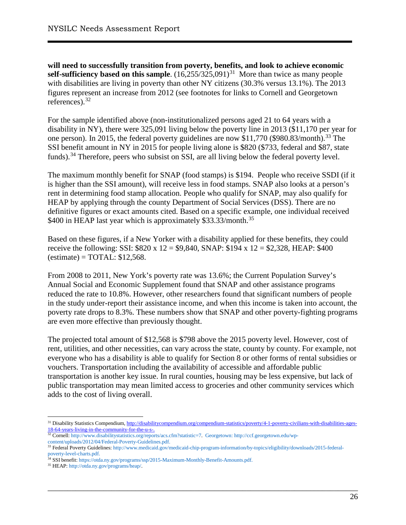**will need to successfully transition from poverty, benefits, and look to achieve economic self-sufficiency based on this sample**.  $(16,255/325,091)^{31}$  $(16,255/325,091)^{31}$  $(16,255/325,091)^{31}$  More than twice as many people with disabilities are living in poverty than other NY citizens (30.3% versus 13.1%). The 2013 figures represent an increase from 2012 (see footnotes for links to Cornell and Georgetown references). [32](#page-26-1)

For the sample identified above (non-institutionalized persons aged 21 to 64 years with a disability in NY), there were 325,091 living below the poverty line in 2013 (\$11,170 per year for one person). In 2015, the federal poverty guidelines are now \$11,770 (\$980.83/month).<sup>[33](#page-26-2)</sup> The SSI benefit amount in NY in 2015 for people living alone is \$820 (\$733, federal and \$87, state funds).<sup>[34](#page-26-3)</sup> Therefore, peers who subsist on SSI, are all living below the federal poverty level.

The maximum monthly benefit for SNAP (food stamps) is \$194. People who receive SSDI (if it is higher than the SSI amount), will receive less in food stamps. SNAP also looks at a person's rent in determining food stamp allocation. People who qualify for SNAP, may also qualify for HEAP by applying through the county Department of Social Services (DSS). There are no definitive figures or exact amounts cited. Based on a specific example, one individual received \$400 in HEAP last year which is approximately \$33.33/month.<sup>[35](#page-26-4)</sup>

Based on these figures, if a New Yorker with a disability applied for these benefits, they could receive the following: SSI:  $$820 \times 12 = $9,840$ , SNAP:  $$194 \times 12 = $2,328$ , HEAP: \$400  $\text{(estimate)} = \text{TOTAL: } $12,568.$ 

From 2008 to 2011, New York's poverty rate was 13.6%; the Current Population Survey's Annual Social and Economic Supplement found that SNAP and other assistance programs reduced the rate to 10.8%. However, other researchers found that significant numbers of people in the study under-report their assistance income, and when this income is taken into account, the poverty rate drops to 8.3%. These numbers show that SNAP and other poverty-fighting programs are even more effective than previously thought.

The projected total amount of \$12,568 is \$798 above the 2015 poverty level. However, cost of rent, utilities, and other necessities, can vary across the state, county by county. For example, not everyone who has a disability is able to qualify for Section 8 or other forms of rental subsidies or vouchers. Transportation including the availability of accessible and affordable public transportation is another key issue. In rural counties, housing may be less expensive, but lack of public transportation may mean limited access to groceries and other community services which adds to the cost of living overall.

<span id="page-26-0"></span><sup>&</sup>lt;sup>31</sup> Disability Statistics Compendium[, http://disabilitycompendium.org/compendium-statistics/poverty/4-1-poverty-civilians-with-disabilities-ages-](http://disabilitycompendium.org/compendium-statistics/poverty/4-1-poverty-civilians-with-disabilities-ages-18-64-years-living-in-the-community-for-the-u-s-)[18-64-years-living-in-the-community-for-the-u-s-.](http://disabilitycompendium.org/compendium-statistics/poverty/4-1-poverty-civilians-with-disabilities-ages-18-64-years-living-in-the-community-for-the-u-s-)

<sup>32</sup> Cornell[: http://www.disabilitystatistics.org/reports/acs.cfm?statistic=7.](http://www.disabilitystatistics.org/reports/acs.cfm?statistic=7) Georgetown[: http://ccf.georgetown.edu/wp-](http://ccf.georgetown.edu/wp-content/uploads/2012/04/Federal-Poverty-Guidelines.pdf)

<span id="page-26-2"></span><span id="page-26-1"></span>[content/uploads/2012/04/Federal-Poverty-Guidelines.pdf.](http://ccf.georgetown.edu/wp-content/uploads/2012/04/Federal-Poverty-Guidelines.pdf) 33 Federal Poverty Guidelines: [http://www.medicaid.gov/medicaid-chip-program-information/by-topics/eligibility/downloads/2015-federal](http://www.medicaid.gov/medicaid-chip-program-information/by-topics/eligibility/downloads/2015-federal-poverty-level-charts.pdf)[poverty-level-charts.pdf.](http://www.medicaid.gov/medicaid-chip-program-information/by-topics/eligibility/downloads/2015-federal-poverty-level-charts.pdf)

<sup>&</sup>lt;sup>34</sup> SSI benefit[: https://otda.ny.gov/programs/ssp/2015-Maximum-Monthly-Benefit-Amounts.pdf.](https://otda.ny.gov/programs/ssp/2015-Maximum-Monthly-Benefit-Amounts.pdf)

<span id="page-26-4"></span><span id="page-26-3"></span><sup>35</sup> HEAP[: http://otda.ny.gov/programs/heap/.](http://otda.ny.gov/programs/heap/)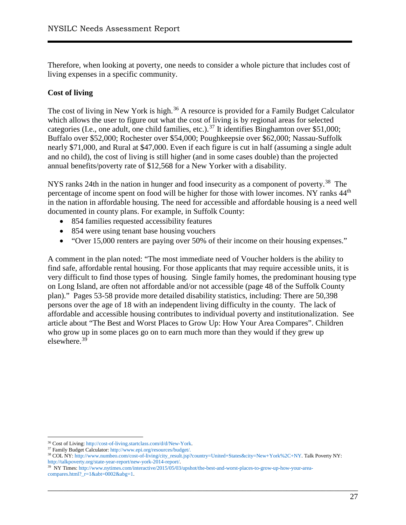Therefore, when looking at poverty, one needs to consider a whole picture that includes cost of living expenses in a specific community.

#### **Cost of living**

The cost of living in New York is high.<sup>[36](#page-27-0)</sup> A resource is provided for a Family Budget Calculator which allows the user to figure out what the cost of living is by regional areas for selected categories (I.e., one adult, one child families, etc.).<sup>[37](#page-27-1)</sup> It identifies Binghamton over \$51,000; Buffalo over \$52,000; Rochester over \$54,000; Poughkeepsie over \$62,000; Nassau-Suffolk nearly \$71,000, and Rural at \$47,000. Even if each figure is cut in half (assuming a single adult and no child), the cost of living is still higher (and in some cases double) than the projected annual benefits/poverty rate of \$12,568 for a New Yorker with a disability.

NYS ranks 24th in the nation in hunger and food insecurity as a component of poverty.<sup>[38](#page-27-2)</sup> The percentage of income spent on food will be higher for those with lower incomes. NY ranks 44<sup>th</sup> in the nation in affordable housing. The need for accessible and affordable housing is a need well documented in county plans. For example, in Suffolk County:

- 854 families requested accessibility features
- 854 were using tenant base housing vouchers
- "Over 15,000 renters are paying over 50% of their income on their housing expenses."

A comment in the plan noted: "The most immediate need of Voucher holders is the ability to find safe, affordable rental housing. For those applicants that may require accessible units, it is very difficult to find those types of housing. Single family homes, the predominant housing type on Long Island, are often not affordable and/or not accessible (page 48 of the Suffolk County plan)." Pages 53-58 provide more detailed disability statistics, including: There are 50,398 persons over the age of 18 with an independent living difficulty in the county. The lack of affordable and accessible housing contributes to individual poverty and institutionalization. See article about "The Best and Worst Places to Grow Up: How Your Area Compares". Children who grow up in some places go on to earn much more than they would if they grew up elsewhere.[39](#page-27-3)

<span id="page-27-0"></span><sup>36</sup> Cost of Living: [http://cost-of-living.startclass.com/d/d/New-York.](http://cost-of-living.startclass.com/d/d/New-York) 37 Family Budget Calculator[: http://www.epi.org/resources/budget/.](http://www.epi.org/resources/budget/)

<span id="page-27-1"></span>

<span id="page-27-2"></span><sup>38</sup> COL NY: [http://www.numbeo.com/cost-of-living/city\\_result.jsp?country=United+States&city=New+York%2C+NY.](http://www.numbeo.com/cost-of-living/city_result.jsp?country=United+States&city=New+York%2C+NY) Talk Poverty NY: http://talkpoverty.org/state-year-report/new-york-2014-report/.<br><sup>39</sup> NY Times: [http://www.nytimes.com/interactive/2015/05/03/upshot/the-best-and-worst-places-to-grow-up-how-your-area-](http://www.nytimes.com/interactive/2015/05/03/upshot/the-best-and-worst-places-to-grow-up-how-your-area-compares.html?_r=1&abt=0002&abg=1)

<span id="page-27-3"></span>[compares.html?\\_r=1&abt=0002&abg=1.](http://www.nytimes.com/interactive/2015/05/03/upshot/the-best-and-worst-places-to-grow-up-how-your-area-compares.html?_r=1&abt=0002&abg=1)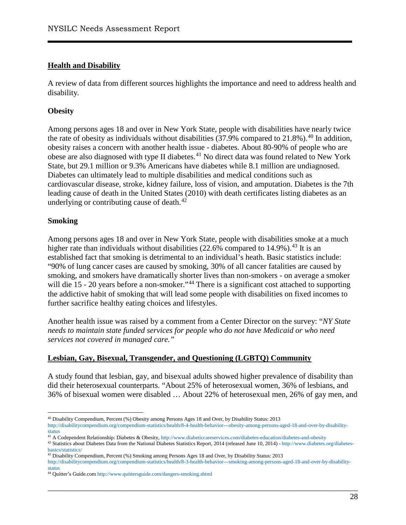#### **Health and Disability**

A review of data from different sources highlights the importance and need to address health and disability.

#### **Obesity**

Among persons ages 18 and over in New York State, people with disabilities have nearly twice the rate of obesity as individuals without disabilities  $(37.9\%$  compared to  $21.8\%$ ).<sup>[40](#page-28-0)</sup> In addition, obesity raises a concern with another health issue - diabetes. About 80-90% of people who are obese are also diagnosed with type II diabetes.<sup>[41](#page-28-1)</sup> No direct data was found related to New York State, but 29.1 million or 9.3% Americans have diabetes while 8.1 million are undiagnosed. Diabetes can ultimately lead to multiple disabilities and medical conditions such as cardiovascular disease, stroke, kidney failure, loss of vision, and amputation. Diabetes is the 7th leading cause of death in the United States (2010) with death certificates listing diabetes as an underlying or contributing cause of death. $42$ 

#### **Smoking**

Among persons ages 18 and over in New York State, people with disabilities smoke at a much higher rate than individuals without disabilities  $(22.6\%$  compared to 14.9%).<sup>[43](#page-28-3)</sup> It is an established fact that smoking is detrimental to an individual's heath. Basic statistics include: "90% of lung cancer cases are caused by smoking, 30% of all cancer fatalities are caused by smoking, and smokers have dramatically shorter lives than non-smokers - on average a smoker will die 15 - 20 years before a non-smoker."<sup>[44](#page-28-4)</sup> There is a significant cost attached to supporting the addictive habit of smoking that will lead some people with disabilities on fixed incomes to further sacrifice healthy eating choices and lifestyles.

Another health issue was raised by a comment from a Center Director on the survey: "*NY State needs to maintain state funded services for people who do not have Medicaid or who need services not covered in managed care."* 

#### **Lesbian, Gay, Bisexual, Transgender, and Questioning (LGBTQ) Community**

A study found that lesbian, gay, and bisexual adults showed higher prevalence of disability than did their heterosexual counterparts. "About 25% of heterosexual women, 36% of lesbians, and 36% of bisexual women were disabled … About 22% of heterosexual men, 26% of gay men, and

 <sup>40</sup> Disability Compendium, Percent (%) Obesity among Persons Ages 18 and Over, by Disability Status: 2013

<span id="page-28-0"></span>[http://disabilitycompendium.org/compendium-statistics/health/8-4-health-behavior---obesity-among-persons-aged-18-and-over-by-disability](http://disabilitycompendium.org/compendium-statistics/health/8-4-health-behavior---obesity-among-persons-aged-18-and-over-by-disability-status)[status](http://disabilitycompendium.org/compendium-statistics/health/8-4-health-behavior---obesity-among-persons-aged-18-and-over-by-disability-status)

<span id="page-28-1"></span><sup>41</sup> A Codependent Relationship: Diabetes & Obesity[, http://www.diabeticcareservices.com/diabetes-education/diabetes-and-obesity](http://www.diabeticcareservices.com/diabetes-education/diabetes-and-obesity)

<span id="page-28-2"></span><sup>&</sup>lt;sup>42</sup> Statistics about Diabetes Data from the National Diabetes Statistics Report, 2014 (released June 10, 2014) - [http://www.diabetes.org/diabetes](http://www.diabetes.org/diabetes-basics/statistics/)[basics/statistics/](http://www.diabetes.org/diabetes-basics/statistics/)

<sup>43</sup> Disability Compendium, Percent (%) Smoking among Persons Ages 18 and Over, by Disability Status: 2013

<span id="page-28-3"></span>[http://disabilitycompendium.org/compendium-statistics/health/8-3-health-behavior---smoking-among-persons-aged-18-and-over-by-disability](http://disabilitycompendium.org/compendium-statistics/health/8-3-health-behavior---smoking-among-persons-aged-18-and-over-by-disability-status)[status](http://disabilitycompendium.org/compendium-statistics/health/8-3-health-behavior---smoking-among-persons-aged-18-and-over-by-disability-status)

<span id="page-28-4"></span><sup>44</sup> Quitter's Guide.com<http://www.quittersguide.com/dangers-smoking.shtml>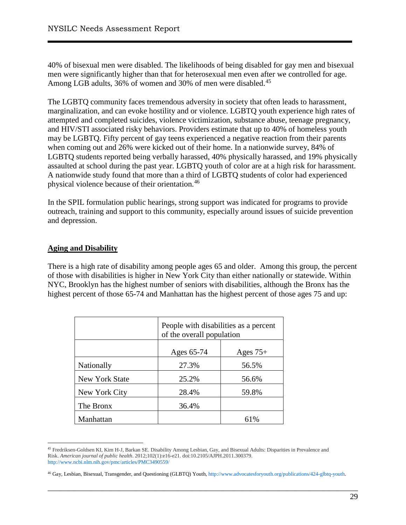40% of bisexual men were disabled. The likelihoods of being disabled for gay men and bisexual men were significantly higher than that for heterosexual men even after we controlled for age. Among LGB adults, 36% of women and 30% of men were disabled.<sup>[45](#page-29-0)</sup>

The LGBTQ community faces tremendous adversity in society that often leads to harassment, marginalization, and can evoke hostility and or violence. LGBTQ youth experience high rates of attempted and completed suicides, violence victimization, substance abuse, teenage pregnancy, and HIV/STI associated risky behaviors. Providers estimate that up to 40% of homeless youth may be LGBTQ. Fifty percent of gay teens experienced a negative reaction from their parents when coming out and 26% were kicked out of their home. In a nationwide survey, 84% of LGBTQ students reported being verbally harassed, 40% physically harassed, and 19% physically assaulted at school during the past year. LGBTQ youth of color are at a high risk for harassment. A nationwide study found that more than a third of LGBTQ students of color had experienced physical violence because of their orientation.[46](#page-29-1)

In the SPIL formulation public hearings, strong support was indicated for programs to provide outreach, training and support to this community, especially around issues of suicide prevention and depression.

## **Aging and Disability**

There is a high rate of disability among people ages 65 and older. Among this group, the percent of those with disabilities is higher in New York City than either nationally or statewide. Within NYC, Brooklyn has the highest number of seniors with disabilities, although the Bronx has the highest percent of those 65-74 and Manhattan has the highest percent of those ages 75 and up:

|                | People with disabilities as a percent<br>of the overall population |            |  |
|----------------|--------------------------------------------------------------------|------------|--|
|                | Ages 65-74                                                         | Ages $75+$ |  |
| Nationally     | 27.3%                                                              | 56.5%      |  |
| New York State | 25.2%                                                              | 56.6%      |  |
| New York City  | 28.4%                                                              | 59.8%      |  |
| The Bronx      | 36.4%                                                              |            |  |
| Manhattan      |                                                                    | 61%        |  |

<span id="page-29-0"></span> <sup>45</sup> Fredriksen-Goldsen KI, Kim H-J, Barkan SE. Disability Among Lesbian, Gay, and Bisexual Adults: Disparities in Prevalence and Risk. *American journal of public health*. 2012;102(1):e16-e21. doi:10.2105/AJPH.2011.300379. <http://www.ncbi.nlm.nih.gov/pmc/articles/PMC3490559/>

<span id="page-29-1"></span><sup>46</sup> Gay, Lesbian, Bisexual, Transgender, and Questioning (GLBTQ) Youth[, http://www.advocatesforyouth.org/publications/424-glbtq-youth.](http://www.advocatesforyouth.org/publications/424-glbtq-youth)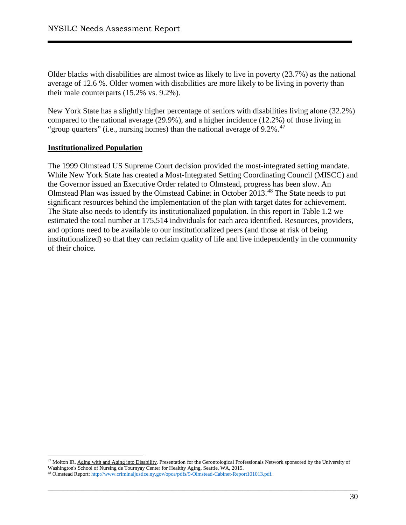Older blacks with disabilities are almost twice as likely to live in poverty (23.7%) as the national average of 12.6 %. Older women with disabilities are more likely to be living in poverty than their male counterparts (15.2% vs. 9.2%).

New York State has a slightly higher percentage of seniors with disabilities living alone (32.2%) compared to the national average (29.9%), and a higher incidence (12.2%) of those living in "group quarters" (i.e., nursing homes) than the national average of  $9.2\%$ .<sup>[47](#page-30-0)</sup>

#### **Institutionalized Population**

The 1999 Olmstead US Supreme Court decision provided the most-integrated setting mandate. While New York State has created a Most-Integrated Setting Coordinating Council (MISCC) and the Governor issued an Executive Order related to Olmstead, progress has been slow. An Olmstead Plan was issued by the Olmstead Cabinet in October 2013.<sup>[48](#page-30-1)</sup> The State needs to put significant resources behind the implementation of the plan with target dates for achievement. The State also needs to identify its institutionalized population. In this report in Table 1.2 we estimated the total number at 175,514 individuals for each area identified. Resources, providers, and options need to be available to our institutionalized peers (and those at risk of being institutionalized) so that they can reclaim quality of life and live independently in the community of their choice.

<span id="page-30-0"></span> <sup>47</sup> Molton IR, [Aging with and Aging into Disability.](http://agerrtc.washington.edu/node/214) Presentation for the Gerontological Professionals Network sponsored by the University of Washington's School of Nursing de Tournyay Center for Healthy Aging, Seattle, WA, 2015.

<span id="page-30-1"></span><sup>48</sup> Olmstead Report[: http://www.criminaljustice.ny.gov/opca/pdfs/9-Olmstead-Cabinet-Report101013.pdf.](http://www.criminaljustice.ny.gov/opca/pdfs/9-Olmstead-Cabinet-Report101013.pdf)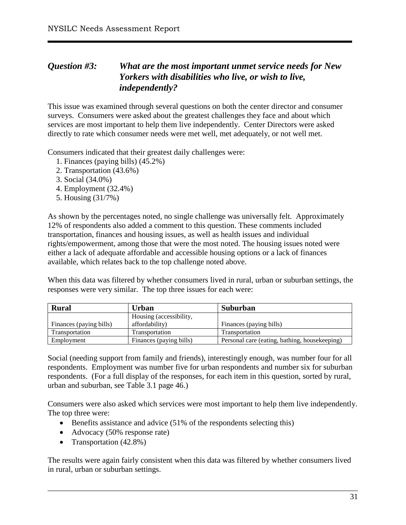# <span id="page-31-0"></span>*Question #3: What are the most important unmet service needs for New Yorkers with disabilities who live, or wish to live, independently?*

This issue was examined through several questions on both the center director and consumer surveys. Consumers were asked about the greatest challenges they face and about which services are most important to help them live independently. Center Directors were asked directly to rate which consumer needs were met well, met adequately, or not well met.

Consumers indicated that their greatest daily challenges were:

- 1. Finances (paying bills) (45.2%)
- 2. Transportation (43.6%)
- 3. Social (34.0%)
- 4. Employment (32.4%)
- 5. Housing (31/7%)

As shown by the percentages noted, no single challenge was universally felt. Approximately 12% of respondents also added a comment to this question. These comments included transportation, finances and housing issues, as well as health issues and individual rights/empowerment, among those that were the most noted. The housing issues noted were either a lack of adequate affordable and accessible housing options or a lack of finances available, which relates back to the top challenge noted above.

When this data was filtered by whether consumers lived in rural, urban or suburban settings, the responses were very similar. The top three issues for each were:

| <b>Rural</b><br><b>Urban</b> |                         | Suburban                                      |  |  |
|------------------------------|-------------------------|-----------------------------------------------|--|--|
|                              | Housing (accessibility, |                                               |  |  |
| Finances (paying bills)      | affordability)          | Finances (paying bills)                       |  |  |
| Transportation               | Transportation          | Transportation                                |  |  |
| Employment                   | Finances (paying bills) | Personal care (eating, bathing, housekeeping) |  |  |

Social (needing support from family and friends), interestingly enough, was number four for all respondents. Employment was number five for urban respondents and number six for suburban respondents. (For a full display of the responses, for each item in this question, sorted by rural, urban and suburban, see Table 3.1 page 46.)

Consumers were also asked which services were most important to help them live independently. The top three were:

- Benefits assistance and advice (51% of the respondents selecting this)
- Advocacy (50% response rate)
- Transportation (42.8%)

The results were again fairly consistent when this data was filtered by whether consumers lived in rural, urban or suburban settings.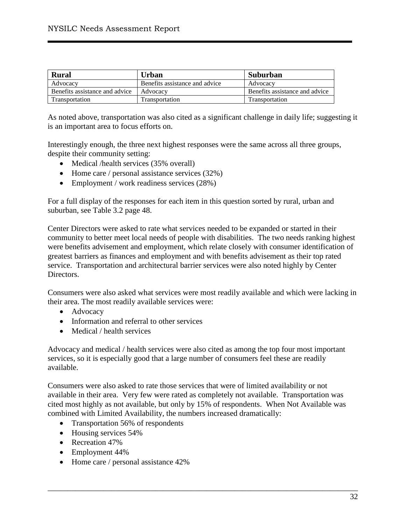| Rural                          | Urban                          | Suburban                       |
|--------------------------------|--------------------------------|--------------------------------|
| Advocacy                       | Benefits assistance and advice | Advocacy                       |
| Benefits assistance and advice | Advocacy                       | Benefits assistance and advice |
| Transportation                 | Transportation                 | Transportation                 |

As noted above, transportation was also cited as a significant challenge in daily life; suggesting it is an important area to focus efforts on.

Interestingly enough, the three next highest responses were the same across all three groups, despite their community setting:

- Medical /health services (35% overall)
- Home care / personal assistance services (32%)
- Employment / work readiness services (28%)

For a full display of the responses for each item in this question sorted by rural, urban and suburban, see Table 3.2 page 48.

Center Directors were asked to rate what services needed to be expanded or started in their community to better meet local needs of people with disabilities. The two needs ranking highest were benefits advisement and employment, which relate closely with consumer identification of greatest barriers as finances and employment and with benefits advisement as their top rated service. Transportation and architectural barrier services were also noted highly by Center Directors.

Consumers were also asked what services were most readily available and which were lacking in their area. The most readily available services were:

- Advocacy
- Information and referral to other services
- Medical / health services

Advocacy and medical / health services were also cited as among the top four most important services, so it is especially good that a large number of consumers feel these are readily available.

Consumers were also asked to rate those services that were of limited availability or not available in their area. Very few were rated as completely not available. Transportation was cited most highly as not available, but only by 15% of respondents. When Not Available was combined with Limited Availability, the numbers increased dramatically:

- Transportation 56% of respondents
- Housing services 54%
- Recreation 47%
- Employment 44%
- Home care / personal assistance 42%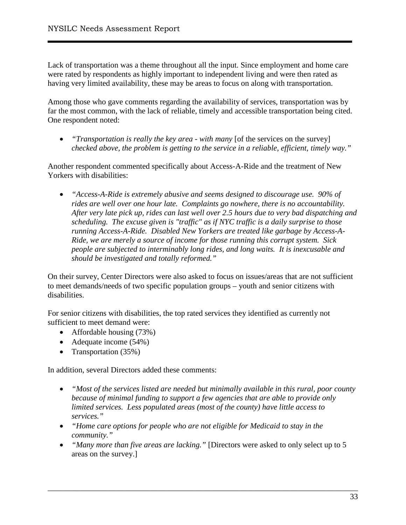Lack of transportation was a theme throughout all the input. Since employment and home care were rated by respondents as highly important to independent living and were then rated as having very limited availability, these may be areas to focus on along with transportation.

Among those who gave comments regarding the availability of services, transportation was by far the most common, with the lack of reliable, timely and accessible transportation being cited. One respondent noted:

• *"Transportation is really the key area - with many* [of the services on the survey] *checked above, the problem is getting to the service in a reliable, efficient, timely way."* 

Another respondent commented specifically about Access-A-Ride and the treatment of New Yorkers with disabilities:

• *"Access-A-Ride is extremely abusive and seems designed to discourage use. 90% of rides are well over one hour late. Complaints go nowhere, there is no accountability. After very late pick up, rides can last well over 2.5 hours due to very bad dispatching and scheduling. The excuse given is "traffic" as if NYC traffic is a daily surprise to those running Access-A-Ride. Disabled New Yorkers are treated like garbage by Access-A-Ride, we are merely a source of income for those running this corrupt system. Sick people are subjected to interminably long rides, and long waits. It is inexcusable and should be investigated and totally reformed."*

On their survey, Center Directors were also asked to focus on issues/areas that are not sufficient to meet demands/needs of two specific population groups – youth and senior citizens with disabilities.

For senior citizens with disabilities, the top rated services they identified as currently not sufficient to meet demand were:

- Affordable housing (73%)
- Adequate income (54%)
- Transportation (35%)

In addition, several Directors added these comments:

- *"Most of the services listed are needed but minimally available in this rural, poor county because of minimal funding to support a few agencies that are able to provide only limited services. Less populated areas (most of the county) have little access to services."*
- *"Home care options for people who are not eligible for Medicaid to stay in the community."*
- *"Many more than five areas are lacking."* [Directors were asked to only select up to 5 areas on the survey.]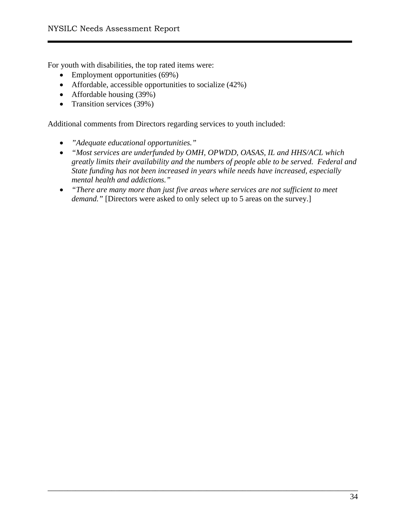For youth with disabilities, the top rated items were:

- Employment opportunities (69%)
- Affordable, accessible opportunities to socialize (42%)
- Affordable housing (39%)
- Transition services (39%)

Additional comments from Directors regarding services to youth included:

- *"Adequate educational opportunities."*
- *"Most services are underfunded by OMH, OPWDD, OASAS, IL and HHS/ACL which greatly limits their availability and the numbers of people able to be served. Federal and State funding has not been increased in years while needs have increased, especially mental health and addictions."*
- *"There are many more than just five areas where services are not sufficient to meet demand.*" [Directors were asked to only select up to 5 areas on the survey.]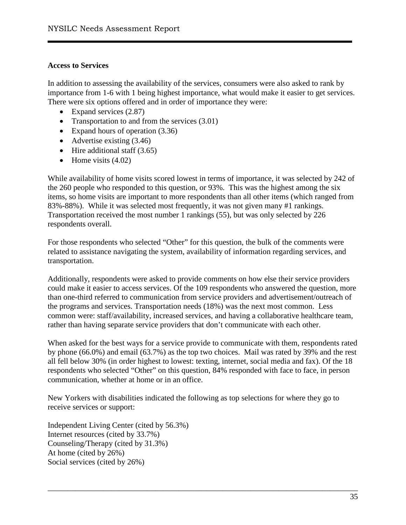#### **Access to Services**

In addition to assessing the availability of the services, consumers were also asked to rank by importance from 1-6 with 1 being highest importance, what would make it easier to get services. There were six options offered and in order of importance they were:

- Expand services  $(2.87)$
- Transportation to and from the services  $(3.01)$
- Expand hours of operation (3.36)
- Advertise existing  $(3.46)$
- Hire additional staff  $(3.65)$
- Home visits  $(4.02)$

While availability of home visits scored lowest in terms of importance, it was selected by 242 of the 260 people who responded to this question, or 93%. This was the highest among the six items, so home visits are important to more respondents than all other items (which ranged from 83%-88%). While it was selected most frequently, it was not given many #1 rankings. Transportation received the most number 1 rankings (55), but was only selected by 226 respondents overall.

For those respondents who selected "Other" for this question, the bulk of the comments were related to assistance navigating the system, availability of information regarding services, and transportation.

Additionally, respondents were asked to provide comments on how else their service providers could make it easier to access services. Of the 109 respondents who answered the question, more than one-third referred to communication from service providers and advertisement/outreach of the programs and services. Transportation needs (18%) was the next most common. Less common were: staff/availability, increased services, and having a collaborative healthcare team, rather than having separate service providers that don't communicate with each other.

When asked for the best ways for a service provide to communicate with them, respondents rated by phone (66.0%) and email (63.7%) as the top two choices. Mail was rated by 39% and the rest all fell below 30% (in order highest to lowest: texting, internet, social media and fax). Of the 18 respondents who selected "Other" on this question, 84% responded with face to face, in person communication, whether at home or in an office.

New Yorkers with disabilities indicated the following as top selections for where they go to receive services or support:

\_\_\_\_\_\_\_\_\_\_\_\_\_\_\_\_\_\_\_\_\_\_\_\_\_\_\_\_\_\_\_\_\_\_\_\_\_\_\_\_\_\_\_\_\_\_\_\_\_\_\_\_\_\_\_\_\_\_\_\_\_\_\_\_\_\_\_\_\_\_\_\_\_\_\_\_\_\_

Independent Living Center (cited by 56.3%) Internet resources (cited by 33.7%) Counseling/Therapy (cited by 31.3%) At home (cited by 26%) Social services (cited by 26%)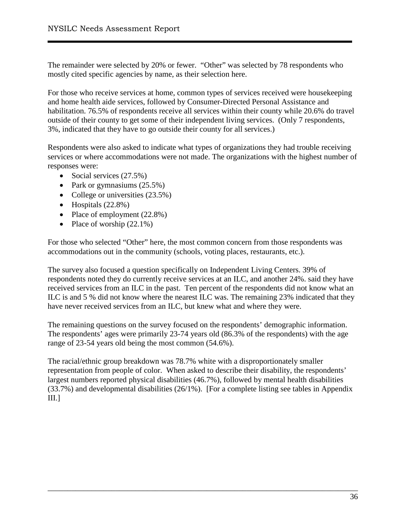The remainder were selected by 20% or fewer. "Other" was selected by 78 respondents who mostly cited specific agencies by name, as their selection here.

For those who receive services at home, common types of services received were housekeeping and home health aide services, followed by Consumer-Directed Personal Assistance and habilitation. 76.5% of respondents receive all services within their county while 20.6% do travel outside of their county to get some of their independent living services. (Only 7 respondents, 3%, indicated that they have to go outside their county for all services.)

Respondents were also asked to indicate what types of organizations they had trouble receiving services or where accommodations were not made. The organizations with the highest number of responses were:

- Social services  $(27.5%)$
- Park or gymnasiums  $(25.5\%)$
- College or universities  $(23.5%)$
- Hospitals  $(22.8\%)$
- Place of employment (22.8%)
- Place of worship  $(22.1\%)$

For those who selected "Other" here, the most common concern from those respondents was accommodations out in the community (schools, voting places, restaurants, etc.).

The survey also focused a question specifically on Independent Living Centers. 39% of respondents noted they do currently receive services at an ILC, and another 24%. said they have received services from an ILC in the past. Ten percent of the respondents did not know what an ILC is and 5 % did not know where the nearest ILC was. The remaining 23% indicated that they have never received services from an ILC, but knew what and where they were.

The remaining questions on the survey focused on the respondents' demographic information. The respondents' ages were primarily 23-74 years old (86.3% of the respondents) with the age range of 23-54 years old being the most common (54.6%).

The racial/ethnic group breakdown was 78.7% white with a disproportionately smaller representation from people of color. When asked to describe their disability, the respondents' largest numbers reported physical disabilities (46.7%), followed by mental health disabilities (33.7%) and developmental disabilities (26/1%). [For a complete listing see tables in Appendix III.]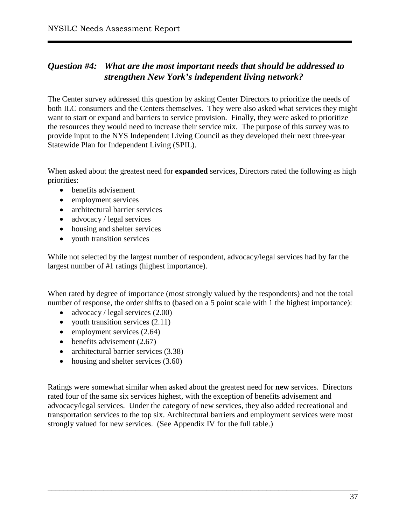# *Question #4: What are the most important needs that should be addressed to strengthen New York's independent living network?*

The Center survey addressed this question by asking Center Directors to prioritize the needs of both ILC consumers and the Centers themselves. They were also asked what services they might want to start or expand and barriers to service provision. Finally, they were asked to prioritize the resources they would need to increase their service mix. The purpose of this survey was to provide input to the NYS Independent Living Council as they developed their next three-year Statewide Plan for Independent Living (SPIL).

When asked about the greatest need for **expanded** services, Directors rated the following as high priorities:

- benefits advisement
- employment services
- architectural barrier services
- advocacy / legal services
- housing and shelter services
- youth transition services

While not selected by the largest number of respondent, advocacy/legal services had by far the largest number of #1 ratings (highest importance).

When rated by degree of importance (most strongly valued by the respondents) and not the total number of response, the order shifts to (based on a 5 point scale with 1 the highest importance):

- advocacy / legal services  $(2.00)$
- youth transition services  $(2.11)$
- employment services  $(2.64)$
- $\bullet$  benefits advisement (2.67)
- architectural barrier services (3.38)
- housing and shelter services (3.60)

Ratings were somewhat similar when asked about the greatest need for **new** services. Directors rated four of the same six services highest, with the exception of benefits advisement and advocacy/legal services. Under the category of new services, they also added recreational and transportation services to the top six. Architectural barriers and employment services were most strongly valued for new services. (See Appendix IV for the full table.)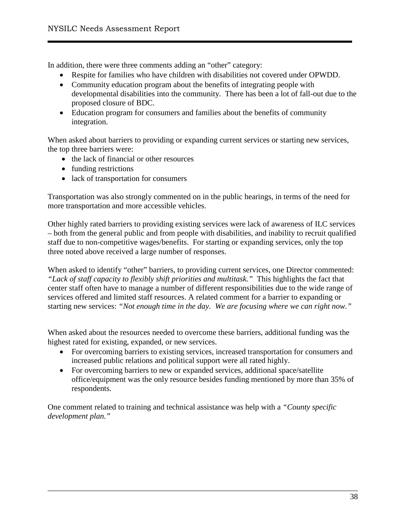In addition, there were three comments adding an "other" category:

- Respite for families who have children with disabilities not covered under OPWDD.
- Community education program about the benefits of integrating people with developmental disabilities into the community. There has been a lot of fall-out due to the proposed closure of BDC.
- Education program for consumers and families about the benefits of community integration.

When asked about barriers to providing or expanding current services or starting new services, the top three barriers were:

- the lack of financial or other resources
- funding restrictions
- lack of transportation for consumers

Transportation was also strongly commented on in the public hearings, in terms of the need for more transportation and more accessible vehicles.

Other highly rated barriers to providing existing services were lack of awareness of ILC services – both from the general public and from people with disabilities, and inability to recruit qualified staff due to non-competitive wages/benefits. For starting or expanding services, only the top three noted above received a large number of responses.

When asked to identify "other" barriers, to providing current services, one Director commented: *"Lack of staff capacity to flexibly shift priorities and multitask."* This highlights the fact that center staff often have to manage a number of different responsibilities due to the wide range of services offered and limited staff resources. A related comment for a barrier to expanding or starting new services: *"Not enough time in the day. We are focusing where we can right now."*

When asked about the resources needed to overcome these barriers, additional funding was the highest rated for existing, expanded, or new services.

- For overcoming barriers to existing services, increased transportation for consumers and increased public relations and political support were all rated highly.
- For overcoming barriers to new or expanded services, additional space/satellite office/equipment was the only resource besides funding mentioned by more than 35% of respondents.

One comment related to training and technical assistance was help with a *"County specific development plan."*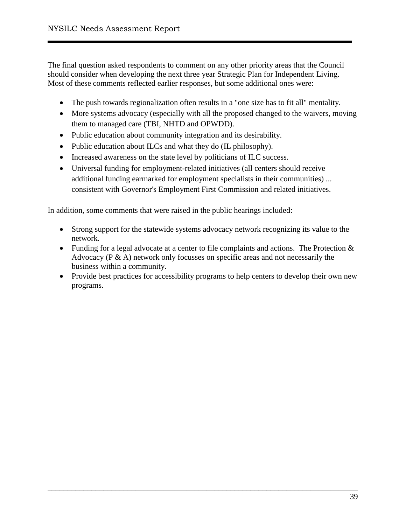The final question asked respondents to comment on any other priority areas that the Council should consider when developing the next three year Strategic Plan for Independent Living. Most of these comments reflected earlier responses, but some additional ones were:

- The push towards regionalization often results in a "one size has to fit all" mentality.
- More systems advocacy (especially with all the proposed changed to the waivers, moving them to managed care (TBI, NHTD and OPWDD).
- Public education about community integration and its desirability.
- Public education about ILCs and what they do (IL philosophy).
- Increased awareness on the state level by politicians of ILC success.
- Universal funding for employment-related initiatives (all centers should receive additional funding earmarked for employment specialists in their communities) ... consistent with Governor's Employment First Commission and related initiatives.

In addition, some comments that were raised in the public hearings included:

- Strong support for the statewide systems advocacy network recognizing its value to the network.
- Funding for a legal advocate at a center to file complaints and actions. The Protection & Advocacy (P & A) network only focusses on specific areas and not necessarily the business within a community.
- Provide best practices for accessibility programs to help centers to develop their own new programs.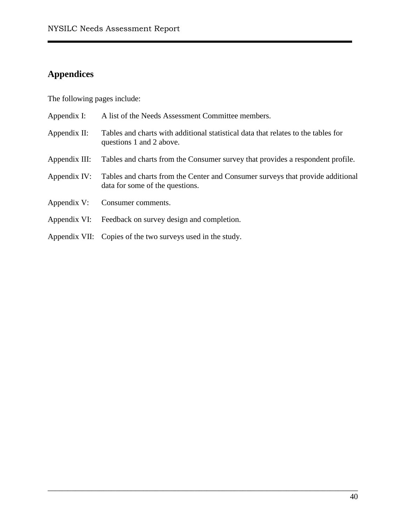# **Appendices**

The following pages include:

| Appendix I:   | A list of the Needs Assessment Committee members.                                                                 |
|---------------|-------------------------------------------------------------------------------------------------------------------|
| Appendix II:  | Tables and charts with additional statistical data that relates to the tables for<br>questions 1 and 2 above.     |
| Appendix III: | Tables and charts from the Consumer survey that provides a respondent profile.                                    |
| Appendix IV:  | Tables and charts from the Center and Consumer surveys that provide additional<br>data for some of the questions. |
| Appendix V:   | Consumer comments.                                                                                                |
| Appendix VI:  | Feedback on survey design and completion.                                                                         |
|               | Appendix VII: Copies of the two surveys used in the study.                                                        |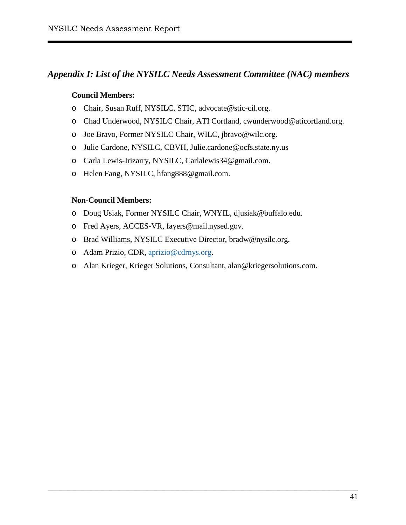# *Appendix I: List of the NYSILC Needs Assessment Committee (NAC) members*

#### **Council Members:**

- o Chair, Susan Ruff, NYSILC, STIC, [advocate@stic-cil.org.](mailto:advocate@stic-cil.org)
- o Chad Underwood, NYSILC Chair, ATI Cortland, [cwunderwood@aticortland.org.](mailto:cwunderwood@aticortland.org)
- o Joe Bravo, Former NYSILC Chair, WILC, [jbravo@wilc.org.](mailto:jbravo@wilc.org)
- o Julie Cardone, NYSILC, CBVH, [Julie.cardone@ocfs.state.ny.us](mailto:Julie.cardone@ocfs.state.ny.us)
- o Carla Lewis-Irizarry, NYSILC, [Carlalewis34@gmail.com.](mailto:Carlalewis34@gmail.com)
- o Helen Fang, NYSILC, hfang888@gmail.com.

#### **Non-Council Members:**

- o Doug Usiak, Former NYSILC Chair, WNYIL, [djusiak@buffalo.edu.](mailto:djusiak@buffalo.edu)
- o Fred Ayers, ACCES-VR, [fayers@mail.nysed.gov.](mailto:fayers@mail.nysed.gov)
- o Brad Williams, NYSILC Executive Director, [bradw@nysilc.org.](mailto:bradw@nysilc.org)
- o Adam Prizio, CDR, [aprizio@cdrnys.org.](mailto:aprizio@cdrnys.org)
- o Alan Krieger, Krieger Solutions, Consultant, [alan@kriegersolutions.com.](mailto:alan@kriegersolutions.com)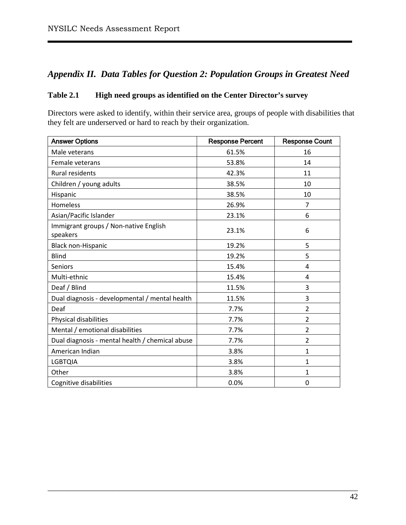# *Appendix II. Data Tables for Question 2: Population Groups in Greatest Need*

## **Table 2.1 High need groups as identified on the Center Director's survey**

Directors were asked to identify, within their service area, groups of people with disabilities that they felt are underserved or hard to reach by their organization.

| <b>Answer Options</b>                             | <b>Response Percent</b> | <b>Response Count</b> |
|---------------------------------------------------|-------------------------|-----------------------|
| Male veterans                                     | 61.5%                   | 16                    |
| Female veterans                                   | 53.8%                   | 14                    |
| <b>Rural residents</b>                            | 42.3%                   | 11                    |
| Children / young adults                           | 38.5%                   | 10                    |
| Hispanic                                          | 38.5%                   | 10                    |
| Homeless                                          | 26.9%                   | 7                     |
| Asian/Pacific Islander                            | 23.1%                   | 6                     |
| Immigrant groups / Non-native English<br>speakers | 23.1%                   | 6                     |
| Black non-Hispanic                                | 19.2%                   | 5                     |
| <b>Blind</b>                                      | 19.2%                   | 5                     |
| <b>Seniors</b>                                    | 15.4%                   | 4                     |
| Multi-ethnic                                      | 15.4%                   | 4                     |
| Deaf / Blind                                      | 11.5%                   | 3                     |
| Dual diagnosis - developmental / mental health    | 11.5%                   | 3                     |
| Deaf                                              | 7.7%                    | $\overline{2}$        |
| Physical disabilities                             | 7.7%                    | $\overline{2}$        |
| Mental / emotional disabilities                   | 7.7%                    | $\overline{2}$        |
| Dual diagnosis - mental health / chemical abuse   | 7.7%                    | $\overline{2}$        |
| American Indian                                   | 3.8%                    | $\mathbf{1}$          |
| <b>LGBTQIA</b>                                    | 3.8%                    | $\mathbf{1}$          |
| Other                                             | 3.8%                    | $\mathbf{1}$          |
| Cognitive disabilities                            | 0.0%                    | 0                     |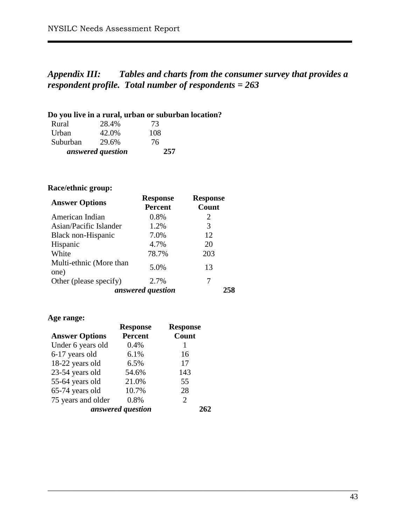# *Appendix III: Tables and charts from the consumer survey that provides a respondent profile. Total number of respondents = 263*

\_\_\_\_\_\_\_\_\_\_\_\_\_\_\_\_\_\_\_\_\_\_\_\_\_\_\_\_\_\_\_\_\_\_\_\_\_\_\_\_\_\_\_\_\_\_\_\_\_\_\_\_\_\_\_\_\_\_\_\_\_\_\_\_\_\_\_\_\_\_\_\_\_\_\_\_\_\_

## **Do you live in a rural, urban or suburban location?**

| Rural    | 28.4%             | 73  |
|----------|-------------------|-----|
| Urban    | 42.0%             | 108 |
| Suburban | 29.6%             | 76  |
|          | answered question | 257 |

## **Race/ethnic group:**

| <b>Answer Options</b>           | <b>Response</b><br><b>Percent</b> | <b>Response</b><br>Count |
|---------------------------------|-----------------------------------|--------------------------|
| American Indian                 | 0.8%                              | 2                        |
| Asian/Pacific Islander          | 1.2%                              | 3                        |
| Black non-Hispanic              | 7.0%                              | 12                       |
| Hispanic                        | 4.7%                              | 20                       |
| White                           | 78.7%                             | 203                      |
| Multi-ethnic (More than<br>one) | 5.0%                              | 13                       |
| Other (please specify)          | 2.7%                              | 7                        |
|                                 | answered question                 |                          |

#### **Age range:**

|                       | <b>Response</b>   | <b>Response</b>             |
|-----------------------|-------------------|-----------------------------|
| <b>Answer Options</b> | <b>Percent</b>    | Count                       |
| Under 6 years old     | 0.4%              |                             |
| 6-17 years old        | 6.1%              | 16                          |
| 18-22 years old       | 6.5%              | 17                          |
| 23-54 years old       | 54.6%             | 143                         |
| 55-64 years old       | 21.0%             | 55                          |
| 65-74 years old       | 10.7%             | 28                          |
| 75 years and older    | 0.8%              | $\mathcal{D}_{\mathcal{L}}$ |
|                       | answered question |                             |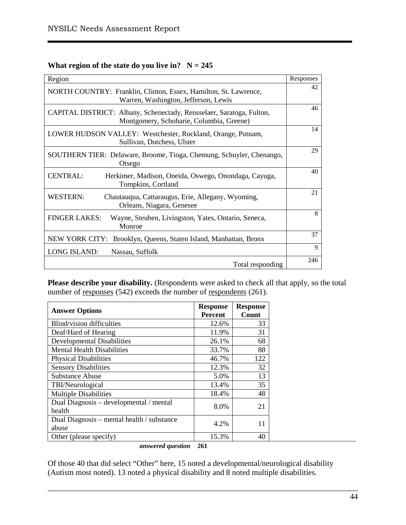#### **What region of the state do you live in?**  $N = 245$

| Region                                                                                                           | Responses |
|------------------------------------------------------------------------------------------------------------------|-----------|
| NORTH COUNTRY: Franklin, Clinton, Essex, Hamilton, St. Lawrence,<br>Warren, Washington, Jefferson, Lewis         | 42        |
| CAPITAL DISTRICT: Albany, Schenectady, Rensselaer, Saratoga, Fulton,<br>Montgomery, Schoharie, Columbia, Greene) | 46        |
| LOWER HUDSON VALLEY: Westchester, Rockland, Orange, Putnam,<br>Sullivan, Dutchess, Ulster                        | 14        |
| SOUTHERN TIER: Delaware, Broome, Tioga, Chemung, Schuyler, Chenango,<br>Otsego                                   | 29        |
| <b>CENTRAL:</b><br>Herkimer, Madison, Oneida, Oswego, Onondaga, Cayuga,<br>Tompkins, Cortland                    | 40        |
| <b>WESTERN:</b><br>Chautauqua, Cattaraugus, Erie, Allegany, Wyoming,<br>Orleans, Niagara, Genesee                | 21        |
| <b>FINGER LAKES:</b><br>Wayne, Steuben, Livingston, Yates, Ontario, Seneca,<br>Monroe                            | 8         |
| NEW YORK CITY: Brooklyn, Queens, Staten Island, Manhattan, Bronx                                                 | 37        |
| <b>LONG ISLAND:</b><br>Nassau, Suffolk                                                                           | 9         |
| Total responding                                                                                                 | 246       |

Please describe your disability. (Respondents were asked to check all that apply, so the total number of responses (542) exceeds the number of respondents (261).

| <b>Answer Options</b>                      | <b>Response</b><br><b>Percent</b> | <b>Response</b><br>Count |
|--------------------------------------------|-----------------------------------|--------------------------|
| Blind/vision difficulties                  | 12.6%                             | 33                       |
|                                            |                                   |                          |
| Deaf/Hard of Hearing                       | 11.9%                             | 31                       |
| <b>Developmental Disabilities</b>          | 26.1%                             | 68                       |
| <b>Mental Health Disabilities</b>          | 33.7%                             | 88                       |
| <b>Physical Disabilities</b>               | 46.7%                             | 122                      |
| <b>Sensory Disabilities</b>                | 12.3%                             | 32                       |
| <b>Substance Abuse</b>                     | 5.0%                              | 13                       |
| TBI/Neurological                           | 13.4%                             | 35                       |
| <b>Multiple Disabilities</b>               | 18.4%                             | 48                       |
| Dual Diagnosis – developmental / mental    | 8.0%                              | 21                       |
| health                                     |                                   |                          |
| Dual Diagnosis – mental health / substance | 4.2%                              | 11                       |
| abuse                                      |                                   |                          |
| Other (please specify)                     | 15.3%                             | 40                       |

*answered question* **261**

Of those 40 that did select "Other" here, 15 noted a developmental/neurological disability (Autism most noted). 13 noted a physical disability and 8 noted multiple disabilities.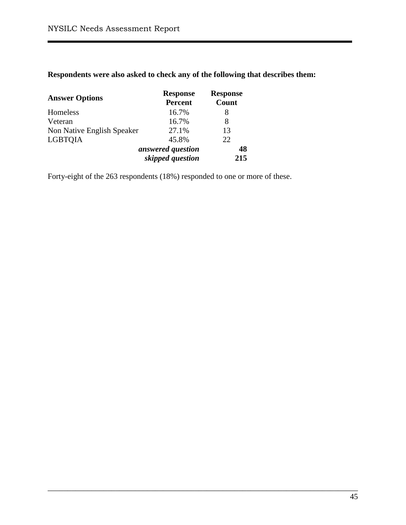# **Respondents were also asked to check any of the following that describes them:**

| <b>Answer Options</b>      | <b>Response</b><br><b>Percent</b>     | <b>Response</b><br>Count |
|----------------------------|---------------------------------------|--------------------------|
| Homeless                   | 16.7%                                 | 8                        |
| Veteran                    | 16.7%                                 | 8                        |
| Non Native English Speaker | 27.1%                                 | 13                       |
| <b>LGBTOIA</b>             | 45.8%                                 | 22                       |
|                            | answered question<br>skipped question | 48<br>215                |

Forty-eight of the 263 respondents (18%) responded to one or more of these.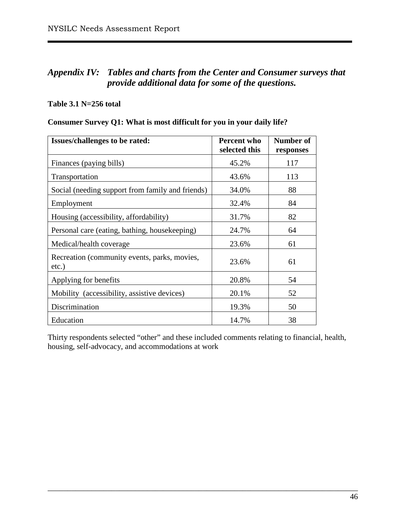# *Appendix IV: Tables and charts from the Center and Consumer surveys that provide additional data for some of the questions.*

#### **Table 3.1 N=256 total**

## **Consumer Survey Q1: What is most difficult for you in your daily life?**

| Issues/challenges to be rated:                        | <b>Percent who</b><br>selected this | Number of<br>responses |
|-------------------------------------------------------|-------------------------------------|------------------------|
| Finances (paying bills)                               | 45.2%                               | 117                    |
| Transportation                                        | 43.6%                               | 113                    |
| Social (needing support from family and friends)      | 34.0%                               | 88                     |
| Employment                                            | 32.4%                               | 84                     |
| Housing (accessibility, affordability)                | 31.7%                               | 82                     |
| Personal care (eating, bathing, housekeeping)         | 24.7%                               | 64                     |
| Medical/health coverage                               | 23.6%                               | 61                     |
| Recreation (community events, parks, movies,<br>etc.) | 23.6%                               | 61                     |
| Applying for benefits                                 | 20.8%                               | 54                     |
| Mobility (accessibility, assistive devices)           | 20.1%                               | 52                     |
| Discrimination                                        | 19.3%                               | 50                     |
| Education                                             | 14.7%                               | 38                     |

Thirty respondents selected "other" and these included comments relating to financial, health, housing, self-advocacy, and accommodations at work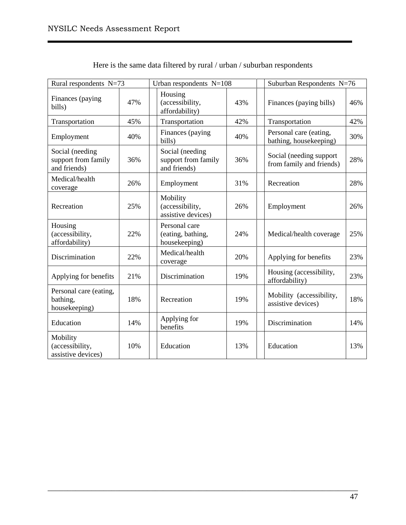| Rural respondents N=73                                 |     | Urban respondents $N=108$                              |     | Suburban Respondents N=76                           |     |
|--------------------------------------------------------|-----|--------------------------------------------------------|-----|-----------------------------------------------------|-----|
| Finances (paying<br>bills)                             | 47% | Housing<br>(accessibility,<br>affordability)           | 43% | Finances (paying bills)                             | 46% |
| Transportation                                         | 45% | Transportation                                         | 42% | Transportation                                      | 42% |
| Employment                                             | 40% | Finances (paying<br>bills)                             | 40% | Personal care (eating,<br>bathing, housekeeping)    | 30% |
| Social (needing<br>support from family<br>and friends) | 36% | Social (needing<br>support from family<br>and friends) | 36% | Social (needing support<br>from family and friends) | 28% |
| Medical/health<br>coverage                             | 26% | Employment                                             | 31% | Recreation                                          | 28% |
| Recreation                                             | 25% | Mobility<br>(accessibility,<br>assistive devices)      | 26% | Employment                                          | 26% |
| Housing<br>(accessibility,<br>affordability)           | 22% | Personal care<br>(eating, bathing,<br>housekeeping)    | 24% | Medical/health coverage                             | 25% |
| Discrimination                                         | 22% | Medical/health<br>coverage                             | 20% | Applying for benefits                               | 23% |
| Applying for benefits                                  | 21% | Discrimination                                         | 19% | Housing (accessibility,<br>affordability)           | 23% |
| Personal care (eating,<br>bathing,<br>housekeeping)    | 18% | Recreation                                             | 19% | Mobility (accessibility,<br>assistive devices)      | 18% |
| Education                                              | 14% | Applying for<br>benefits                               | 19% | Discrimination                                      | 14% |
| Mobility<br>(accessibility,<br>assistive devices)      | 10% | Education                                              | 13% | Education                                           | 13% |

Here is the same data filtered by rural / urban / suburban respondents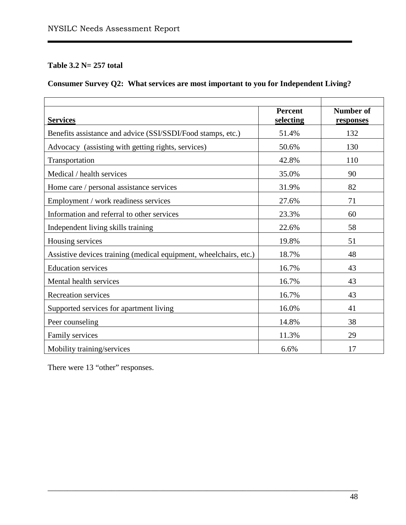# **Table 3.2 N= 257 total**

# **Consumer Survey Q2: What services are most important to you for Independent Living?**

| <b>Services</b>                                                   | <b>Percent</b><br>selecting | <b>Number of</b><br>responses |
|-------------------------------------------------------------------|-----------------------------|-------------------------------|
| Benefits assistance and advice (SSI/SSDI/Food stamps, etc.)       | 51.4%                       | 132                           |
| Advocacy (assisting with getting rights, services)                | 50.6%                       | 130                           |
| Transportation                                                    | 42.8%                       | 110                           |
| Medical / health services                                         | 35.0%                       | 90                            |
| Home care / personal assistance services                          | 31.9%                       | 82                            |
| Employment / work readiness services                              | 27.6%                       | 71                            |
| Information and referral to other services                        | 23.3%                       | 60                            |
| Independent living skills training                                | 22.6%                       | 58                            |
| Housing services                                                  | 19.8%                       | 51                            |
| Assistive devices training (medical equipment, wheelchairs, etc.) | 18.7%                       | 48                            |
| <b>Education services</b>                                         | 16.7%                       | 43                            |
| Mental health services                                            | 16.7%                       | 43                            |
| <b>Recreation services</b>                                        | 16.7%                       | 43                            |
| Supported services for apartment living                           | 16.0%                       | 41                            |
| Peer counseling                                                   | 14.8%                       | 38                            |
| Family services                                                   | 11.3%                       | 29                            |
| Mobility training/services                                        | 6.6%                        | 17                            |

\_\_\_\_\_\_\_\_\_\_\_\_\_\_\_\_\_\_\_\_\_\_\_\_\_\_\_\_\_\_\_\_\_\_\_\_\_\_\_\_\_\_\_\_\_\_\_\_\_\_\_\_\_\_\_\_\_\_\_\_\_\_\_\_\_\_\_\_\_\_\_\_\_\_\_\_\_\_

There were 13 "other" responses.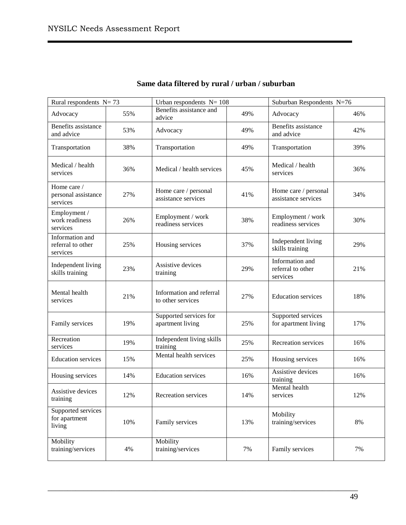| Rural respondents $N = 73$                       |     | Urban respondents $N = 108$                   |     | Suburban Respondents N=76                        |     |
|--------------------------------------------------|-----|-----------------------------------------------|-----|--------------------------------------------------|-----|
| Advocacy                                         | 55% | Benefits assistance and<br>advice             | 49% | Advocacy                                         | 46% |
| Benefits assistance<br>and advice                | 53% | Advocacy                                      | 49% | Benefits assistance<br>and advice                | 42% |
| Transportation                                   | 38% | Transportation                                | 49% | Transportation                                   | 39% |
| Medical / health<br>services                     | 36% | Medical / health services                     | 45% | Medical / health<br>services                     | 36% |
| Home care /<br>personal assistance<br>services   | 27% | Home care / personal<br>assistance services   | 41% | Home care / personal<br>assistance services      | 34% |
| Employment /<br>work readiness<br>services       | 26% | Employment / work<br>readiness services       | 38% | Employment / work<br>readiness services          | 30% |
| Information and<br>referral to other<br>services | 25% | Housing services                              | 37% | Independent living<br>skills training            | 29% |
| Independent living<br>skills training            | 23% | Assistive devices<br>training                 | 29% | Information and<br>referral to other<br>services | 21% |
| Mental health<br>services                        | 21% | Information and referral<br>to other services | 27% | <b>Education services</b>                        | 18% |
| Family services                                  | 19% | Supported services for<br>apartment living    | 25% | Supported services<br>for apartment living       | 17% |
| Recreation<br>services                           | 19% | Independent living skills<br>training         | 25% | Recreation services                              | 16% |
| <b>Education services</b>                        | 15% | Mental health services                        | 25% | Housing services                                 | 16% |
| Housing services                                 | 14% | <b>Education services</b>                     | 16% | Assistive devices<br>training                    | 16% |
| Assistive devices<br>training                    | 12% | Recreation services                           | 14% | Mental health<br>services                        | 12% |
| Supported services<br>for apartment<br>living    | 10% | Family services                               | 13% | Mobility<br>training/services                    | 8%  |
| Mobility<br>training/services                    | 4%  | Mobility<br>training/services                 | 7%  | Family services                                  | 7%  |

# **Same data filtered by rural / urban / suburban**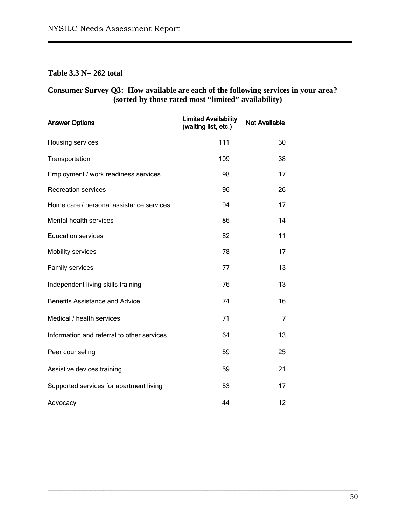## **Table 3.3 N= 262 total**

#### **Consumer Survey Q3: How available are each of the following services in your area? (sorted by those rated most "limited" availability)**

| <b>Answer Options</b>                      | <b>Limited Availability</b><br>(waiting list, etc.) | <b>Not Available</b> |
|--------------------------------------------|-----------------------------------------------------|----------------------|
| Housing services                           | 111                                                 | 30                   |
| Transportation                             | 109                                                 | 38                   |
| Employment / work readiness services       | 98                                                  | 17                   |
| <b>Recreation services</b>                 | 96                                                  | 26                   |
| Home care / personal assistance services   | 94                                                  | 17                   |
| Mental health services                     | 86                                                  | 14                   |
| <b>Education services</b>                  | 82                                                  | 11                   |
| Mobility services                          | 78                                                  | 17                   |
| Family services                            | 77                                                  | 13                   |
| Independent living skills training         | 76                                                  | 13                   |
| <b>Benefits Assistance and Advice</b>      | 74                                                  | 16                   |
| Medical / health services                  | 71                                                  | 7                    |
| Information and referral to other services | 64                                                  | 13                   |
| Peer counseling                            | 59                                                  | 25                   |
| Assistive devices training                 | 59                                                  | 21                   |
| Supported services for apartment living    | 53                                                  | 17                   |
| Advocacy                                   | 44                                                  | 12                   |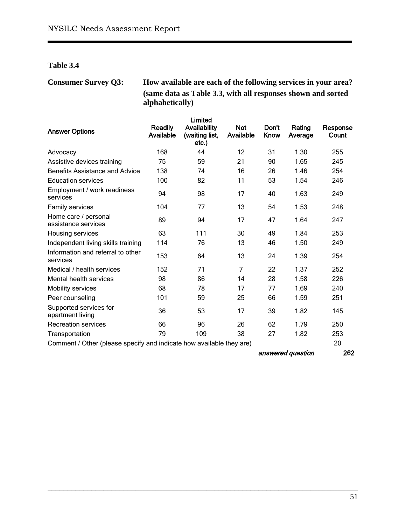**Table 3.4**

**Consumer Survey Q3: How available are each of the following services in your area? (same data as Table 3.3, with all responses shown and sorted alphabetically)**

| <b>Answer Options</b>                                                | Readily<br>Available | Limited<br>Availability<br>(waiting list, | <b>Not</b><br>Available | Don't<br>Know | Rating<br>Average | Response<br>Count |
|----------------------------------------------------------------------|----------------------|-------------------------------------------|-------------------------|---------------|-------------------|-------------------|
|                                                                      |                      | $etc.$ )                                  |                         |               |                   |                   |
| Advocacy                                                             | 168                  | 44                                        | 12                      | 31            | 1.30              | 255               |
| Assistive devices training                                           | 75                   | 59                                        | 21                      | 90            | 1.65              | 245               |
| Benefits Assistance and Advice                                       | 138                  | 74                                        | 16                      | 26            | 1.46              | 254               |
| <b>Education services</b>                                            | 100                  | 82                                        | 11                      | 53            | 1.54              | 246               |
| Employment / work readiness<br>services                              | 94                   | 98                                        | 17                      | 40            | 1.63              | 249               |
| Family services                                                      | 104                  | 77                                        | 13                      | 54            | 1.53              | 248               |
| Home care / personal<br>assistance services                          | 89                   | 94                                        | 17                      | 47            | 1.64              | 247               |
| Housing services                                                     | 63                   | 111                                       | 30                      | 49            | 1.84              | 253               |
| Independent living skills training                                   | 114                  | 76                                        | 13                      | 46            | 1.50              | 249               |
| Information and referral to other<br>services                        | 153                  | 64                                        | 13                      | 24            | 1.39              | 254               |
| Medical / health services                                            | 152                  | 71                                        | $\overline{7}$          | 22            | 1.37              | 252               |
| Mental health services                                               | 98                   | 86                                        | 14                      | 28            | 1.58              | 226               |
| <b>Mobility services</b>                                             | 68                   | 78                                        | 17                      | 77            | 1.69              | 240               |
| Peer counseling                                                      | 101                  | 59                                        | 25                      | 66            | 1.59              | 251               |
| Supported services for<br>apartment living                           | 36                   | 53                                        | 17                      | 39            | 1.82              | 145               |
| <b>Recreation services</b>                                           | 66                   | 96                                        | 26                      | 62            | 1.79              | 250               |
| Transportation                                                       | 79                   | 109                                       | 38                      | 27            | 1.82              | 253               |
| Comment / Other (please specify and indicate how available they are) |                      |                                           |                         |               |                   | 20                |

\_\_\_\_\_\_\_\_\_\_\_\_\_\_\_\_\_\_\_\_\_\_\_\_\_\_\_\_\_\_\_\_\_\_\_\_\_\_\_\_\_\_\_\_\_\_\_\_\_\_\_\_\_\_\_\_\_\_\_\_\_\_\_\_\_\_\_\_\_\_\_\_\_\_\_\_\_\_

answered question 262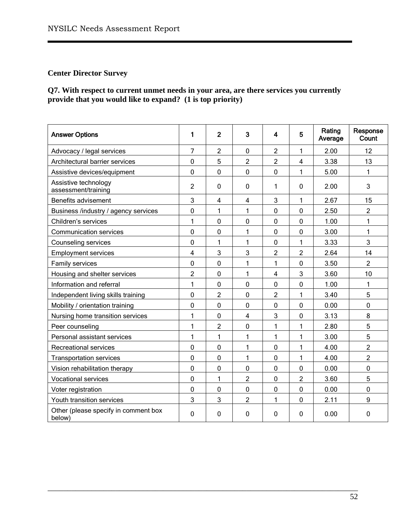## **Center Director Survey**

**Q7. With respect to current unmet needs in your area, are there services you currently provide that you would like to expand? (1 is top priority)**

| <b>Answer Options</b>                          | 1              | $\overline{2}$ | 3              | 4              | 5              | Rating<br>Average | Response<br>Count |
|------------------------------------------------|----------------|----------------|----------------|----------------|----------------|-------------------|-------------------|
| Advocacy / legal services                      | 7              | $\overline{2}$ | $\mathbf 0$    | $\overline{c}$ | 1              | 2.00              | 12                |
| Architectural barrier services                 | 0              | 5              | $\overline{2}$ | $\overline{2}$ | $\overline{4}$ | 3.38              | 13                |
| Assistive devices/equipment                    | 0              | $\mathbf 0$    | $\overline{0}$ | $\mathbf 0$    | 1              | 5.00              | 1                 |
| Assistive technology<br>assessment/training    | $\overline{2}$ | $\mathbf{0}$   | $\mathbf{0}$   | 1              | $\mathbf{0}$   | 2.00              | 3                 |
| Benefits advisement                            | 3              | 4              | 4              | 3              | 1              | 2.67              | 15                |
| Business /industry / agency services           | 0              | 1              | 1              | 0              | $\overline{0}$ | 2.50              | $\overline{c}$    |
| Children's services                            | $\mathbf{1}$   | $\overline{0}$ | $\overline{0}$ | 0              | $\overline{0}$ | 1.00              | $\mathbf{1}$      |
| <b>Communication services</b>                  | 0              | 0              | 1              | 0              | 0              | 3.00              | 1                 |
| Counseling services                            | 0              | 1              | 1              | $\mathbf 0$    | 1              | 3.33              | 3                 |
| <b>Employment services</b>                     | 4              | 3              | 3              | $\overline{2}$ | $\overline{2}$ | 2.64              | 14                |
| Family services                                | 0              | 0              | 1              | 1              | $\mathbf 0$    | 3.50              | $\overline{2}$    |
| Housing and shelter services                   | $\overline{2}$ | $\overline{0}$ | 1              | 4              | 3              | 3.60              | 10                |
| Information and referral                       | 1              | $\mathbf 0$    | $\mathbf 0$    | 0              | $\mathbf 0$    | 1.00              | 1                 |
| Independent living skills training             | 0              | $\overline{2}$ | $\overline{0}$ | $\overline{c}$ | $\mathbf{1}$   | 3.40              | 5                 |
| Mobility / orientation training                | 0              | 0              | $\mathbf 0$    | 0              | 0              | 0.00              | 0                 |
| Nursing home transition services               | 1              | $\mathbf 0$    | $\overline{4}$ | 3              | $\mathbf 0$    | 3.13              | 8                 |
| Peer counseling                                | $\mathbf{1}$   | $\overline{2}$ | $\mathbf 0$    | 1              | 1              | 2.80              | 5                 |
| Personal assistant services                    | 1              | 1              | 1              | $\mathbf{1}$   | 1              | 3.00              | 5                 |
| <b>Recreational services</b>                   | $\overline{0}$ | $\overline{0}$ | 1              | 0              | $\mathbf{1}$   | 4.00              | 2                 |
| <b>Transportation services</b>                 | 0              | 0              | $\mathbf{1}$   | 0              | 1              | 4.00              | $\overline{2}$    |
| Vision rehabilitation therapy                  | 0              | $\overline{0}$ | $\mathbf{0}$   | 0              | $\mathbf 0$    | 0.00              | 0                 |
| <b>Vocational services</b>                     | 0              | 1              | 2              | 0              | $\overline{2}$ | 3.60              | 5                 |
| Voter registration                             | 0              | $\mathbf 0$    | $\mathbf 0$    | 0              | $\mathbf 0$    | 0.00              | 0                 |
| Youth transition services                      | 3              | 3              | $\overline{2}$ | 1              | $\mathbf 0$    | 2.11              | 9                 |
| Other (please specify in comment box<br>below) | $\mathbf{0}$   | $\mathbf{0}$   | $\mathbf{0}$   | 0              | $\mathbf{0}$   | 0.00              | 0                 |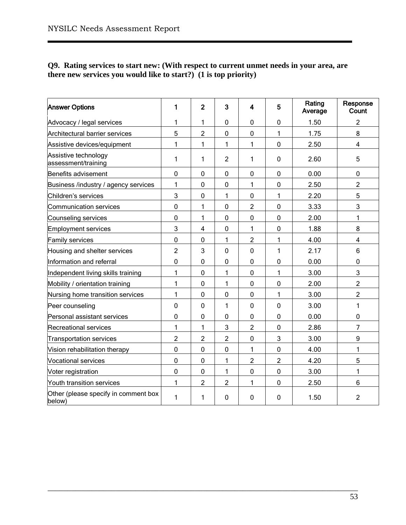#### **Q9. Rating services to start new: (With respect to current unmet needs in your area, are there new services you would like to start?) (1 is top priority)**

| <b>Answer Options</b>                          | 1              | $\overline{2}$ | 3              | 4              | 5              | Rating<br>Average | Response<br>Count |
|------------------------------------------------|----------------|----------------|----------------|----------------|----------------|-------------------|-------------------|
| Advocacy / legal services                      | 1              | 1              | $\mathbf 0$    | 0              | 0              | 1.50              | $\overline{2}$    |
| Architectural barrier services                 | 5              | $\overline{2}$ | $\mathbf 0$    | 0              | 1              | 1.75              | 8                 |
| Assistive devices/equipment                    | 1              | 1              | 1              | 1              | 0              | 2.50              | 4                 |
| Assistive technology<br>assessment/training    | 1              | 1              | $\overline{2}$ | 1              | 0              | 2.60              | 5                 |
| Benefits advisement                            | $\overline{0}$ | 0              | $\mathbf 0$    | 0              | $\overline{0}$ | 0.00              | 0                 |
| Business /industry / agency services           | 1              | 0              | 0              | 1              | 0              | 2.50              | $\overline{2}$    |
| Children's services                            | 3              | 0              | 1              | 0              | 1              | 2.20              | 5                 |
| Communication services                         | $\mathbf 0$    | 1              | $\mathbf 0$    | 2              | 0              | 3.33              | 3                 |
| Counseling services                            | $\mathbf 0$    | 1              | $\mathbf 0$    | 0              | 0              | 2.00              | 1                 |
| Employment services                            | 3              | $\overline{4}$ | $\mathbf 0$    | 1              | 0              | 1.88              | 8                 |
| <b>Family services</b>                         | $\mathbf 0$    | $\mathbf 0$    | 1              | $\overline{2}$ | 1              | 4.00              | $\overline{4}$    |
| Housing and shelter services                   | $\overline{c}$ | 3              | 0              | 0              | 1              | 2.17              | 6                 |
| Information and referral                       | $\overline{0}$ | $\overline{0}$ | $\mathbf 0$    | 0              | 0              | 0.00              | $\mathbf 0$       |
| Independent living skills training             | $\mathbf{1}$   | $\mathbf 0$    | 1              | 0              | 1              | 3.00              | 3                 |
| Mobility / orientation training                | 1              | 0              | 1              | 0              | 0              | 2.00              | $\overline{2}$    |
| Nursing home transition services               | $\mathbf{1}$   | $\mathbf 0$    | $\mathbf 0$    | 0              | 1              | 3.00              | $\overline{2}$    |
| Peer counseling                                | $\mathbf 0$    | 0              | 1              | 0              | 0              | 3.00              | 1                 |
| Personal assistant services                    | $\pmb{0}$      | 0              | $\pmb{0}$      | 0              | 0              | 0.00              | 0                 |
| <b>Recreational services</b>                   | 1              | 1              | 3              | $\overline{2}$ | $\overline{0}$ | 2.86              | $\overline{7}$    |
| <b>Transportation services</b>                 | $\overline{2}$ | $\overline{2}$ | $\overline{2}$ | 0              | 3              | 3.00              | 9                 |
| Vision rehabilitation therapy                  | $\overline{0}$ | $\overline{0}$ | $\mathbf 0$    | 1              | $\mathbf 0$    | 4.00              | 1                 |
| <b>Vocational services</b>                     | $\overline{0}$ | $\mathbf 0$    | 1              | $\overline{2}$ | $\overline{2}$ | 4.20              | 5                 |
| Voter registration                             | 0              | 0              | 1              | 0              | 0              | 3.00              | 1                 |
| Youth transition services                      | 1              | $\overline{2}$ | $\overline{2}$ | 1              | 0              | 2.50              | 6                 |
| Other (please specify in comment box<br>below) | 1              | 1              | $\mathbf 0$    | 0              | 0              | 1.50              | $\overline{2}$    |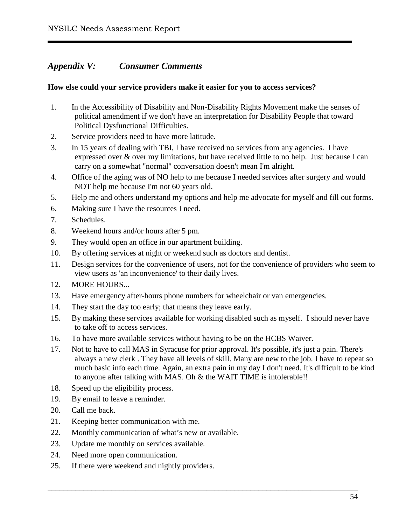# *Appendix V: Consumer Comments*

#### **How else could your service providers make it easier for you to access services?**

- 1. In the Accessibility of Disability and Non-Disability Rights Movement make the senses of political amendment if we don't have an interpretation for Disability People that toward Political Dysfunctional Difficulties.
- 2. Service providers need to have more latitude.
- 3. In 15 years of dealing with TBI, I have received no services from any agencies. I have expressed over & over my limitations, but have received little to no help. Just because I can carry on a somewhat "normal" conversation doesn't mean I'm alright.
- 4. Office of the aging was of NO help to me because I needed services after surgery and would NOT help me because I'm not 60 years old.
- 5. Help me and others understand my options and help me advocate for myself and fill out forms.
- 6. Making sure I have the resources I need.
- 7. Schedules.
- 8. Weekend hours and/or hours after 5 pm.
- 9. They would open an office in our apartment building.
- 10. By offering services at night or weekend such as doctors and dentist.
- 11. Design services for the convenience of users, not for the convenience of providers who seem to view users as 'an inconvenience' to their daily lives.
- 12. MORE HOURS...
- 13. Have emergency after-hours phone numbers for wheelchair or van emergencies.
- 14. They start the day too early; that means they leave early.
- 15. By making these services available for working disabled such as myself. I should never have to take off to access services.
- 16. To have more available services without having to be on the HCBS Waiver.
- 17. Not to have to call MAS in Syracuse for prior approval. It's possible, it's just a pain. There's always a new clerk . They have all levels of skill. Many are new to the job. I have to repeat so much basic info each time. Again, an extra pain in my day I don't need. It's difficult to be kind to anyone after talking with MAS. Oh & the WAIT TIME is intolerable!!

- 18. Speed up the eligibility process.
- 19. By email to leave a reminder.
- 20. Call me back.
- 21. Keeping better communication with me.
- 22. Monthly communication of what's new or available.
- 23. Update me monthly on services available.
- 24. Need more open communication.
- 25. If there were weekend and nightly providers.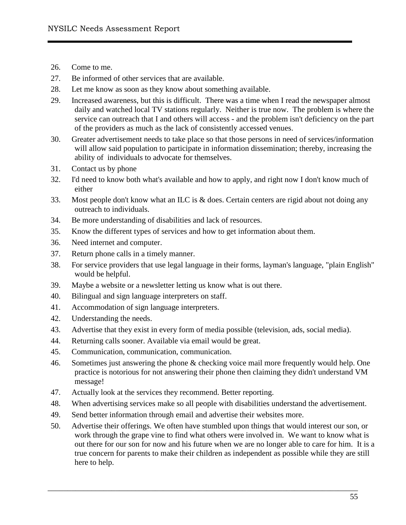- 26. Come to me.
- 27. Be informed of other services that are available.
- 28. Let me know as soon as they know about something available.
- 29. Increased awareness, but this is difficult. There was a time when I read the newspaper almost daily and watched local TV stations regularly. Neither is true now. The problem is where the service can outreach that I and others will access - and the problem isn't deficiency on the part of the providers as much as the lack of consistently accessed venues.
- 30. Greater advertisement needs to take place so that those persons in need of services/information will allow said population to participate in information dissemination; thereby, increasing the ability of individuals to advocate for themselves.
- 31. Contact us by phone
- 32. I'd need to know both what's available and how to apply, and right now I don't know much of either
- 33. Most people don't know what an ILC is & does. Certain centers are rigid about not doing any outreach to individuals.
- 34. Be more understanding of disabilities and lack of resources.
- 35. Know the different types of services and how to get information about them.
- 36. Need internet and computer.
- 37. Return phone calls in a timely manner.
- 38. For service providers that use legal language in their forms, layman's language, "plain English" would be helpful.
- 39. Maybe a website or a newsletter letting us know what is out there.
- 40. Bilingual and sign language interpreters on staff.
- 41. Accommodation of sign language interpreters.
- 42. Understanding the needs.
- 43. Advertise that they exist in every form of media possible (television, ads, social media).
- 44. Returning calls sooner. Available via email would be great.
- 45. Communication, communication, communication.
- 46. Sometimes just answering the phone & checking voice mail more frequently would help. One practice is notorious for not answering their phone then claiming they didn't understand VM message!
- 47. Actually look at the services they recommend. Better reporting.
- 48. When advertising services make so all people with disabilities understand the advertisement.
- 49. Send better information through email and advertise their websites more.
- 50. Advertise their offerings. We often have stumbled upon things that would interest our son, or work through the grape vine to find what others were involved in. We want to know what is out there for our son for now and his future when we are no longer able to care for him. It is a true concern for parents to make their children as independent as possible while they are still here to help.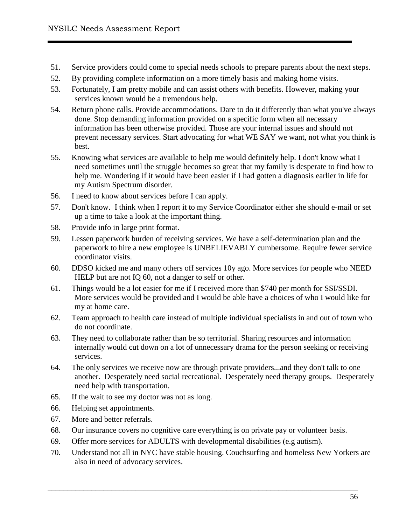- 51. Service providers could come to special needs schools to prepare parents about the next steps.
- 52. By providing complete information on a more timely basis and making home visits.
- 53. Fortunately, I am pretty mobile and can assist others with benefits. However, making your services known would be a tremendous help.
- 54. Return phone calls. Provide accommodations. Dare to do it differently than what you've always done. Stop demanding information provided on a specific form when all necessary information has been otherwise provided. Those are your internal issues and should not prevent necessary services. Start advocating for what WE SAY we want, not what you think is best.
- 55. Knowing what services are available to help me would definitely help. I don't know what I need sometimes until the struggle becomes so great that my family is desperate to find how to help me. Wondering if it would have been easier if I had gotten a diagnosis earlier in life for my Autism Spectrum disorder.
- 56. I need to know about services before I can apply.
- 57. Don't know. I think when I report it to my Service Coordinator either she should e-mail or set up a time to take a look at the important thing.
- 58. Provide info in large print format.
- 59. Lessen paperwork burden of receiving services. We have a self-determination plan and the paperwork to hire a new employee is UNBELIEVABLY cumbersome. Require fewer service coordinator visits.
- 60. DDSO kicked me and many others off services 10y ago. More services for people who NEED HELP but are not IQ 60, not a danger to self or other.
- 61. Things would be a lot easier for me if I received more than \$740 per month for SSI/SSDI. More services would be provided and I would be able have a choices of who I would like for my at home care.
- 62. Team approach to health care instead of multiple individual specialists in and out of town who do not coordinate.
- 63. They need to collaborate rather than be so territorial. Sharing resources and information internally would cut down on a lot of unnecessary drama for the person seeking or receiving services.
- 64. The only services we receive now are through private providers...and they don't talk to one another. Desperately need social recreational. Desperately need therapy groups. Desperately need help with transportation.
- 65. If the wait to see my doctor was not as long.
- 66. Helping set appointments.
- 67. More and better referrals.
- 68. Our insurance covers no cognitive care everything is on private pay or volunteer basis.
- 69. Offer more services for ADULTS with developmental disabilities (e.g autism).
- 70. Understand not all in NYC have stable housing. Couchsurfing and homeless New Yorkers are also in need of advocacy services.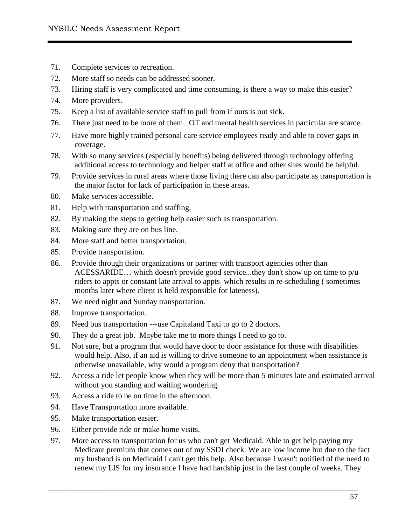- 71. Complete services to recreation.
- 72. More staff so needs can be addressed sooner.
- 73. Hiring staff is very complicated and time consuming, is there a way to make this easier?
- 74. More providers.
- 75. Keep a list of available service staff to pull from if ours is out sick.
- 76. There just need to be more of them. OT and mental health services in particular are scarce.
- 77. Have more highly trained personal care service employees ready and able to cover gaps in coverage.
- 78. With so many services (especially benefits) being delivered through technology offering additional access to technology and helper staff at office and other sites would be helpful.
- 79. Provide services in rural areas where those living there can also participate as transportation is the major factor for lack of participation in these areas.
- 80. Make services accessible.
- 81. Help with transportation and staffing.
- 82. By making the steps to getting help easier such as transportation.
- 83. Making sure they are on bus line.
- 84. More staff and better transportation.
- 85. Provide transportation.
- 86. Provide through their organizations or partner with transport agencies other than ACESSARIDE… which doesn't provide good service...they don't show up on time to p/u riders to appts or constant late arrival to appts which results in re-scheduling ( sometimes months later where client is held responsible for lateness).
- 87. We need night and Sunday transportation.
- 88. Improve transportation.
- 89. Need bus transportation ---use Capitaland Taxi to go to 2 doctors.
- 90. They do a great job. Maybe take me to more things I need to go to.
- 91. Not sure, but a program that would have door to door assistance for those with disabilities would help. Also, if an aid is willing to drive someone to an appointment when assistance is otherwise unavailable, why would a program deny that transportation?
- 92. Access a ride let people know when they will be more than 5 minutes late and estimated arrival without you standing and waiting wondering.
- 93. Access a ride to be on time in the afternoon.
- 94. Have Transportation more available.
- 95. Make transportation easier.
- 96. Either provide ride or make home visits.
- 97. More access to transportation for us who can't get Medicaid. Able to get help paying my Medicare premium that comes out of my SSDI check. We are low income but due to the fact my husband is on Medicaid I can't get this help. Also because I wasn't notified of the need to renew my LIS for my insurance I have had hardship just in the last couple of weeks. They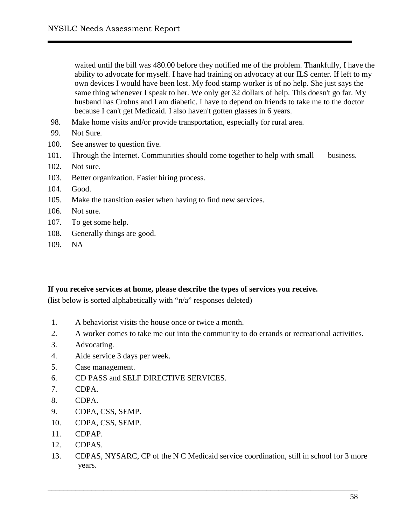waited until the bill was 480.00 before they notified me of the problem. Thankfully, I have the ability to advocate for myself. I have had training on advocacy at our ILS center. If left to my own devices I would have been lost. My food stamp worker is of no help. She just says the same thing whenever I speak to her. We only get 32 dollars of help. This doesn't go far. My husband has Crohns and I am diabetic. I have to depend on friends to take me to the doctor because I can't get Medicaid. I also haven't gotten glasses in 6 years.

- 98. Make home visits and/or provide transportation, especially for rural area.
- 99. Not Sure.
- 100. See answer to question five.
- 101. Through the Internet. Communities should come together to help with small business.
- 102. Not sure.
- 103. Better organization. Easier hiring process.
- 104. Good.
- 105. Make the transition easier when having to find new services.
- 106. Not sure.
- 107. To get some help.
- 108. Generally things are good.
- 109. NA

#### **If you receive services at home, please describe the types of services you receive.**

(list below is sorted alphabetically with "n/a" responses deleted)

- 1. A behaviorist visits the house once or twice a month.
- 2. A worker comes to take me out into the community to do errands or recreational activities.
- 3. Advocating.
- 4. Aide service 3 days per week.
- 5. Case management.
- 6. CD PASS and SELF DIRECTIVE SERVICES.
- 7. CDPA.
- 8. CDPA.
- 9. CDPA, CSS, SEMP.
- 10. CDPA, CSS, SEMP.
- 11. CDPAP.
- 12. CDPAS.
- 13. CDPAS, NYSARC, CP of the N C Medicaid service coordination, still in school for 3 more years.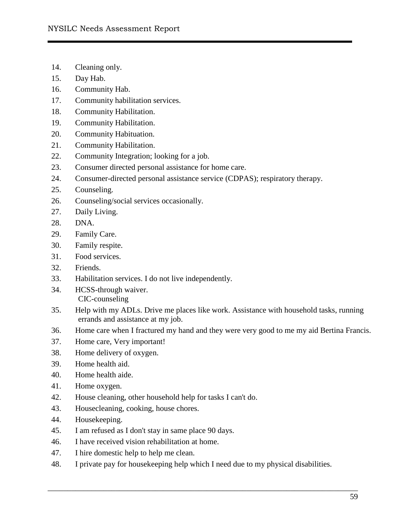- 14. Cleaning only.
- 15. Day Hab.
- 16. Community Hab.
- 17. Community habilitation services.
- 18. Community Habilitation.
- 19. Community Habilitation.
- 20. Community Habituation.
- 21. Community Habilitation.
- 22. Community Integration; looking for a job.
- 23. Consumer directed personal assistance for home care.
- 24. Consumer-directed personal assistance service (CDPAS); respiratory therapy.
- 25. Counseling.
- 26. Counseling/social services occasionally.
- 27. Daily Living.
- 28. DNA.
- 29. Family Care.
- 30. Family respite.
- 31. Food services.
- 32. Friends.
- 33. Habilitation services. I do not live independently.
- 34. HCSS-through waiver. CIC-counseling
- 35. Help with my ADLs. Drive me places like work. Assistance with household tasks, running errands and assistance at my job.
- 36. Home care when I fractured my hand and they were very good to me my aid Bertina Francis.
- 37. Home care, Very important!
- 38. Home delivery of oxygen.
- 39. Home health aid.
- 40. Home health aide.
- 41. Home oxygen.
- 42. House cleaning, other household help for tasks I can't do.
- 43. Housecleaning, cooking, house chores.
- 44. Housekeeping.
- 45. I am refused as I don't stay in same place 90 days.
- 46. I have received vision rehabilitation at home.
- 47. I hire domestic help to help me clean.
- 48. I private pay for housekeeping help which I need due to my physical disabilities.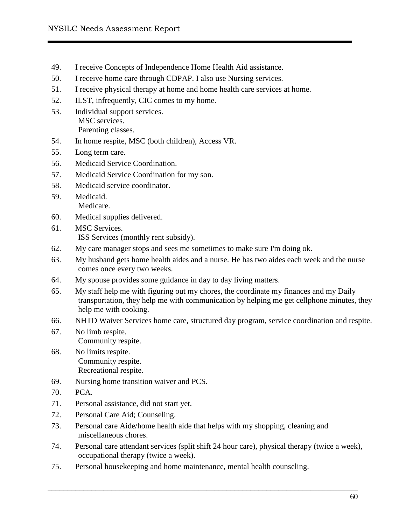- 49. I receive Concepts of Independence Home Health Aid assistance.
- 50. I receive home care through CDPAP. I also use Nursing services.
- 51. I receive physical therapy at home and home health care services at home.
- 52. ILST, infrequently, CIC comes to my home.
- 53. Individual support services. MSC services. Parenting classes.
- 54. In home respite, MSC (both children), Access VR.
- 55. Long term care.
- 56. Medicaid Service Coordination.
- 57. Medicaid Service Coordination for my son.
- 58. Medicaid service coordinator.
- 59. Medicaid. Medicare.
- 60. Medical supplies delivered.
- 61. MSC Services. ISS Services (monthly rent subsidy).
- 62. My care manager stops and sees me sometimes to make sure I'm doing ok.
- 63. My husband gets home health aides and a nurse. He has two aides each week and the nurse comes once every two weeks.
- 64. My spouse provides some guidance in day to day living matters.
- 65. My staff help me with figuring out my chores, the coordinate my finances and my Daily transportation, they help me with communication by helping me get cellphone minutes, they help me with cooking.
- 66. NHTD Waiver Services home care, structured day program, service coordination and respite.
- 67. No limb respite. Community respite.
- 68. No limits respite. Community respite. Recreational respite.
- 69. Nursing home transition waiver and PCS.
- 70. PCA.
- 71. Personal assistance, did not start yet.
- 72. Personal Care Aid; Counseling.
- 73. Personal care Aide/home health aide that helps with my shopping, cleaning and miscellaneous chores.
- 74. Personal care attendant services (split shift 24 hour care), physical therapy (twice a week), occupational therapy (twice a week).

75. Personal housekeeping and home maintenance, mental health counseling.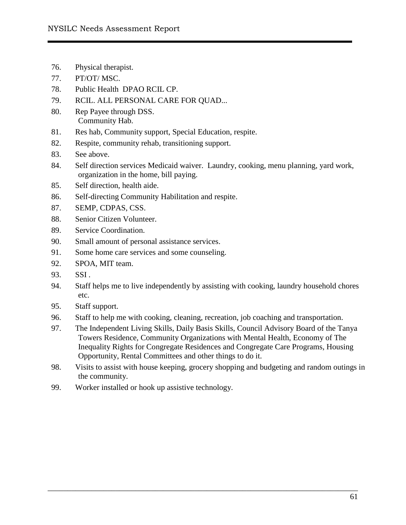- 76. Physical therapist.
- 77. PT/OT/ MSC.
- 78. Public Health DPAO RCIL CP.
- 79. RCIL. ALL PERSONAL CARE FOR QUAD...
- 80. Rep Payee through DSS. Community Hab.
- 81. Res hab, Community support, Special Education, respite.
- 82. Respite, community rehab, transitioning support.
- 83. See above.
- 84. Self direction services Medicaid waiver. Laundry, cooking, menu planning, yard work, organization in the home, bill paying.
- 85. Self direction, health aide.
- 86. Self-directing Community Habilitation and respite.
- 87. SEMP, CDPAS, CSS.
- 88. Senior Citizen Volunteer.
- 89. Service Coordination.
- 90. Small amount of personal assistance services.
- 91. Some home care services and some counseling.
- 92. SPOA, MIT team.
- 93. SSI .
- 94. Staff helps me to live independently by assisting with cooking, laundry household chores etc.
- 95. Staff support.
- 96. Staff to help me with cooking, cleaning, recreation, job coaching and transportation.
- 97. The Independent Living Skills, Daily Basis Skills, Council Advisory Board of the Tanya Towers Residence, Community Organizations with Mental Health, Economy of The Inequality Rights for Congregate Residences and Congregate Care Programs, Housing Opportunity, Rental Committees and other things to do it.
- 98. Visits to assist with house keeping, grocery shopping and budgeting and random outings in the community.

99. Worker installed or hook up assistive technology.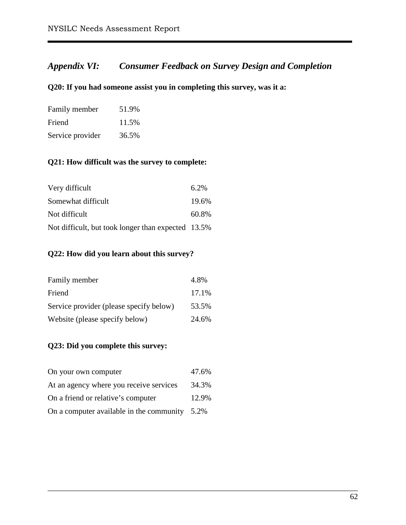# *Appendix VI: Consumer Feedback on Survey Design and Completion*

## **Q20: If you had someone assist you in completing this survey, was it a:**

| Family member    | 51.9% |
|------------------|-------|
| Friend           | 11.5% |
| Service provider | 36.5% |

# **Q21: How difficult was the survey to complete:**

| Very difficult                                     | 6.2%  |
|----------------------------------------------------|-------|
| Somewhat difficult                                 | 19.6% |
| Not difficult                                      | 60.8% |
| Not difficult, but took longer than expected 13.5% |       |

## **Q22: How did you learn about this survey?**

| Family member                           | 4.8%  |
|-----------------------------------------|-------|
| Friend                                  | 17.1% |
| Service provider (please specify below) | 53.5% |
| Website (please specify below)          | 24.6% |

## **Q23: Did you complete this survey:**

| On your own computer                             | 47.6% |
|--------------------------------------------------|-------|
| At an agency where you receive services          | 34.3% |
| On a friend or relative's computer               | 12.9% |
| On a computer available in the community $5.2\%$ |       |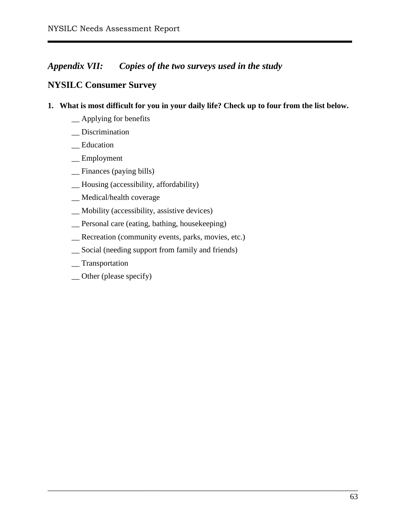# *Appendix VII: Copies of the two surveys used in the study*

# **NYSILC Consumer Survey**

**1. What is most difficult for you in your daily life? Check up to four from the list below.**

- \_\_ Applying for benefits
- \_\_ Discrimination
- \_\_ Education
- \_\_ Employment
- \_\_ Finances (paying bills)
- \_\_ Housing (accessibility, affordability)
- \_\_ Medical/health coverage
- \_\_ Mobility (accessibility, assistive devices)
- \_\_ Personal care (eating, bathing, housekeeping)
- \_\_ Recreation (community events, parks, movies, etc.)
- \_\_ Social (needing support from family and friends)
- \_\_ Transportation
- \_\_ Other (please specify)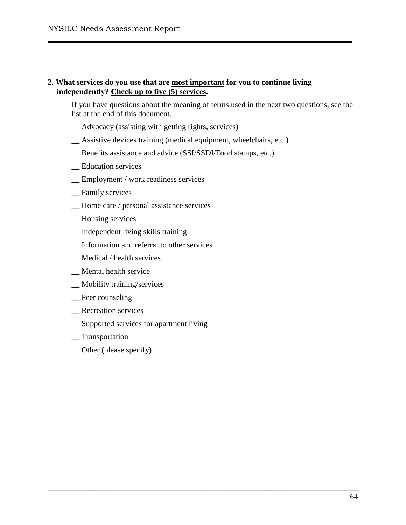#### **2. What services do you use that are most important for you to continue living independently? Check up to five (5) services.**

If you have questions about the meaning of terms used in the next two questions, see the list at the end of this document.

- \_\_ Advocacy (assisting with getting rights, services)
- \_\_ Assistive devices training (medical equipment, wheelchairs, etc.)
- \_\_ Benefits assistance and advice (SSI/SSDI/Food stamps, etc.)
- \_\_ Education services
- \_\_ Employment / work readiness services
- \_\_ Family services
- \_\_ Home care / personal assistance services
- \_\_ Housing services
- \_\_ Independent living skills training
- \_\_ Information and referral to other services
- \_\_ Medical / health services
- \_\_ Mental health service
- \_\_ Mobility training/services
- \_\_ Peer counseling
- \_\_ Recreation services
- \_\_ Supported services for apartment living
- \_\_ Transportation
- \_\_ Other (please specify)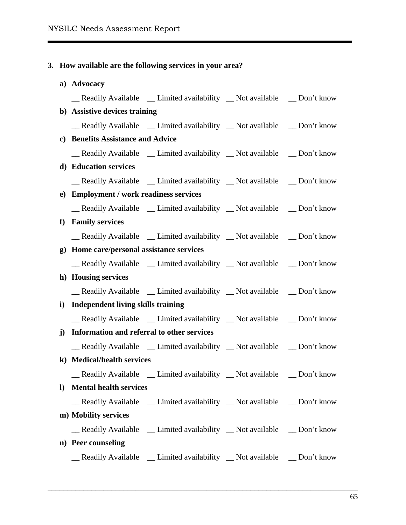#### **3. How available are the following services in your area?**

# **a) Advocacy** \_\_ Readily Available \_\_ Limited availability \_\_ Not available \_\_ Don't know **b) Assistive devices training** Readily Available Limited availability Not available Don't know **c) Benefits Assistance and Advice** \_\_ Readily Available \_\_ Limited availability \_\_ Not available \_\_ Don't know **d) Education services** \_\_ Readily Available \_\_ Limited availability \_\_ Not available \_\_ Don't know **e) Employment / work readiness services**  Readily Available Limited availability Not available Don't know **f) Family services** \_\_ Readily Available \_\_ Limited availability \_\_ Not available \_\_ Don't know **g) Home care/personal assistance services**  \_\_ Readily Available \_\_ Limited availability \_\_ Not available \_\_ Don't know **h) Housing services** \_\_ Readily Available \_\_ Limited availability \_\_ Not available \_\_ Don't know **i) Independent living skills training**  \_\_ Readily Available \_\_ Limited availability \_\_ Not available \_\_ Don't know **j) Information and referral to other services** \_\_ Readily Available \_\_ Limited availability \_\_ Not available \_\_ Don't know **k) Medical/health services** \_\_ Readily Available \_\_ Limited availability \_\_ Not available \_\_ Don't know **l) Mental health services** \_\_ Readily Available \_\_ Limited availability \_\_ Not available \_\_ Don't know **m) Mobility services** \_\_ Readily Available \_\_ Limited availability \_\_ Not available \_\_ Don't know **n) Peer counseling** \_\_ Readily Available \_\_ Limited availability \_\_ Not available \_\_ Don't know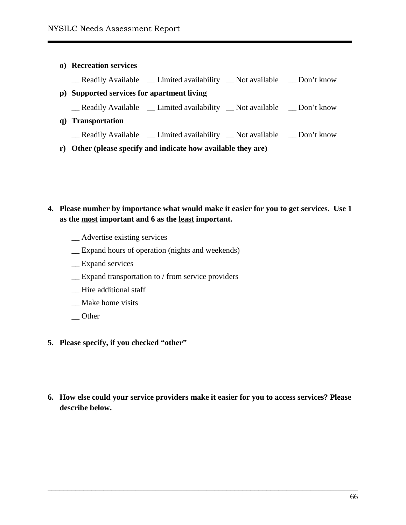# **o) Recreation services** \_\_ Readily Available \_\_ Limited availability \_\_ Not available \_\_ Don't know **p) Supported services for apartment living** \_\_ Readily Available \_\_ Limited availability \_\_ Not available \_\_ Don't know **q) Transportation** \_\_ Readily Available \_\_ Limited availability \_\_ Not available \_\_ Don't know

**r) Other (please specify and indicate how available they are)**

## **4. Please number by importance what would make it easier for you to get services. Use 1 as the most important and 6 as the least important.**

- \_\_ Advertise existing services
- \_\_ Expand hours of operation (nights and weekends)
- \_\_ Expand services
- \_\_ Expand transportation to / from service providers
- \_\_ Hire additional staff
- \_\_ Make home visits
- $\equiv$  Other
- **5. Please specify, if you checked "other"**
- **6. How else could your service providers make it easier for you to access services? Please describe below.**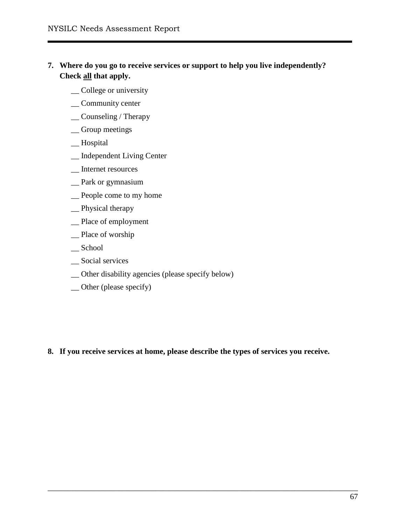- **7. Where do you go to receive services or support to help you live independently? Check all that apply.** 
	- \_College or university
	- \_\_ Community center
	- \_\_ Counseling / Therapy
	- \_\_ Group meetings
	- \_\_ Hospital
	- \_\_ Independent Living Center
	- \_\_ Internet resources
	- \_\_ Park or gymnasium
	- \_\_ People come to my home
	- \_\_ Physical therapy
	- \_\_ Place of employment
	- \_\_ Place of worship
	- \_\_ School
	- \_\_ Social services
	- \_\_ Other disability agencies (please specify below)
	- \_\_ Other (please specify)

**8. If you receive services at home, please describe the types of services you receive.**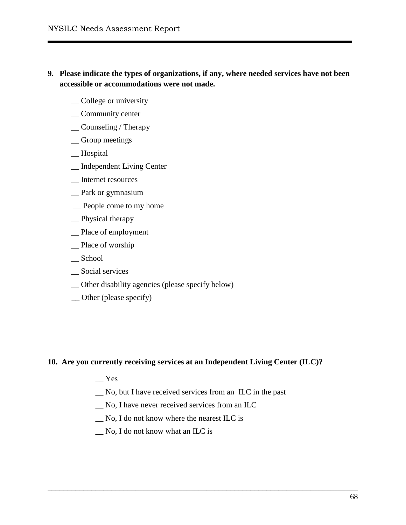- **9. Please indicate the types of organizations, if any, where needed services have not been accessible or accommodations were not made.**
	- \_College or university
	- \_\_ Community center
	- \_\_ Counseling / Therapy
	- \_\_ Group meetings
	- \_\_ Hospital
	- \_\_ Independent Living Center
	- \_\_ Internet resources
	- \_\_ Park or gymnasium
	- \_\_ People come to my home
	- \_\_ Physical therapy
	- \_\_ Place of employment
	- \_\_ Place of worship
	- \_\_ School
	- \_\_ Social services
	- \_\_ Other disability agencies (please specify below)
	- \_\_ Other (please specify)

#### **10. Are you currently receiving services at an Independent Living Center (ILC)?**

- \_\_ Yes
- \_\_ No, but I have received services from an ILC in the past

- \_\_ No, I have never received services from an ILC
- \_\_ No, I do not know where the nearest ILC is
- \_\_ No, I do not know what an ILC is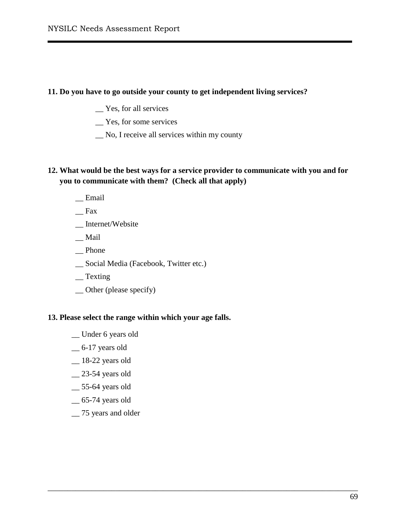#### **11. Do you have to go outside your county to get independent living services?**

- \_\_ Yes, for all services
- \_\_ Yes, for some services
- \_\_ No, I receive all services within my county

## **12. What would be the best ways for a service provider to communicate with you and for you to communicate with them? (Check all that apply)**

\_\_\_\_\_\_\_\_\_\_\_\_\_\_\_\_\_\_\_\_\_\_\_\_\_\_\_\_\_\_\_\_\_\_\_\_\_\_\_\_\_\_\_\_\_\_\_\_\_\_\_\_\_\_\_\_\_\_\_\_\_\_\_\_\_\_\_\_\_\_\_\_\_\_\_\_\_\_

- $\equiv$ Email
- \_\_ Fax
- \_\_ Internet/Website
- \_\_ Mail
- \_\_ Phone
- \_\_ Social Media (Facebook, Twitter etc.)
- \_\_ Texting
- \_\_ Other (please specify)

#### **13. Please select the range within which your age falls.**

- \_\_ Under 6 years old
- \_\_ 6-17 years old
- \_\_ 18-22 years old
- \_\_ 23-54 years old
- \_\_ 55-64 years old
- \_\_ 65-74 years old
- \_\_ 75 years and older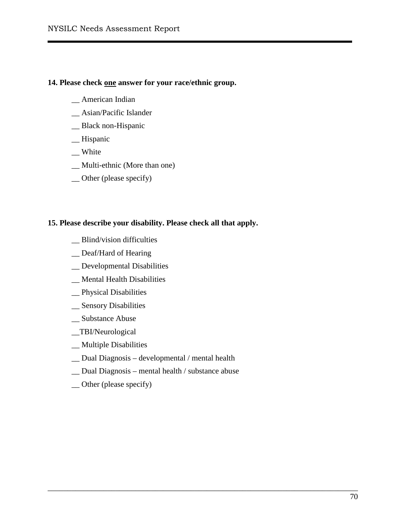#### **14. Please check one answer for your race/ethnic group.**

- \_\_ American Indian
- \_\_ Asian/Pacific Islander
- \_\_ Black non-Hispanic
- \_\_ Hispanic
- \_\_ White
- \_\_ Multi-ethnic (More than one)
- \_\_ Other (please specify)

#### **15. Please describe your disability. Please check all that apply.**

- \_\_ Blind/vision difficulties
- \_\_ Deaf/Hard of Hearing
- \_\_ Developmental Disabilities
- \_\_ Mental Health Disabilities
- \_\_ Physical Disabilities
- \_\_ Sensory Disabilities
- \_\_ Substance Abuse
- \_\_TBI/Neurological
- \_\_ Multiple Disabilities
- \_\_ Dual Diagnosis developmental / mental health
- \_\_ Dual Diagnosis mental health / substance abuse

\_\_\_\_\_\_\_\_\_\_\_\_\_\_\_\_\_\_\_\_\_\_\_\_\_\_\_\_\_\_\_\_\_\_\_\_\_\_\_\_\_\_\_\_\_\_\_\_\_\_\_\_\_\_\_\_\_\_\_\_\_\_\_\_\_\_\_\_\_\_\_\_\_\_\_\_\_\_

\_\_ Other (please specify)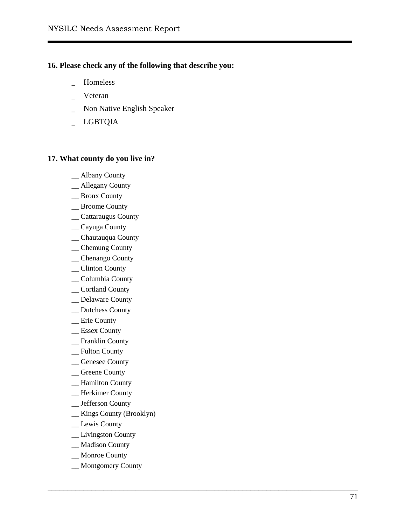### **16. Please check any of the following that describe you:**

- \_ Homeless
- \_ Veteran
- \_ Non Native English Speaker
- \_ LGBTQIA

### **17. What county do you live in?**

- \_\_ Albany County
- \_\_ Allegany County
- \_\_ Bronx County
- \_\_ Broome County
- \_\_ Cattaraugus County
- \_\_ Cayuga County
- \_\_ Chautauqua County
- \_\_ Chemung County
- \_\_ Chenango County
- \_\_ Clinton County
- \_\_ Columbia County
- \_\_ Cortland County
- \_\_ Delaware County
- \_\_ Dutchess County
- \_\_ Erie County
- \_\_ Essex County
- \_\_ Franklin County
- \_\_ Fulton County
- \_\_ Genesee County
- \_\_ Greene County
- \_\_ Hamilton County
- \_\_ Herkimer County
- \_\_ Jefferson County
- \_\_ Kings County (Brooklyn)
- \_\_ Lewis County
- \_\_ Livingston County
- \_\_ Madison County
- \_\_ Monroe County
- \_\_ Montgomery County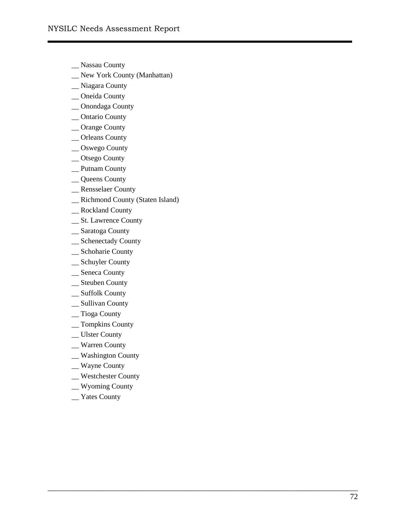- \_\_ Nassau County
- \_\_ New York County (Manhattan)
- \_\_ Niagara Count y
- \_\_ Oneida County
- \_\_ Onondaga County
- \_\_ Ontario County
- \_\_ Orange County
- \_\_ Orleans County
- \_\_ Oswego County
- \_\_ Otsego County
- \_\_ Putnam County
- \_\_ Queens County
- \_\_ Rensselaer County
- \_\_ Richmond County (Staten Island)
- \_\_ Rockland County
- \_\_ St. Lawrence County
- \_\_ Saratoga County
- \_\_ Schenectady County
- \_\_ Schoharie County
- \_\_ Schuyler County
- \_\_ Seneca County
- \_\_ Steuben County
- \_\_ Suffolk County
- \_\_ Sullivan County
- \_\_ Tioga County
- \_\_ Tompkins County
- \_\_ Ulster County
- \_\_ Warren County
- \_\_ Washington County
- \_\_ Wayne County
- \_\_ Westchester County

- \_\_ Wyoming County
- \_\_ Yates County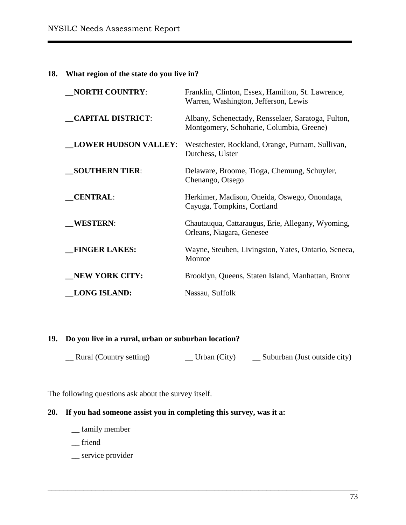### **18. What region of the state do you live in?**

| <b>NORTH COUNTRY:</b>       | Franklin, Clinton, Essex, Hamilton, St. Lawrence,<br>Warren, Washington, Jefferson, Lewis      |  |
|-----------------------------|------------------------------------------------------------------------------------------------|--|
| <b>CAPITAL DISTRICT:</b>    | Albany, Schenectady, Rensselaer, Saratoga, Fulton,<br>Montgomery, Schoharie, Columbia, Greene) |  |
| <b>LOWER HUDSON VALLEY:</b> | Westchester, Rockland, Orange, Putnam, Sullivan,<br>Dutchess, Ulster                           |  |
| <b>SOUTHERN TIER:</b>       | Delaware, Broome, Tioga, Chemung, Schuyler,<br>Chenango, Otsego                                |  |
| <b>CENTRAL:</b>             | Herkimer, Madison, Oneida, Oswego, Onondaga,<br>Cayuga, Tompkins, Cortland                     |  |
| <b>WESTERN:</b>             | Chautauqua, Cattaraugus, Erie, Allegany, Wyoming,<br>Orleans, Niagara, Genesee                 |  |
| <b>FINGER LAKES:</b>        | Wayne, Steuben, Livingston, Yates, Ontario, Seneca,<br>Monroe                                  |  |
| <b>NEW YORK CITY:</b>       | Brooklyn, Queens, Staten Island, Manhattan, Bronx                                              |  |
| <b>LONG ISLAND:</b>         | Nassau, Suffolk                                                                                |  |

### **19. Do you live in a rural, urban or suburban location?**

| Rural (Country setting) | $\Box$ Urban (City) | _ Suburban (Just outside city) |
|-------------------------|---------------------|--------------------------------|
|-------------------------|---------------------|--------------------------------|

\_\_\_\_\_\_\_\_\_\_\_\_\_\_\_\_\_\_\_\_\_\_\_\_\_\_\_\_\_\_\_\_\_\_\_\_\_\_\_\_\_\_\_\_\_\_\_\_\_\_\_\_\_\_\_\_\_\_\_\_\_\_\_\_\_\_\_\_\_\_\_\_\_\_\_\_\_\_

The following questions ask about the survey itself.

## **20. If you had someone assist you in completing this survey, was it a:**

- \_\_ family member
- \_\_ friend
- \_\_ service provider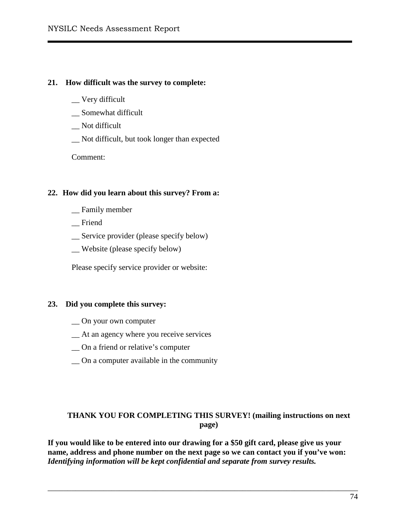#### **21. How difficult was the survey to complete:**

- \_\_ Very difficult
- \_\_ Somewhat difficult
- \_\_ Not difficult
- \_\_ Not difficult, but took longer than expected

Comment:

### **22. How did you learn about this survey? From a:**

- \_\_ Family member
- \_\_ Friend
- \_\_ Service provider (please specify below)
- \_\_ Website (please specify below)

Please specify service provider or website:

### **23. Did you complete this survey:**

- \_\_ On your own computer
- \_\_ At an agency where you receive services
- \_\_ On a friend or relative's computer
- \_\_ On a computer available in the community

### **THANK YOU FOR COMPLETING THIS SURVEY! (mailing instructions on next page)**

**If you would like to be entered into our drawing for a \$50 gift card, please give us your name, address and phone number on the next page so we can contact you if you've won:**  *Identifying information will be kept confidential and separate from survey results.*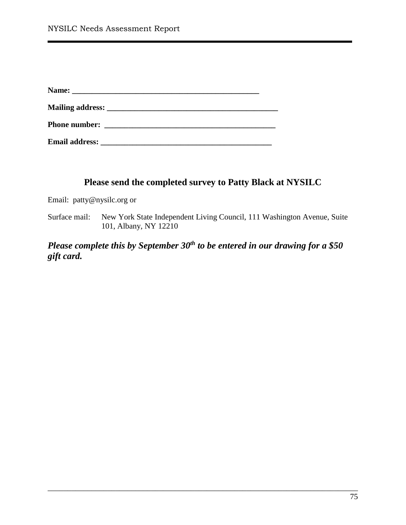## **Please send the completed survey to Patty Black at NYSILC**

Email: [patty@nysilc.org](mailto:patty@nysilc.org) or

Surface mail: New York State Independent Living Council, 111 Washington Avenue, Suite 101, Albany, NY 12210

*Please complete this by September 30<sup>th</sup> to be entered in our drawing for a \$50 gift card.*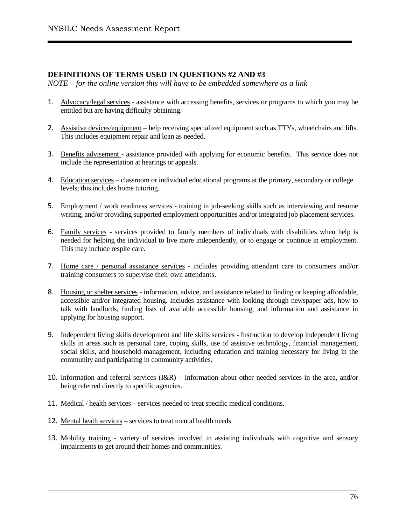#### **DEFINITIONS OF TERMS USED IN QUESTIONS #2 AND #3**

*NOTE – for the online version this will have to be embedded somewhere as a link*

- 1. Advocacy/legal services assistance with accessing benefits, services or programs to which you may be entitled but are having difficulty obtaining.
- 2. Assistive devices/equipment help receiving specialized equipment such as TTYs, wheelchairs and lifts. This includes equipment repair and loan as needed.
- 3. Benefits advisement assistance provided with applying for economic benefits. This service does not include the representation at hearings or appeals.
- 4. Education services classroom or individual educational programs at the primary, secondary or college levels; this includes home tutoring.
- 5. Employment / work readiness services training in job-seeking skills such as interviewing and resume writing, and/or providing supported employment opportunities and/or integrated job placement services.
- 6. Family services services provided to family members of individuals with disabilities when help is needed for helping the individual to live more independently, or to engage or continue in employment. This may include respite care.
- 7. Home care / personal assistance services includes providing attendant care to consumers and/or training consumers to supervise their own attendants.
- 8. Housing or shelter services information, advice, and assistance related to finding or keeping affordable, accessible and/or integrated housing. Includes assistance with looking through newspaper ads, how to talk with landlords, finding lists of available accessible housing, and information and assistance in applying for housing support.
- 9. Independent living skills development and life skills services Instruction to develop independent living skills in areas such as personal care, coping skills, use of assistive technology, financial management, social skills, and household management, including education and training necessary for living in the community and participating in community activities.
- 10. Information and referral services  $(I\&R)$  information about other needed services in the area, and/or being referred directly to specific agencies.
- 11. Medical / health services services needed to treat specific medical conditions.
- 12. Mental heath services services to treat mental health needs
- 13. Mobility training variety of services involved in assisting individuals with cognitive and sensory impairments to get around their homes and communities.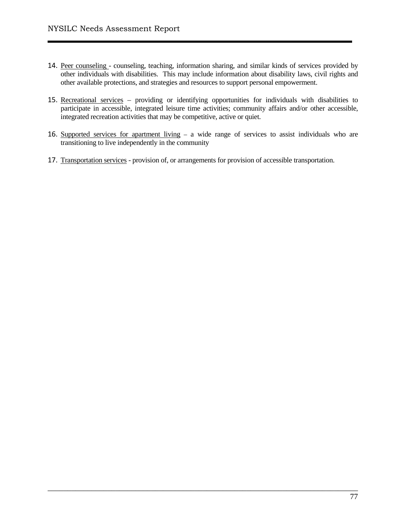- 14. Peer counseling counseling, teaching, information sharing, and similar kinds of services provided by other individuals with disabilities. This may include information about disability laws, civil rights and other available protections, and strategies and resources to support personal empowerment.
- 15. Recreational services providing or identifying opportunities for individuals with disabilities to participate in accessible, integrated leisure time activities; community affairs and/or other accessible, integrated recreation activities that may be competitive, active or quiet.
- 16. Supported services for apartment living a wide range of services to assist individuals who are transitioning to live independently in the community

17. Transportation services - provision of, or arrangements for provision of accessible transportation.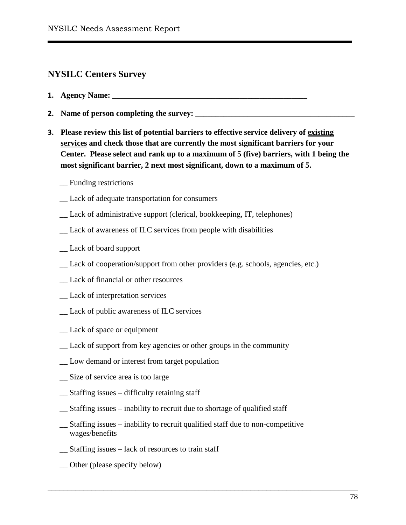# **NYSILC Centers Survey**

- **1. Agency Name:** \_\_\_\_\_\_\_\_\_\_\_\_\_\_\_\_\_\_\_\_\_\_\_\_\_\_\_\_\_\_\_\_\_\_\_\_\_\_\_\_\_\_\_\_\_\_\_\_\_
- **2. Name of person completing the survey:** \_\_\_\_\_\_\_\_\_\_\_\_\_\_\_\_\_\_\_\_\_\_\_\_\_\_\_\_\_\_\_\_\_\_\_\_\_\_\_\_
- **3. Please review this list of potential barriers to effective service delivery of existing services and check those that are currently the most significant barriers for your Center. Please select and rank up to a maximum of 5 (five) barriers, with 1 being the most significant barrier, 2 next most significant, down to a maximum of 5.**
	- \_\_ Funding restrictions
	- \_\_ Lack of adequate transportation for consumers
	- \_\_ Lack of administrative support (clerical, bookkeeping, IT, telephones)
	- \_\_ Lack of awareness of ILC services from people with disabilities
	- \_\_ Lack of board support
	- Lack of cooperation/support from other providers (e.g. schools, agencies, etc.)
	- \_\_ Lack of financial or other resources
	- \_\_ Lack of interpretation services
	- \_\_ Lack of public awareness of ILC services
	- \_\_ Lack of space or equipment
	- \_\_ Lack of support from key agencies or other groups in the community
	- \_\_ Low demand or interest from target population
	- \_\_ Size of service area is too large
	- \_\_ Staffing issues difficulty retaining staff
	- \_\_ Staffing issues inability to recruit due to shortage of qualified staff
	- \_\_ Staffing issues inability to recruit qualified staff due to non-competitive wages/benefits

- \_\_ Staffing issues lack of resources to train staff
- \_\_ Other (please specify below)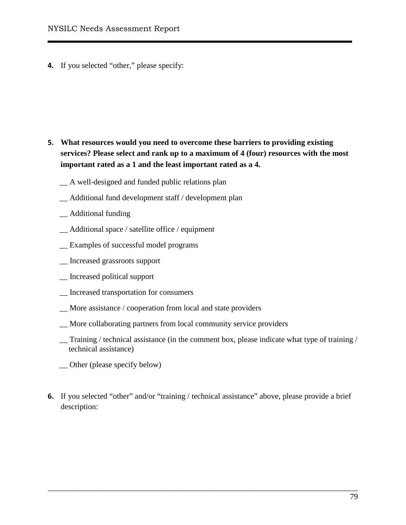**4.** If you selected "other," please specify:

- **5. What resources would you need to overcome these barriers to providing existing services? Please select and rank up to a maximum of 4 (four) resources with the most important rated as a 1 and the least important rated as a 4.** 
	- \_\_ A well-designed and funded public relations plan
	- \_\_ Additional fund development staff / development plan
	- \_\_ Additional funding
	- \_\_ Additional space / satellite office / equipment
	- \_\_ Examples of successful model programs
	- \_\_ Increased grassroots support
	- \_\_ Increased political support
	- \_\_ Increased transportation for consumers
	- \_\_ More assistance / cooperation from local and state providers
	- \_\_ More collaborating partners from local community service providers
	- Training / technical assistance (in the comment box, please indicate what type of training / technical assistance)
	- \_\_ Other (please specify below)
- **6.** If you selected "other" and/or "training / technical assistance" above, please provide a brief description: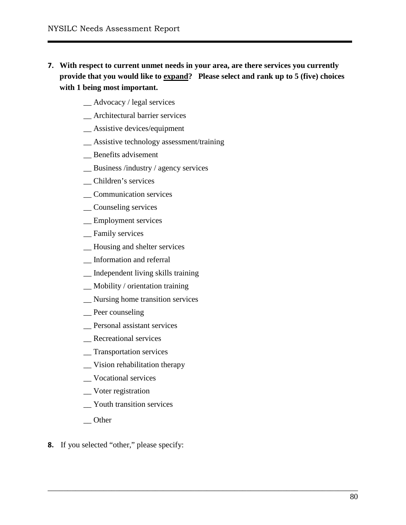**7. With respect to current unmet needs in your area, are there services you currently provide that you would like to expand? Please select and rank up to 5 (five) choices with 1 being most important.** 

- \_\_ Advocacy / legal services
- \_\_ Architectural barrier services
- \_\_ Assistive devices/equipment
- \_\_ Assistive technology assessment/training
- \_\_ Benefits advisement
- \_\_ Business /industry / agency services
- \_\_ Children's services
- \_\_ Communication services
- \_\_ Counseling services
- \_\_ Employment services
- \_\_ Family services
- \_\_ Housing and shelter services
- \_\_ Information and referral
- \_\_ Independent living skills training
- \_\_ Mobility / orientation training
- \_\_ Nursing home transition services
- \_\_ Peer counseling
- \_\_ Personal assistant services
- \_\_ Recreational services
- \_\_ Transportation services
- \_\_ Vision rehabilitation therapy
- \_\_ Vocational services
- \_\_ Voter registration
- \_\_ Youth transition services
- \_\_ Other
- **8.** If you selected "other," please specify: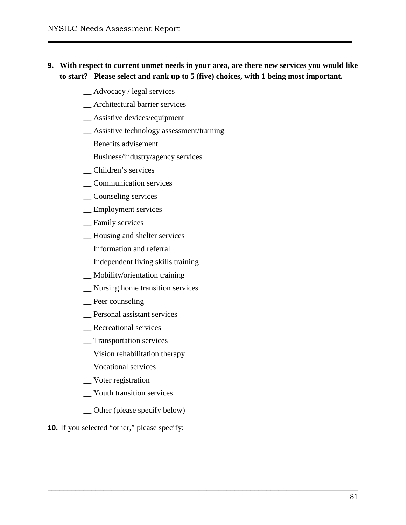## **9. With respect to current unmet needs in your area, are there new services you would like to start? Please select and rank up to 5 (five) choices, with 1 being most important.**

- \_\_ Advocacy / legal services
- \_\_ Architectural barrier services
- \_\_ Assistive devices/equipment
- \_\_ Assistive technology assessment/training
- \_\_ Benefits advisement
- \_\_ Business/industry/agency services
- \_\_ Children's services
- \_\_ Communication services
- \_\_ Counseling services
- \_\_ Employment services
- Family services
- \_\_ Housing and shelter services
- \_\_ Information and referral
- \_\_ Independent living skills training
- \_\_ Mobility/orientation training
- \_\_ Nursing home transition services
- \_\_ Peer counseling
- \_\_ Personal assistant services
- \_\_ Recreational services
- \_\_ Transportation services
- \_\_ Vision rehabilitation therapy
- \_\_ Vocational services
- \_\_ Voter registration
- \_\_ Youth transition services
- \_\_ Other (please specify below)

\_\_\_\_\_\_\_\_\_\_\_\_\_\_\_\_\_\_\_\_\_\_\_\_\_\_\_\_\_\_\_\_\_\_\_\_\_\_\_\_\_\_\_\_\_\_\_\_\_\_\_\_\_\_\_\_\_\_\_\_\_\_\_\_\_\_\_\_\_\_\_\_\_\_\_\_\_\_

**10.** If you selected "other," please specify: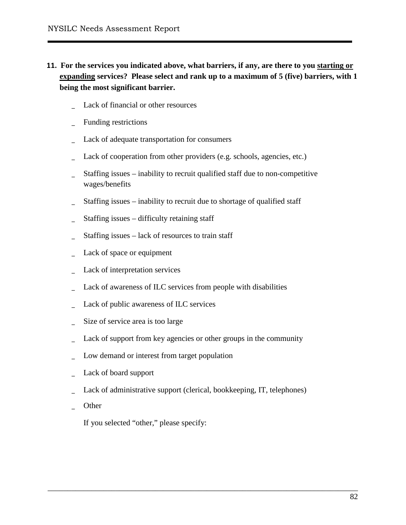- **11. For the services you indicated above, what barriers, if any, are there to you starting or expanding services? Please select and rank up to a maximum of 5 (five) barriers, with 1 being the most significant barrier.** 
	- Lack of financial or other resources
	- Funding restrictions
	- Lack of adequate transportation for consumers
	- Lack of cooperation from other providers (e.g. schools, agencies, etc.)
	- \_ Staffing issues inability to recruit qualified staff due to non-competitive wages/benefits
	- Staffing issues inability to recruit due to shortage of qualified staff
	- Staffing issues difficulty retaining staff
	- Staffing issues lack of resources to train staff
	- Lack of space or equipment
	- Lack of interpretation services
	- Lack of awareness of ILC services from people with disabilities
	- Lack of public awareness of ILC services
	- Size of service area is too large
	- Lack of support from key agencies or other groups in the community
	- Low demand or interest from target population
	- Lack of board support
	- Lack of administrative support (clerical, bookkeeping, IT, telephones)

\_ Other

If you selected "other," please specify: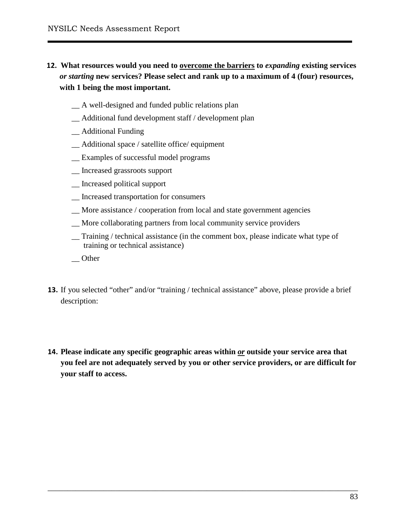## **12. What resources would you need to overcome the barriers to** *expanding* **existing services**  *or starting* **new services? Please select and rank up to a maximum of 4 (four) resources, with 1 being the most important.**

- \_\_ A well-designed and funded public relations plan
- \_\_ Additional fund development staff / development plan
- \_\_ Additional Funding
- \_\_ Additional space / satellite office/ equipment
- \_\_ Examples of successful model programs
- \_\_ Increased grassroots support
- \_\_ Increased political support
- \_\_ Increased transportation for consumers
- \_\_ More assistance / cooperation from local and state government agencies
- \_\_ More collaborating partners from local community service providers
- \_\_ Training / technical assistance (in the comment box, please indicate what type of training or technical assistance)
- \_\_ Other
- **13.** If you selected "other" and/or "training / technical assistance" above, please provide a brief description:
- **14. Please indicate any specific geographic areas within** *or* **outside your service area that you feel are not adequately served by you or other service providers, or are difficult for your staff to access.**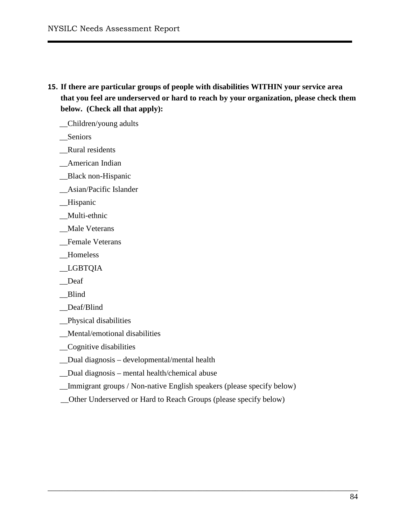- **15. If there are particular groups of people with disabilities WITHIN your service area that you feel are underserved or hard to reach by your organization, please check them below. (Check all that apply):** 
	- \_\_Children/young adults
	- \_\_Seniors
	- \_\_Rural residents
	- \_\_American Indian
	- \_\_Black non-Hispanic
	- \_\_Asian/Pacific Islander
	- \_\_Hispanic
	- \_\_Multi-ethnic
	- \_\_Male Veterans
	- \_\_Female Veterans
	- \_\_Homeless
	- \_\_LGBTQIA
	- \_\_Deaf
	- \_\_Blind
	- \_\_Deaf/Blind
	- \_\_Physical disabilities
	- \_\_Mental/emotional disabilities
	- \_\_Cognitive disabilities
	- \_\_Dual diagnosis developmental/mental health
	- \_\_Dual diagnosis mental health/chemical abuse
	- \_\_Immigrant groups / Non-native English speakers (please specify below)

\_\_Other Underserved or Hard to Reach Groups (please specify below)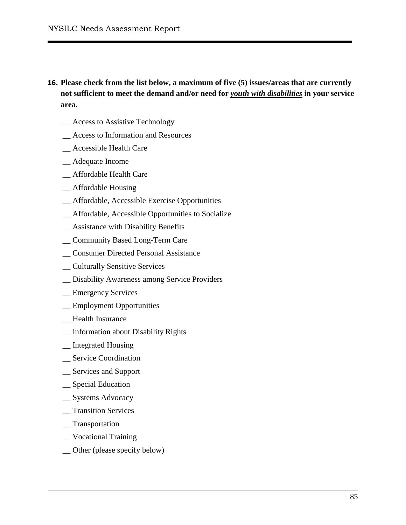**16. Please check from the list below, a maximum of five (5) issues/areas that are currently not sufficient to meet the demand and/or need for** *youth with disabilities* **in your service area.** 

- \_\_ Access to Assistive Technology
- \_\_ Access to Information and Resources
- \_\_ Accessible Health Care
- \_\_ Adequate Income
- \_\_ Affordable Health Care
- \_\_ Affordable Housing
- \_\_ Affordable, Accessible Exercise Opportunities
- \_\_ Affordable, Accessible Opportunities to Socialize
- \_\_ Assistance with Disability Benefits
- \_\_ Community Based Long-Term Care
- \_\_ Consumer Directed Personal Assistance
- \_\_ Culturally Sensitive Services
- \_\_ Disability Awareness among Service Providers
- \_\_ Emergency Services
- \_\_ Employment Opportunities
- \_\_ Health Insurance
- \_\_ Information about Disability Rights
- \_\_ Integrated Housing
- \_\_ Service Coordination
- \_\_ Services and Support
- \_\_ Special Education
- \_\_ Systems Advocacy
- \_\_ Transition Services
- \_\_ Transportation
- \_\_ Vocational Training
- \_\_ Other (please specify below)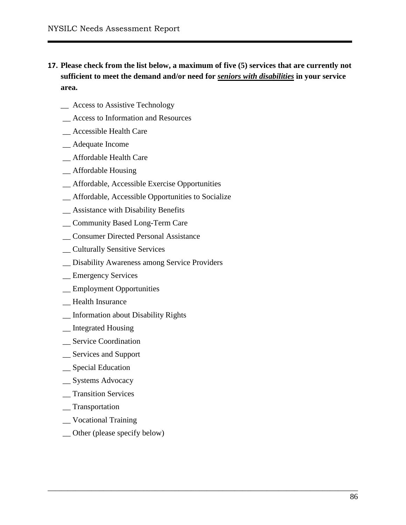**17. Please check from the list below, a maximum of five (5) services that are currently not sufficient to meet the demand and/or need for** *seniors with disabilities* **in your service area.** 

- \_\_ Access to Assistive Technology
- \_\_ Access to Information and Resources
- \_\_ Accessible Health Care
- \_\_ Adequate Income
- \_\_ Affordable Health Care
- \_\_ Affordable Housing
- \_\_ Affordable, Accessible Exercise Opportunities
- \_\_ Affordable, Accessible Opportunities to Socialize
- \_\_ Assistance with Disability Benefits
- \_\_ Community Based Long-Term Care
- \_\_ Consumer Directed Personal Assistance
- \_\_ Culturally Sensitive Services
- \_\_ Disability Awareness among Service Providers
- \_\_ Emergency Services
- \_\_ Employment Opportunities
- \_\_ Health Insurance
- \_\_ Information about Disability Rights
- \_\_ Integrated Housing
- \_\_ Service Coordination
- \_\_ Services and Support
- \_\_ Special Education
- \_\_ Systems Advocacy
- \_\_ Transition Services
- \_\_ Transportation
- \_\_ Vocational Training
- \_\_ Other (please specify below)